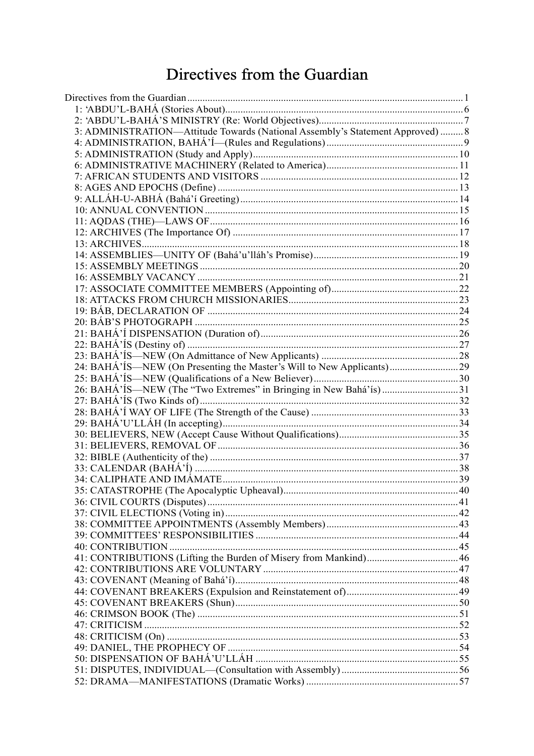# Directives from the Guardian

| 3: ADMINISTRATION—Attitude Towards (National Assembly's Statement Approved)  8 |  |
|--------------------------------------------------------------------------------|--|
|                                                                                |  |
|                                                                                |  |
|                                                                                |  |
|                                                                                |  |
|                                                                                |  |
|                                                                                |  |
|                                                                                |  |
|                                                                                |  |
|                                                                                |  |
|                                                                                |  |
|                                                                                |  |
|                                                                                |  |
|                                                                                |  |
|                                                                                |  |
|                                                                                |  |
|                                                                                |  |
|                                                                                |  |
|                                                                                |  |
|                                                                                |  |
|                                                                                |  |
|                                                                                |  |
|                                                                                |  |
| 26: BAHÁ'ÍS—NEW (The "Two Extremes" in Bringing in New Bahá'ís)31              |  |
|                                                                                |  |
|                                                                                |  |
|                                                                                |  |
|                                                                                |  |
|                                                                                |  |
|                                                                                |  |
|                                                                                |  |
|                                                                                |  |
|                                                                                |  |
|                                                                                |  |
|                                                                                |  |
|                                                                                |  |
|                                                                                |  |
|                                                                                |  |
|                                                                                |  |
|                                                                                |  |
|                                                                                |  |
|                                                                                |  |
|                                                                                |  |
|                                                                                |  |
|                                                                                |  |
|                                                                                |  |
|                                                                                |  |
|                                                                                |  |
|                                                                                |  |
|                                                                                |  |
|                                                                                |  |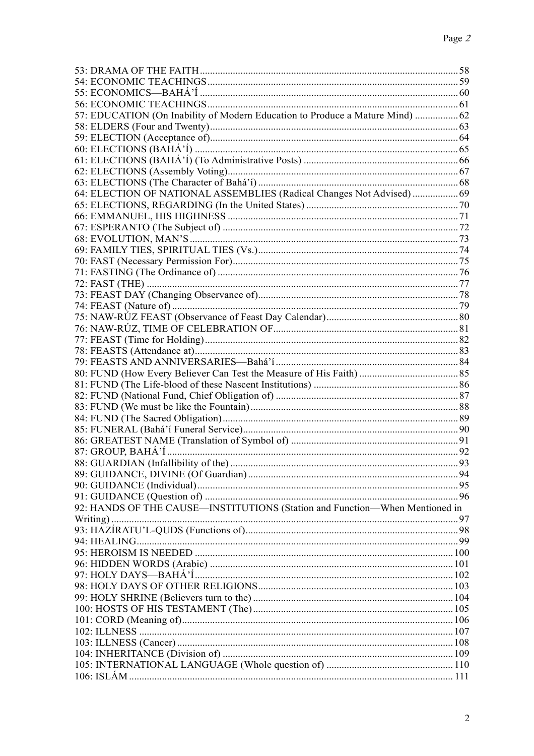| 57: EDUCATION (On Inability of Modern Education to Produce a Mature Mind)  62 |  |
|-------------------------------------------------------------------------------|--|
|                                                                               |  |
|                                                                               |  |
|                                                                               |  |
|                                                                               |  |
|                                                                               |  |
|                                                                               |  |
| 64: ELECTION OF NATIONAL ASSEMBLIES (Radical Changes Not Advised)  69         |  |
|                                                                               |  |
|                                                                               |  |
|                                                                               |  |
|                                                                               |  |
|                                                                               |  |
|                                                                               |  |
|                                                                               |  |
|                                                                               |  |
|                                                                               |  |
|                                                                               |  |
|                                                                               |  |
|                                                                               |  |
|                                                                               |  |
|                                                                               |  |
|                                                                               |  |
|                                                                               |  |
|                                                                               |  |
|                                                                               |  |
|                                                                               |  |
|                                                                               |  |
|                                                                               |  |
|                                                                               |  |
|                                                                               |  |
|                                                                               |  |
|                                                                               |  |
|                                                                               |  |
|                                                                               |  |
|                                                                               |  |
| 92: HANDS OF THE CAUSE—INSTITUTIONS (Station and Function—When Mentioned in   |  |
|                                                                               |  |
|                                                                               |  |
|                                                                               |  |
|                                                                               |  |
|                                                                               |  |
|                                                                               |  |
|                                                                               |  |
|                                                                               |  |
|                                                                               |  |
|                                                                               |  |
|                                                                               |  |
|                                                                               |  |
|                                                                               |  |
|                                                                               |  |
|                                                                               |  |
|                                                                               |  |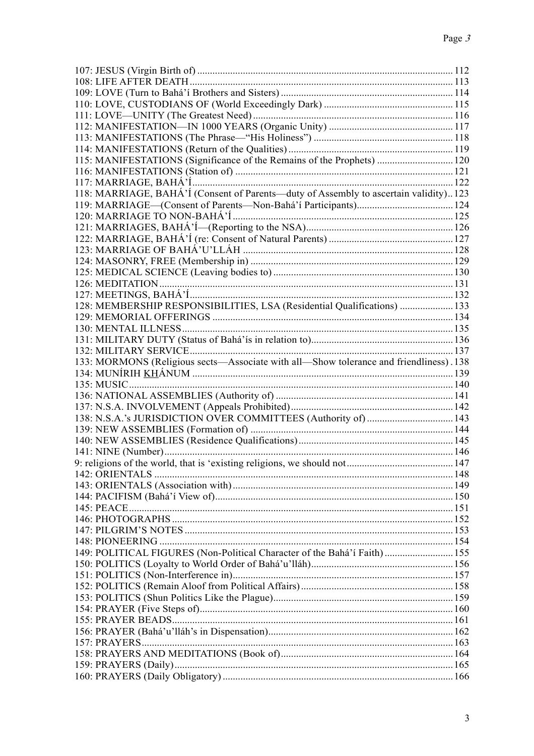| 115: MANIFESTATIONS (Significance of the Remains of the Prophets)  120                 |  |
|----------------------------------------------------------------------------------------|--|
|                                                                                        |  |
|                                                                                        |  |
| 118: MARRIAGE, BAHÁ'Í (Consent of Parents—duty of Assembly to ascertain validity)123   |  |
|                                                                                        |  |
|                                                                                        |  |
|                                                                                        |  |
|                                                                                        |  |
|                                                                                        |  |
|                                                                                        |  |
|                                                                                        |  |
|                                                                                        |  |
|                                                                                        |  |
|                                                                                        |  |
| 128: MEMBERSHIP RESPONSIBILITIES, LSA (Residential Qualifications)  133                |  |
|                                                                                        |  |
|                                                                                        |  |
|                                                                                        |  |
|                                                                                        |  |
| 133: MORMONS (Religious sects—Associate with all—Show tolerance and friendliness). 138 |  |
|                                                                                        |  |
|                                                                                        |  |
|                                                                                        |  |
|                                                                                        |  |
| 138: N.S.A.'s JURISDICTION OVER COMMITTEES (Authority of)  143                         |  |
|                                                                                        |  |
|                                                                                        |  |
|                                                                                        |  |
|                                                                                        |  |
|                                                                                        |  |
|                                                                                        |  |
| 144: PACIFISM (Bahá'í View of mention contains and the container and the 150           |  |
|                                                                                        |  |
|                                                                                        |  |
|                                                                                        |  |
|                                                                                        |  |
| 149: POLITICAL FIGURES (Non-Political Character of the Bahá'í Faith) 155               |  |
|                                                                                        |  |
|                                                                                        |  |
|                                                                                        |  |
|                                                                                        |  |
|                                                                                        |  |
|                                                                                        |  |
|                                                                                        |  |
|                                                                                        |  |
|                                                                                        |  |
|                                                                                        |  |
|                                                                                        |  |
|                                                                                        |  |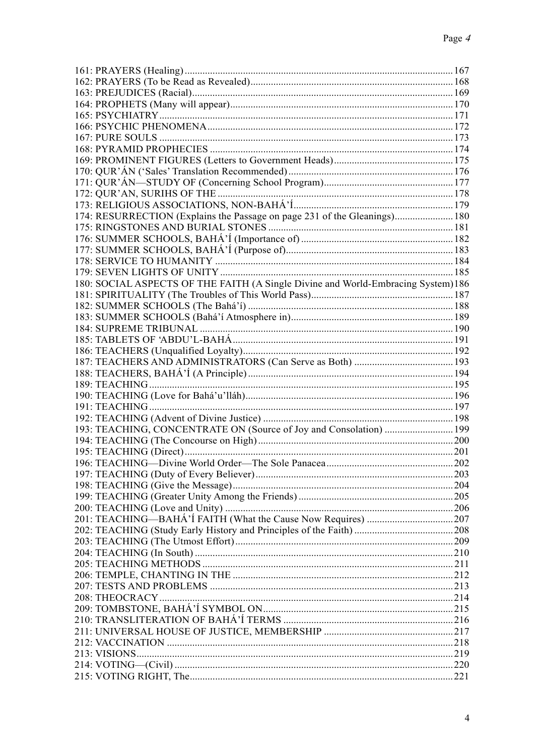| 174: RESURRECTION (Explains the Passage on page 231 of the Gleanings) 180        |  |
|----------------------------------------------------------------------------------|--|
|                                                                                  |  |
|                                                                                  |  |
|                                                                                  |  |
|                                                                                  |  |
|                                                                                  |  |
| 180: SOCIAL ASPECTS OF THE FAITH (A Single Divine and World-Embracing System)186 |  |
|                                                                                  |  |
|                                                                                  |  |
|                                                                                  |  |
|                                                                                  |  |
|                                                                                  |  |
|                                                                                  |  |
|                                                                                  |  |
|                                                                                  |  |
|                                                                                  |  |
|                                                                                  |  |
|                                                                                  |  |
|                                                                                  |  |
| 193: TEACHING, CONCENTRATE ON (Source of Joy and Consolation)  199               |  |
|                                                                                  |  |
|                                                                                  |  |
|                                                                                  |  |
|                                                                                  |  |
|                                                                                  |  |
|                                                                                  |  |
|                                                                                  |  |
|                                                                                  |  |
|                                                                                  |  |
|                                                                                  |  |
|                                                                                  |  |
|                                                                                  |  |
|                                                                                  |  |
|                                                                                  |  |
|                                                                                  |  |
|                                                                                  |  |
|                                                                                  |  |
|                                                                                  |  |
|                                                                                  |  |
|                                                                                  |  |
| 213: VISIONS                                                                     |  |
|                                                                                  |  |
|                                                                                  |  |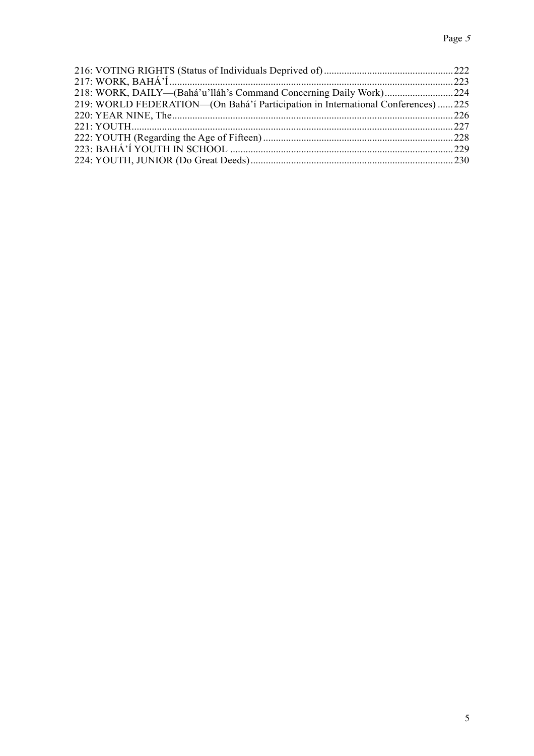| 219: WORLD FEDERATION—(On Bahá'í Participation in International Conferences) 225 |  |
|----------------------------------------------------------------------------------|--|
|                                                                                  |  |
|                                                                                  |  |
|                                                                                  |  |
|                                                                                  |  |
|                                                                                  |  |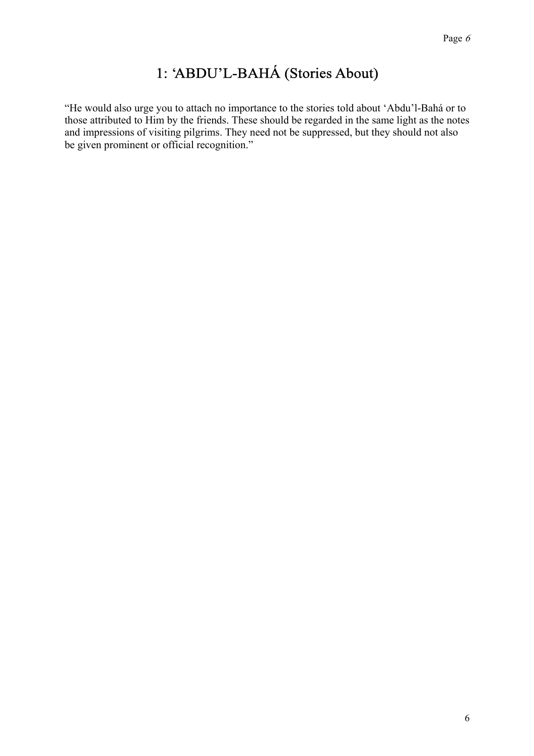### 1: 'ABDU'L-BAHÁ (Stories About)

"He would also urge you to attach no importance to the stories told about 'Abdu'l-Bahá or to those attributed to Him by the friends. These should be regarded in the same light as the notes and impressions of visiting pilgrims. They need not be suppressed, but they should not also be given prominent or official recognition."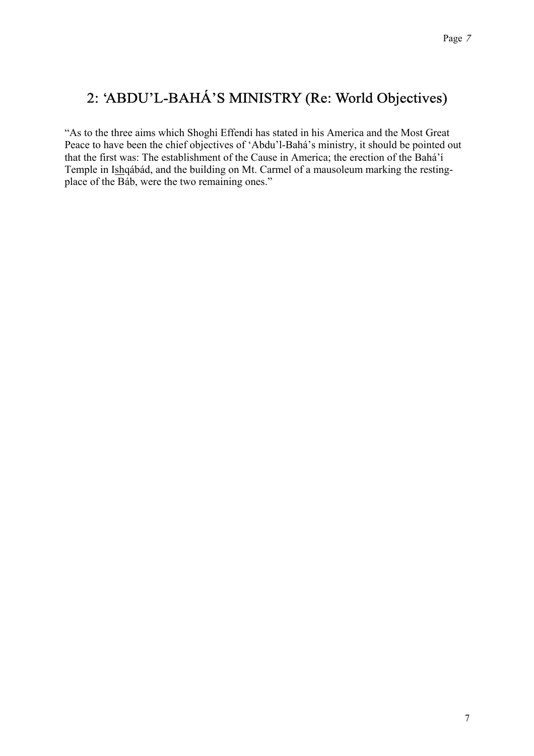# 2: 'ABDU'L-BAHÁ'S MINISTRY (Re: World Objectives)

"As to the three aims which Shoghi Effendi has stated in his America and the Most Great Peace to have been the chief objectives of 'Abdu'l-Bahá's ministry, it should be pointed out that the first was: The establishment of the Cause in America; the erection of the Bahá'í Temple in Ishqábád, and the building on Mt. Carmel of a mausoleum marking the restingplace of the Báb, were the two remaining ones."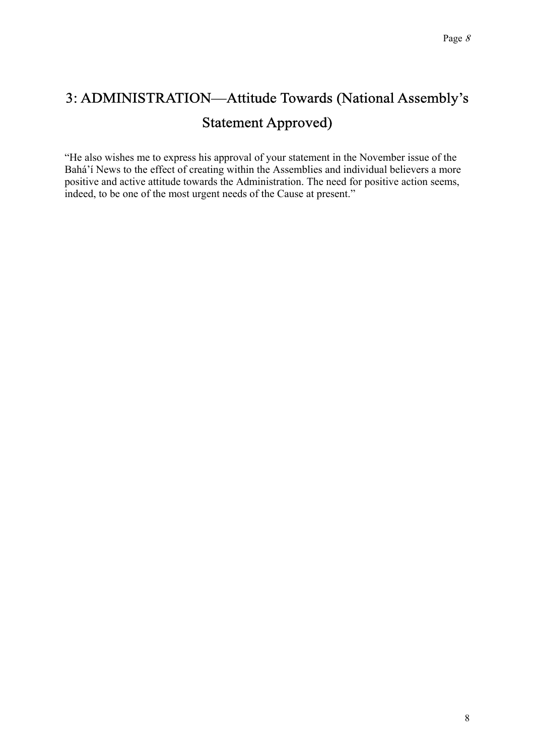# 3: ADMINISTRATION—Attitude Towards (National Assembly's Statement Approved)

"He also wishes me to express his approval of your statement in the November issue of the Bahá'í News to the effect of creating within the Assemblies and individual believers a more positive and active attitude towards the Administration. The need for positive action seems, indeed, to be one of the most urgent needs of the Cause at present."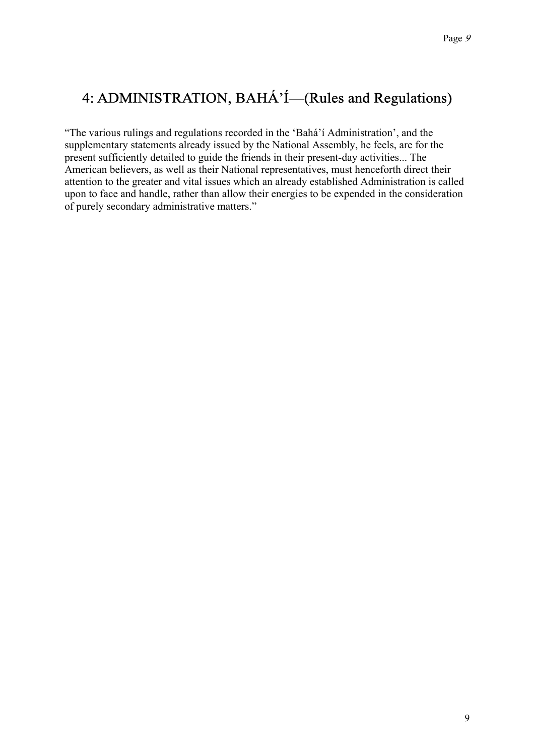# 4: ADMINISTRATION, BAHÁ'Í—(Rules and Regulations)

"The various rulings and regulations recorded in the 'Bahá'í Administration', and the supplementary statements already issued by the National Assembly, he feels, are for the present sufficiently detailed to guide the friends in their present-day activities... The American believers, as well as their National representatives, must henceforth direct their attention to the greater and vital issues which an already established Administration is called upon to face and handle, rather than allow their energies to be expended in the consideration of purely secondary administrative matters."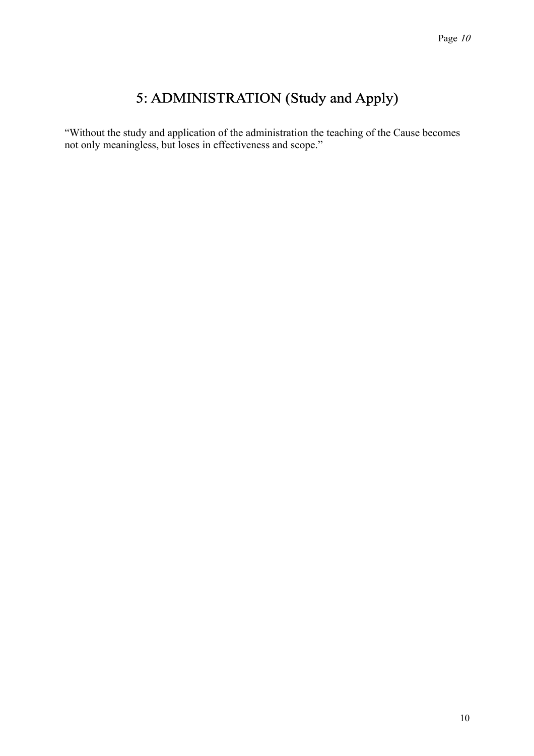## 5: ADMINISTRATION (Study and Apply)

"Without the study and application of the administration the teaching of the Cause becomes not only meaningless, but loses in effectiveness and scope."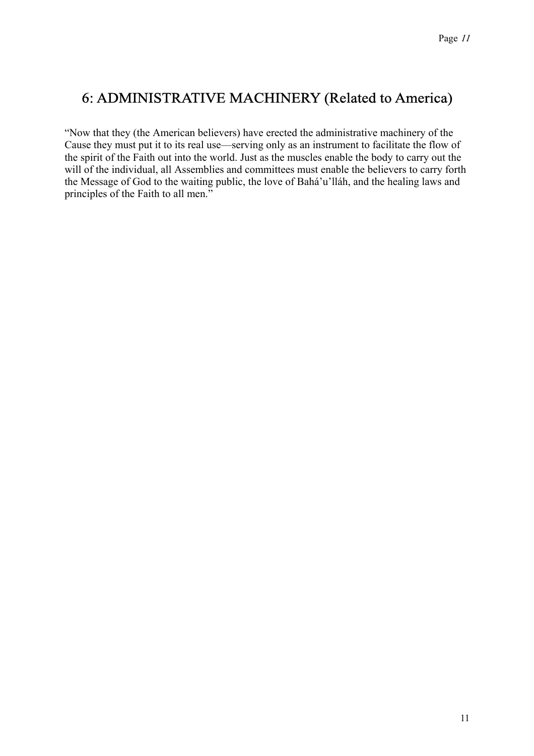### 6: ADMINISTRATIVE MACHINERY (Related to America)

"Now that they (the American believers) have erected the administrative machinery of the Cause they must put it to its real use—serving only as an instrument to facilitate the flow of the spirit of the Faith out into the world. Just as the muscles enable the body to carry out the will of the individual, all Assemblies and committees must enable the believers to carry forth the Message of God to the waiting public, the love of Bahá'u'lláh, and the healing laws and principles of the Faith to all men."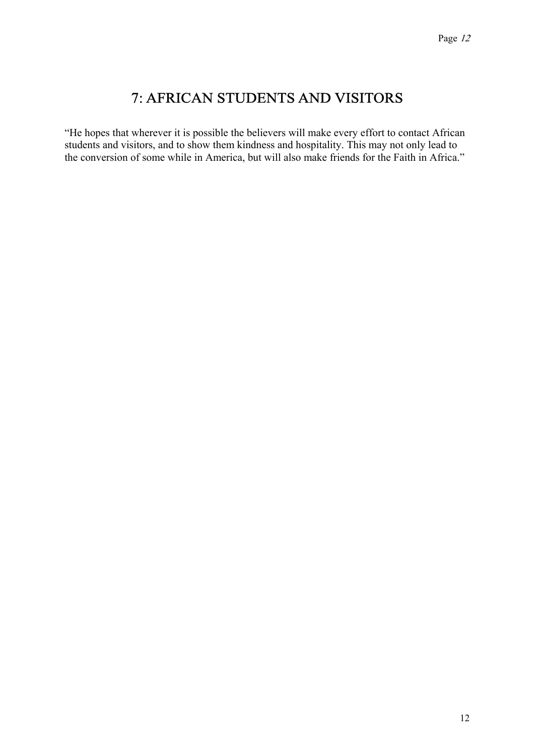### 7: AFRICAN STUDENTS AND VISITORS

"He hopes that wherever it is possible the believers will make every effort to contact African students and visitors, and to show them kindness and hospitality. This may not only lead to the conversion of some while in America, but will also make friends for the Faith in Africa."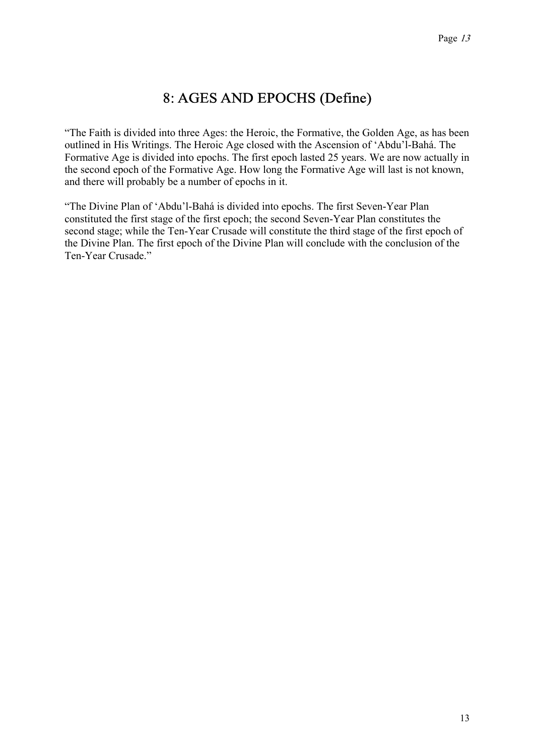### 8: AGES AND EPOCHS (Define)

"The Faith is divided into three Ages: the Heroic, the Formative, the Golden Age, as has been outlined in His Writings. The Heroic Age closed with the Ascension of 'Abdu'l-Bahá. The Formative Age is divided into epochs. The first epoch lasted 25 years. We are now actually in the second epoch of the Formative Age. How long the Formative Age will last is not known, and there will probably be a number of epochs in it.

"The Divine Plan of 'Abdu'l-Bahá is divided into epochs. The first Seven-Year Plan constituted the first stage of the first epoch; the second Seven-Year Plan constitutes the second stage; while the Ten-Year Crusade will constitute the third stage of the first epoch of the Divine Plan. The first epoch of the Divine Plan will conclude with the conclusion of the Ten-Year Crusade."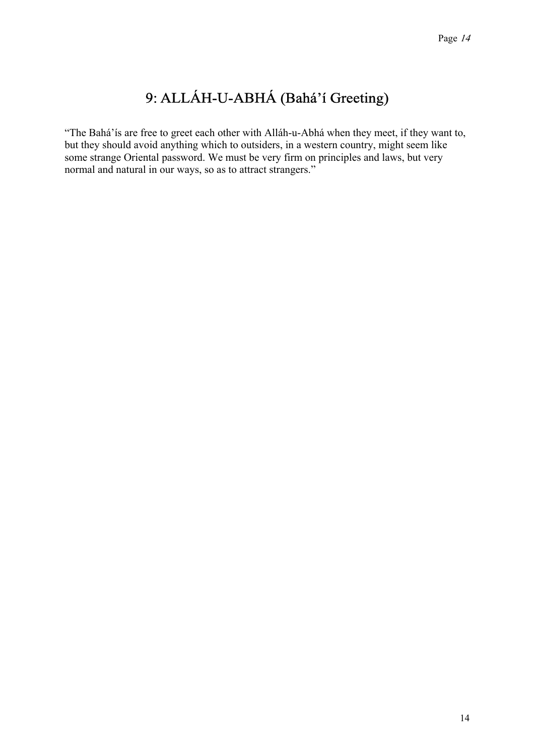# 9: ALLÁH-U-ABHÁ (Bahá'í Greeting)

"The Bahá'ís are free to greet each other with Alláh-u-Abhá when they meet, if they want to, but they should avoid anything which to outsiders, in a western country, might seem like some strange Oriental password. We must be very firm on principles and laws, but very normal and natural in our ways, so as to attract strangers."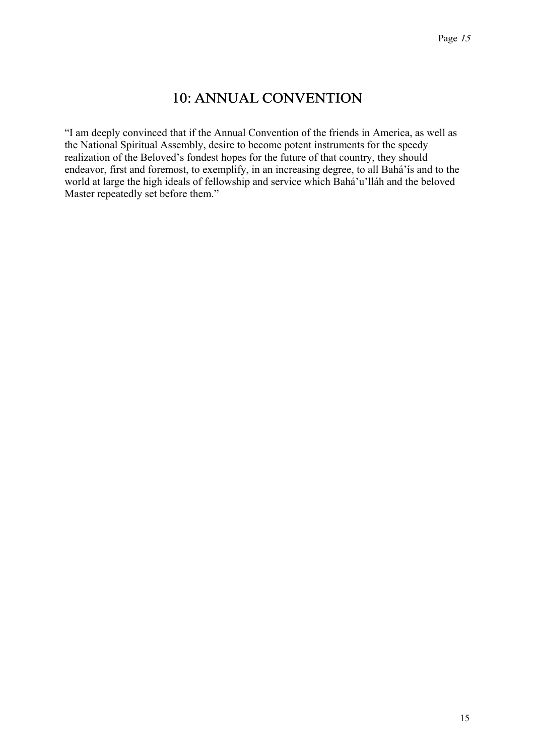### 10: ANNUAL CONVENTION

"I am deeply convinced that if the Annual Convention of the friends in America, as well as the National Spiritual Assembly, desire to become potent instruments for the speedy realization of the Beloved's fondest hopes for the future of that country, they should endeavor, first and foremost, to exemplify, in an increasing degree, to all Bahá'ís and to the world at large the high ideals of fellowship and service which Bahá'u'lláh and the beloved Master repeatedly set before them."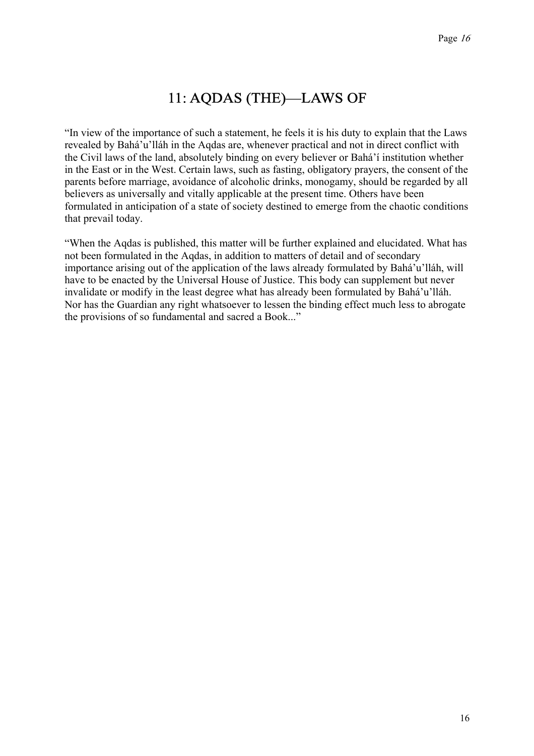### 11: AQDAS (THE)—LAWS OF

"In view of the importance of such a statement, he feels it is his duty to explain that the Laws revealed by Bahá'u'lláh in the Aqdas are, whenever practical and not in direct conflict with the Civil laws of the land, absolutely binding on every believer or Bahá'í institution whether in the East or in the West. Certain laws, such as fasting, obligatory prayers, the consent of the parents before marriage, avoidance of alcoholic drinks, monogamy, should be regarded by all believers as universally and vitally applicable at the present time. Others have been formulated in anticipation of a state of society destined to emerge from the chaotic conditions that prevail today.

"When the Aqdas is published, this matter will be further explained and elucidated. What has not been formulated in the Aqdas, in addition to matters of detail and of secondary importance arising out of the application of the laws already formulated by Bahá'u'lláh, will have to be enacted by the Universal House of Justice. This body can supplement but never invalidate or modify in the least degree what has already been formulated by Bahá'u'lláh. Nor has the Guardian any right whatsoever to lessen the binding effect much less to abrogate the provisions of so fundamental and sacred a Book..."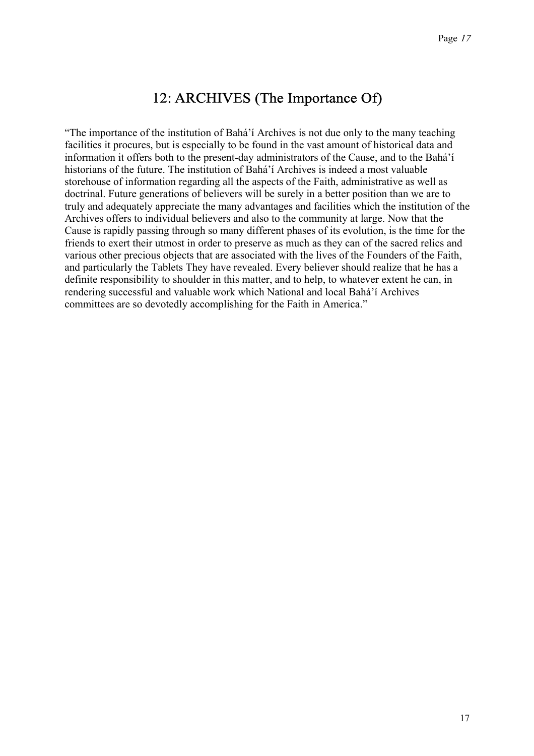#### 12: ARCHIVES (The Importance Of)

"The importance of the institution of Bahá'í Archives is not due only to the many teaching facilities it procures, but is especially to be found in the vast amount of historical data and information it offers both to the present-day administrators of the Cause, and to the Bahá'í historians of the future. The institution of Bahá'í Archives is indeed a most valuable storehouse of information regarding all the aspects of the Faith, administrative as well as doctrinal. Future generations of believers will be surely in a better position than we are to truly and adequately appreciate the many advantages and facilities which the institution of the Archives offers to individual believers and also to the community at large. Now that the Cause is rapidly passing through so many different phases of its evolution, is the time for the friends to exert their utmost in order to preserve as much as they can of the sacred relics and various other precious objects that are associated with the lives of the Founders of the Faith, and particularly the Tablets They have revealed. Every believer should realize that he has a definite responsibility to shoulder in this matter, and to help, to whatever extent he can, in rendering successful and valuable work which National and local Bahá'í Archives committees are so devotedly accomplishing for the Faith in America."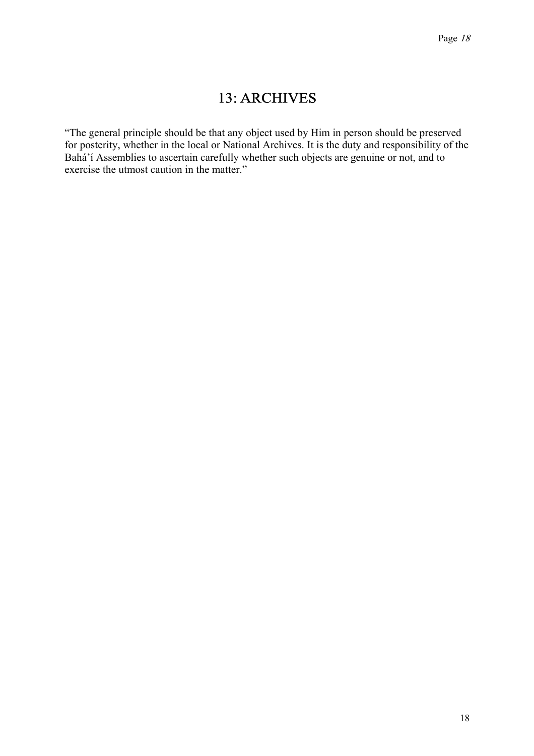### 13: ARCHIVES

"The general principle should be that any object used by Him in person should be preserved for posterity, whether in the local or National Archives. It is the duty and responsibility of the Bahá'í Assemblies to ascertain carefully whether such objects are genuine or not, and to exercise the utmost caution in the matter."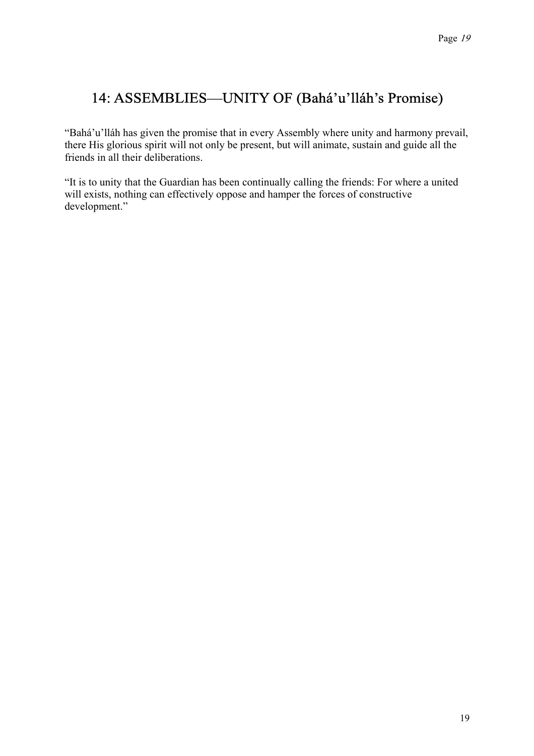# 14: ASSEMBLIES—UNITY OF (Bahá'u'lláh's Promise)

"Bahá'u'lláh has given the promise that in every Assembly where unity and harmony prevail, there His glorious spirit will not only be present, but will animate, sustain and guide all the friends in all their deliberations.

"It is to unity that the Guardian has been continually calling the friends: For where a united will exists, nothing can effectively oppose and hamper the forces of constructive development."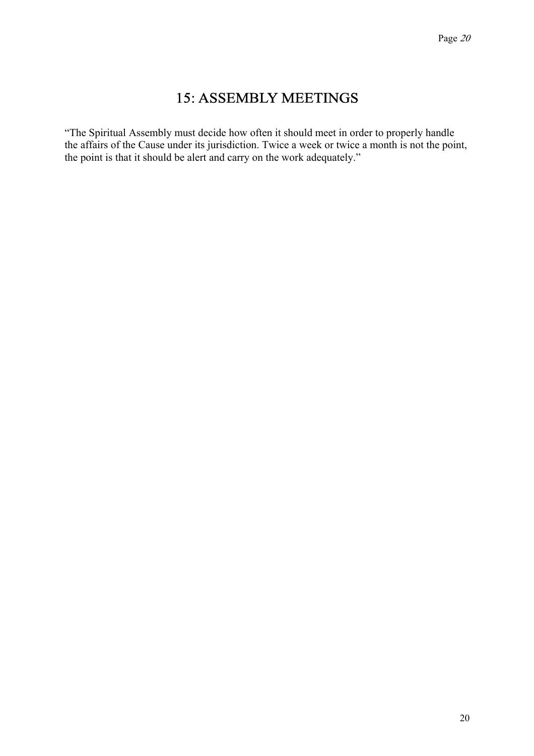### 15: ASSEMBLY MEETINGS

"The Spiritual Assembly must decide how often it should meet in order to properly handle the affairs of the Cause under its jurisdiction. Twice a week or twice a month is not the point, the point is that it should be alert and carry on the work adequately."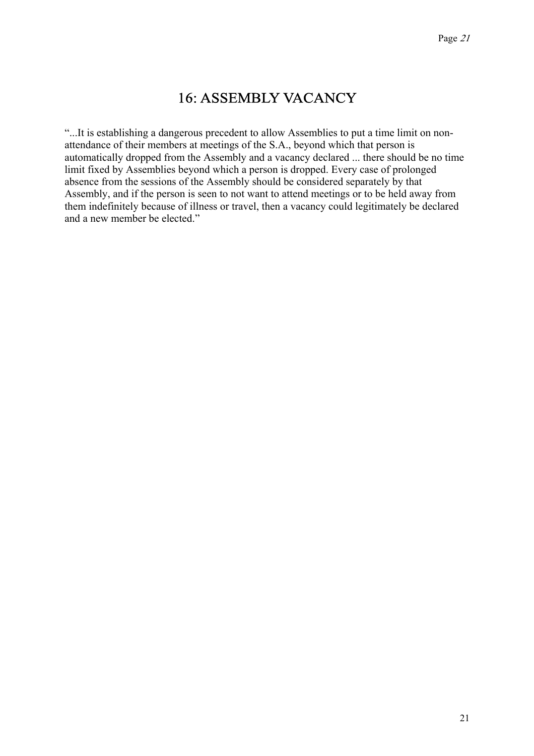### 16: ASSEMBLY VACANCY

"...It is establishing a dangerous precedent to allow Assemblies to put a time limit on nonattendance of their members at meetings of the S.A., beyond which that person is automatically dropped from the Assembly and a vacancy declared ... there should be no time limit fixed by Assemblies beyond which a person is dropped. Every case of prolonged absence from the sessions of the Assembly should be considered separately by that Assembly, and if the person is seen to not want to attend meetings or to be held away from them indefinitely because of illness or travel, then a vacancy could legitimately be declared and a new member be elected."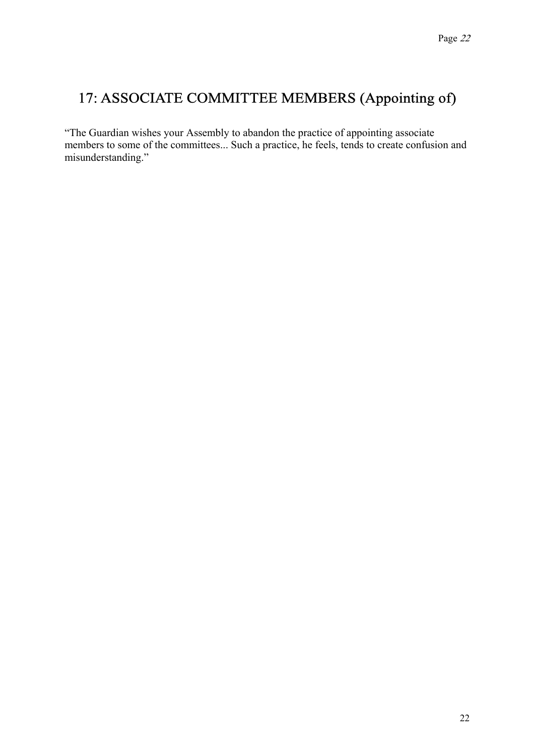### 17: ASSOCIATE COMMITTEE MEMBERS (Appointing of)

"The Guardian wishes your Assembly to abandon the practice of appointing associate members to some of the committees... Such a practice, he feels, tends to create confusion and misunderstanding."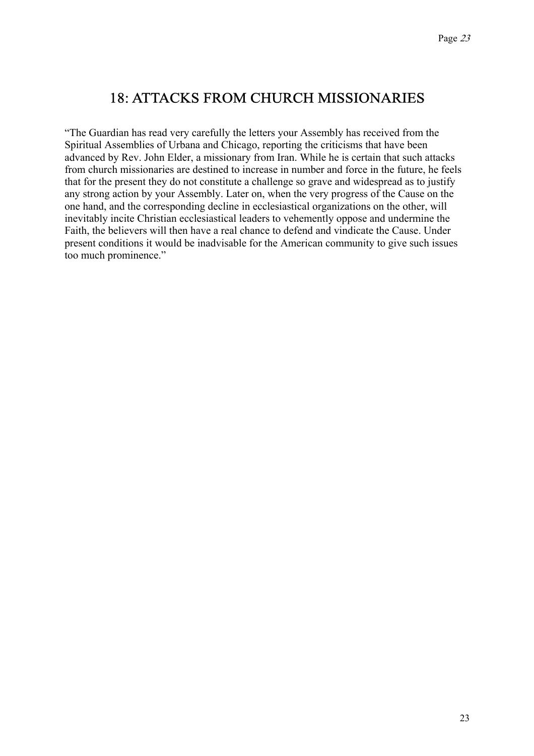#### 18: ATTACKS FROM CHURCH MISSIONARIES

"The Guardian has read very carefully the letters your Assembly has received from the Spiritual Assemblies of Urbana and Chicago, reporting the criticisms that have been advanced by Rev. John Elder, a missionary from Iran. While he is certain that such attacks from church missionaries are destined to increase in number and force in the future, he feels that for the present they do not constitute a challenge so grave and widespread as to justify any strong action by your Assembly. Later on, when the very progress of the Cause on the one hand, and the corresponding decline in ecclesiastical organizations on the other, will inevitably incite Christian ecclesiastical leaders to vehemently oppose and undermine the Faith, the believers will then have a real chance to defend and vindicate the Cause. Under present conditions it would be inadvisable for the American community to give such issues too much prominence."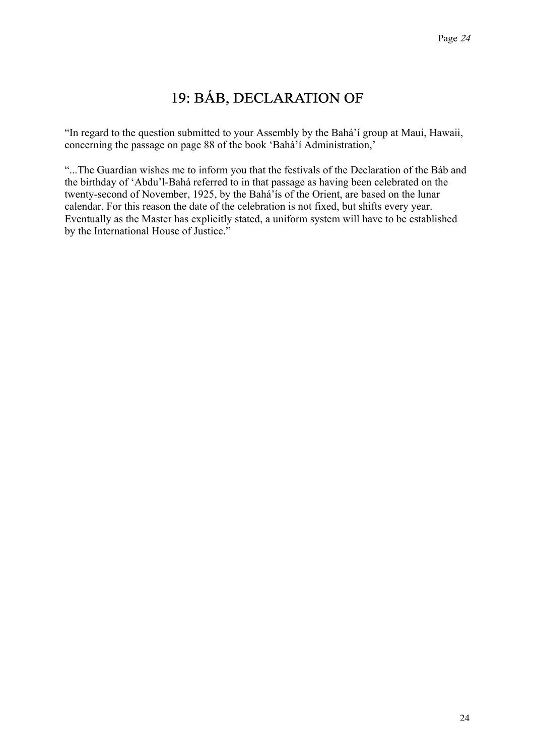### 19: BÁB, DECLARATION OF

"In regard to the question submitted to your Assembly by the Bahá'í group at Maui, Hawaii, concerning the passage on page 88 of the book 'Bahá'í Administration,'

"...The Guardian wishes me to inform you that the festivals of the Declaration of the Báb and the birthday of 'Abdu'l-Bahá referred to in that passage as having been celebrated on the twenty-second of November, 1925, by the Bahá'ís of the Orient, are based on the lunar calendar. For this reason the date of the celebration is not fixed, but shifts every year. Eventually as the Master has explicitly stated, a uniform system will have to be established by the International House of Justice."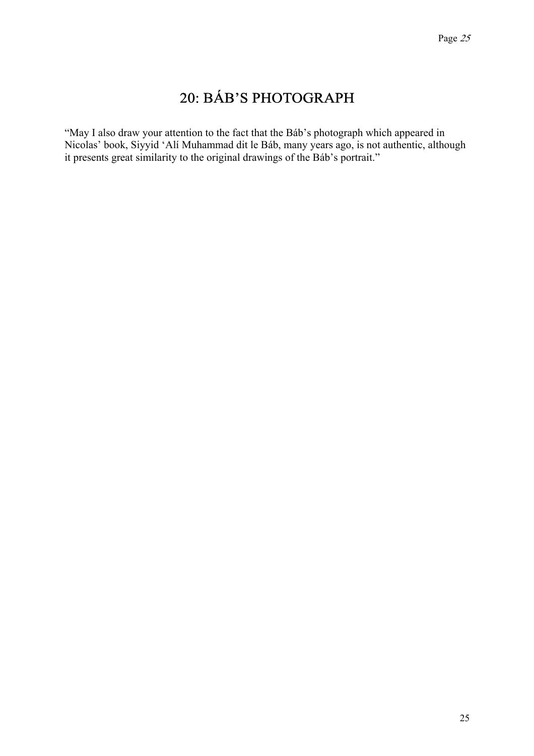# 20: BÁB'S PHOTOGRAPH

"May I also draw your attention to the fact that the Báb's photograph which appeared in Nicolas' book, Siyyid 'Alí Muhammad dit le Báb, many years ago, is not authentic, although it presents great similarity to the original drawings of the Báb's portrait."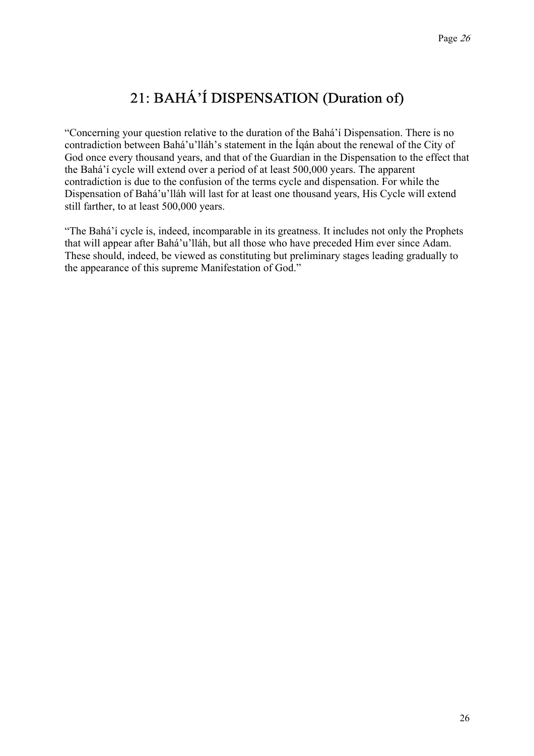# 21: BAHÁ'Í DISPENSATION (Duration of)

"Concerning your question relative to the duration of the Bahá'í Dispensation. There is no contradiction between Bahá'u'lláh's statement in the Íqán about the renewal of the City of God once every thousand years, and that of the Guardian in the Dispensation to the effect that the Bahá'í cycle will extend over a period of at least 500,000 years. The apparent contradiction is due to the confusion of the terms cycle and dispensation. For while the Dispensation of Bahá'u'lláh will last for at least one thousand years, His Cycle will extend still farther, to at least 500,000 years.

"The Bahá'í cycle is, indeed, incomparable in its greatness. It includes not only the Prophets that will appear after Bahá'u'lláh, but all those who have preceded Him ever since Adam. These should, indeed, be viewed as constituting but preliminary stages leading gradually to the appearance of this supreme Manifestation of God."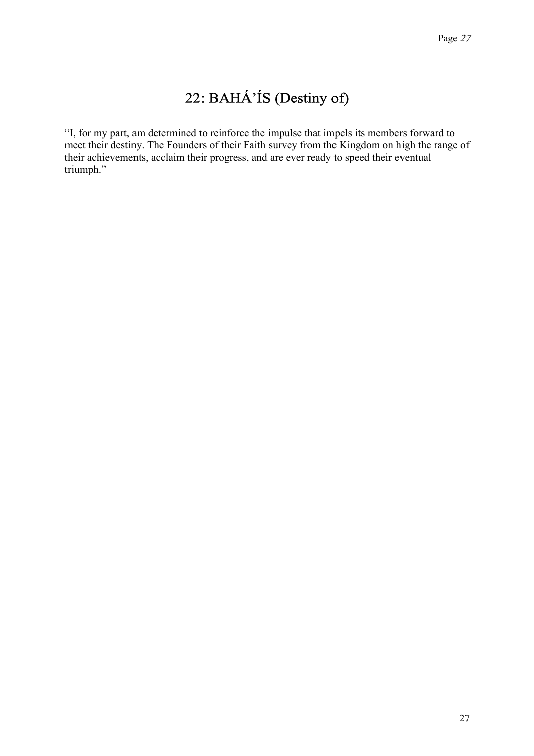# 22: BAHÁ'ÍS (Destiny of)

"I, for my part, am determined to reinforce the impulse that impels its members forward to meet their destiny. The Founders of their Faith survey from the Kingdom on high the range of their achievements, acclaim their progress, and are ever ready to speed their eventual triumph."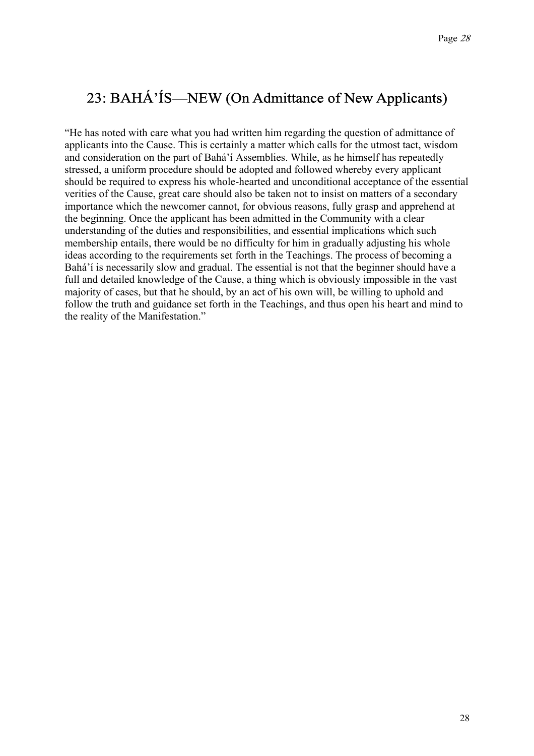## 23: BAHÁ'ÍS—NEW (On Admittance of New Applicants)

"He has noted with care what you had written him regarding the question of admittance of applicants into the Cause. This is certainly a matter which calls for the utmost tact, wisdom and consideration on the part of Bahá'í Assemblies. While, as he himself has repeatedly stressed, a uniform procedure should be adopted and followed whereby every applicant should be required to express his whole-hearted and unconditional acceptance of the essential verities of the Cause, great care should also be taken not to insist on matters of a secondary importance which the newcomer cannot, for obvious reasons, fully grasp and apprehend at the beginning. Once the applicant has been admitted in the Community with a clear understanding of the duties and responsibilities, and essential implications which such membership entails, there would be no difficulty for him in gradually adjusting his whole ideas according to the requirements set forth in the Teachings. The process of becoming a Bahá'í is necessarily slow and gradual. The essential is not that the beginner should have a full and detailed knowledge of the Cause, a thing which is obviously impossible in the vast majority of cases, but that he should, by an act of his own will, be willing to uphold and follow the truth and guidance set forth in the Teachings, and thus open his heart and mind to the reality of the Manifestation."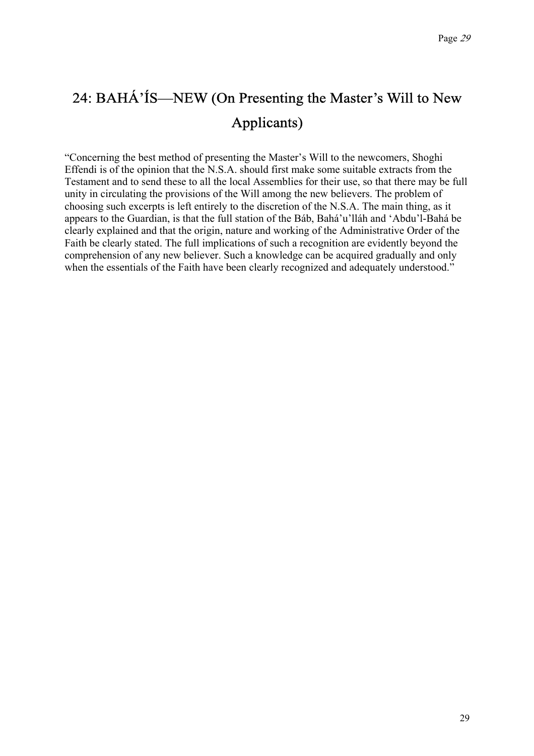# 24: BAHÁ'ÍS—NEW (On Presenting the Master's Will to New Applicants)

"Concerning the best method of presenting the Master's Will to the newcomers, Shoghi Effendi is of the opinion that the N.S.A. should first make some suitable extracts from the Testament and to send these to all the local Assemblies for their use, so that there may be full unity in circulating the provisions of the Will among the new believers. The problem of choosing such excerpts is left entirely to the discretion of the N.S.A. The main thing, as it appears to the Guardian, is that the full station of the Báb, Bahá'u'lláh and 'Abdu'l-Bahá be clearly explained and that the origin, nature and working of the Administrative Order of the Faith be clearly stated. The full implications of such a recognition are evidently beyond the comprehension of any new believer. Such a knowledge can be acquired gradually and only when the essentials of the Faith have been clearly recognized and adequately understood."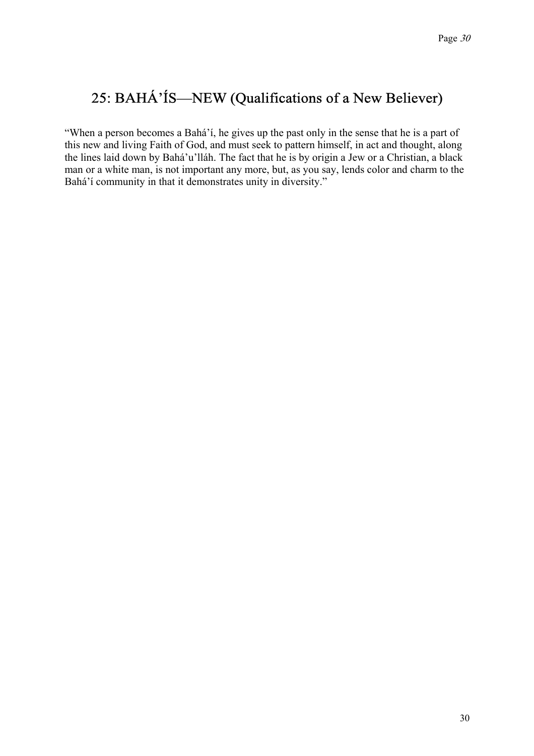# 25: BAHÁ'ÍS—NEW (Qualifications of a New Believer)

"When a person becomes a Bahá'í, he gives up the past only in the sense that he is a part of this new and living Faith of God, and must seek to pattern himself, in act and thought, along the lines laid down by Bahá'u'lláh. The fact that he is by origin a Jew or a Christian, a black man or a white man, is not important any more, but, as you say, lends color and charm to the Bahá'í community in that it demonstrates unity in diversity."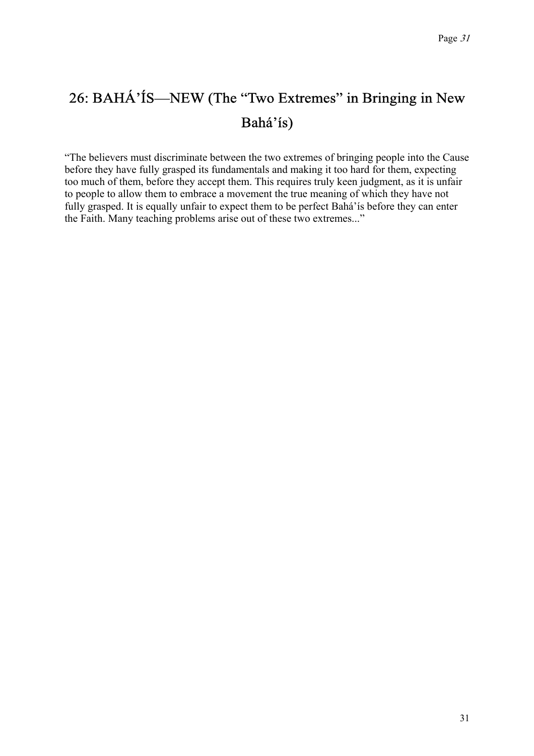# 26: BAHÁ'ÍS—NEW (The "Two Extremes" in Bringing in New Bahá'ís)

"The believers must discriminate between the two extremes of bringing people into the Cause before they have fully grasped its fundamentals and making it too hard for them, expecting too much of them, before they accept them. This requires truly keen judgment, as it is unfair to people to allow them to embrace a movement the true meaning of which they have not fully grasped. It is equally unfair to expect them to be perfect Bahá'ís before they can enter the Faith. Many teaching problems arise out of these two extremes..."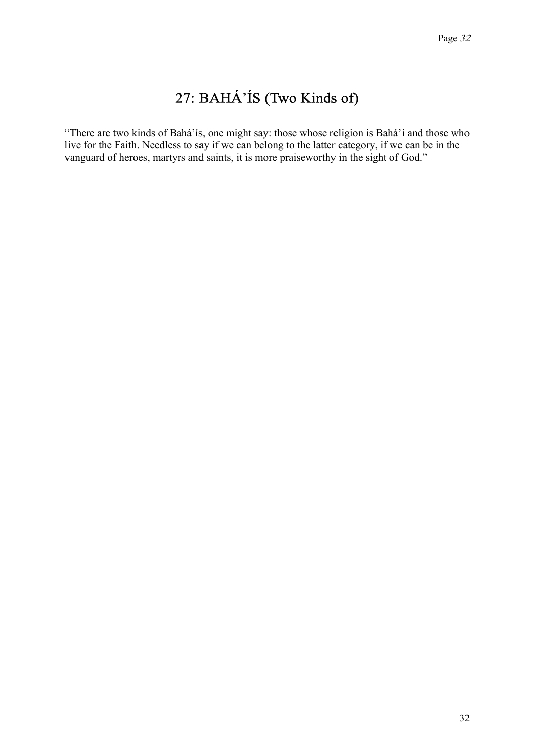# 27: BAHÁ'ÍS (Two Kinds of)

"There are two kinds of Bahá'ís, one might say: those whose religion is Bahá'í and those who live for the Faith. Needless to say if we can belong to the latter category, if we can be in the vanguard of heroes, martyrs and saints, it is more praiseworthy in the sight of God."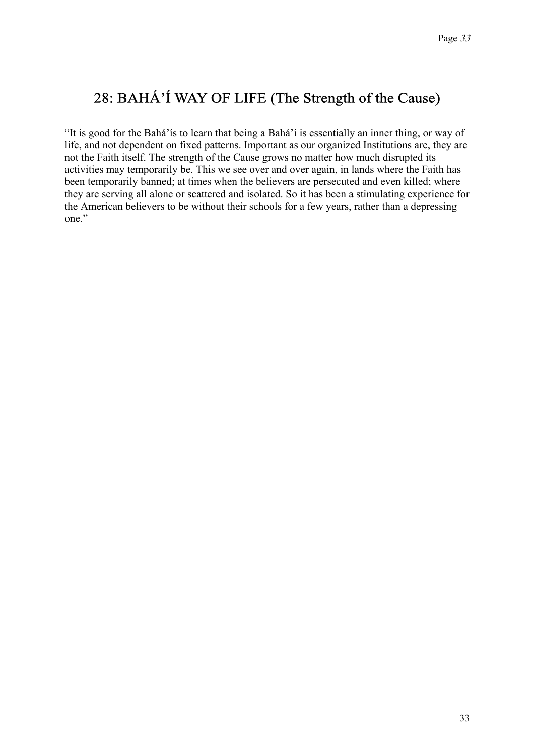### 28: BAHÁ'Í WAY OF LIFE (The Strength of the Cause)

"It is good for the Bahá'ís to learn that being a Bahá'í is essentially an inner thing, or way of life, and not dependent on fixed patterns. Important as our organized Institutions are, they are not the Faith itself. The strength of the Cause grows no matter how much disrupted its activities may temporarily be. This we see over and over again, in lands where the Faith has been temporarily banned; at times when the believers are persecuted and even killed; where they are serving all alone or scattered and isolated. So it has been a stimulating experience for the American believers to be without their schools for a few years, rather than a depressing one."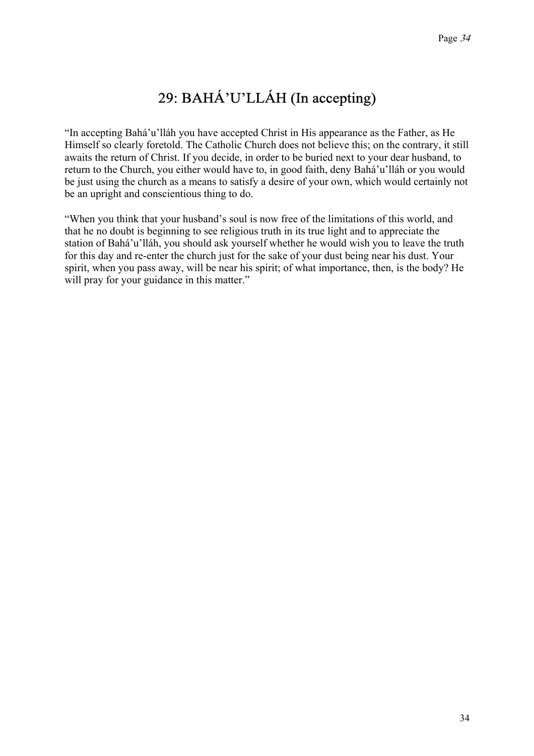## 29: BAHÁ'U'LLÁH (In accepting)

"In accepting Bahá'u'lláh you have accepted Christ in His appearance as the Father, as He Himself so clearly foretold. The Catholic Church does not believe this; on the contrary, it still awaits the return of Christ. If you decide, in order to be buried next to your dear husband, to return to the Church, you either would have to, in good faith, deny Bahá'u'lláh or you would be just using the church as a means to satisfy a desire of your own, which would certainly not be an upright and conscientious thing to do.

"When you think that your husband's soul is now free of the limitations of this world, and that he no doubt is beginning to see religious truth in its true light and to appreciate the station of Bahá'u'lláh, you should ask yourself whether he would wish you to leave the truth for this day and re-enter the church just for the sake of your dust being near his dust. Your spirit, when you pass away, will be near his spirit; of what importance, then, is the body? He will pray for your guidance in this matter."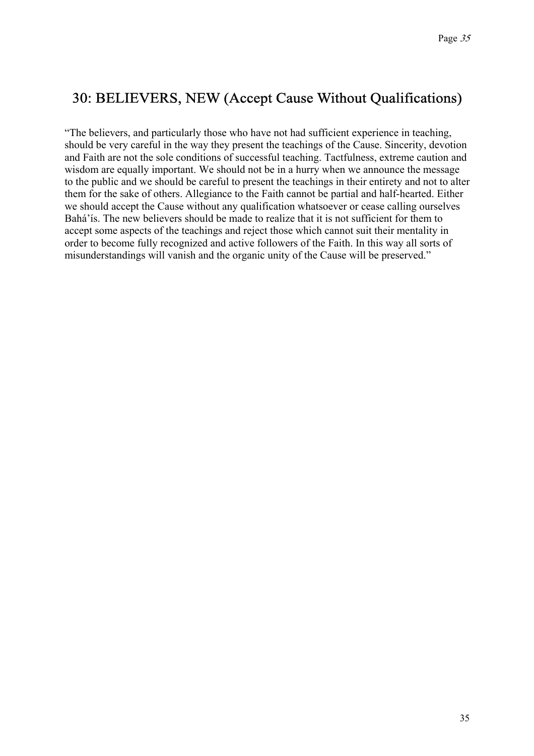### 30: BELIEVERS, NEW (Accept Cause Without Qualifications)

"The believers, and particularly those who have not had sufficient experience in teaching, should be very careful in the way they present the teachings of the Cause. Sincerity, devotion and Faith are not the sole conditions of successful teaching. Tactfulness, extreme caution and wisdom are equally important. We should not be in a hurry when we announce the message to the public and we should be careful to present the teachings in their entirety and not to alter them for the sake of others. Allegiance to the Faith cannot be partial and half-hearted. Either we should accept the Cause without any qualification whatsoever or cease calling ourselves Bahá'ís. The new believers should be made to realize that it is not sufficient for them to accept some aspects of the teachings and reject those which cannot suit their mentality in order to become fully recognized and active followers of the Faith. In this way all sorts of misunderstandings will vanish and the organic unity of the Cause will be preserved."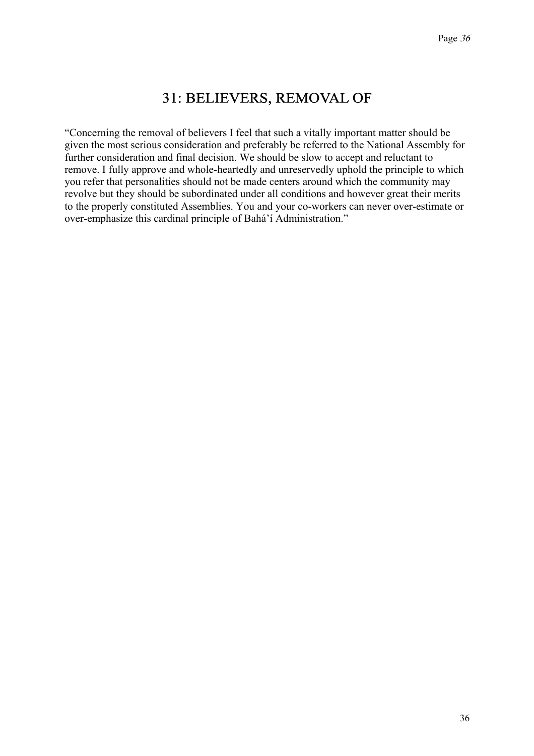#### 31: BELIEVERS, REMOVAL OF

"Concerning the removal of believers I feel that such a vitally important matter should be given the most serious consideration and preferably be referred to the National Assembly for further consideration and final decision. We should be slow to accept and reluctant to remove. I fully approve and whole-heartedly and unreservedly uphold the principle to which you refer that personalities should not be made centers around which the community may revolve but they should be subordinated under all conditions and however great their merits to the properly constituted Assemblies. You and your co-workers can never over-estimate or over-emphasize this cardinal principle of Bahá'í Administration."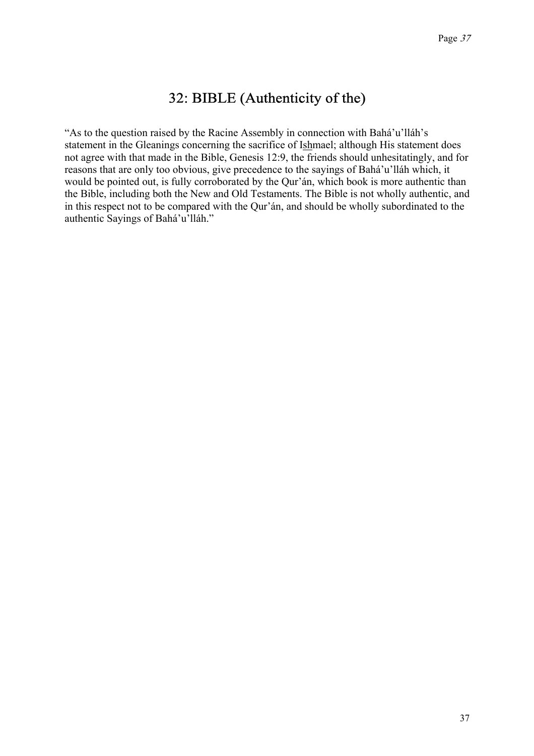### 32: BIBLE (Authenticity of the)

"As to the question raised by the Racine Assembly in connection with Bahá'u'lláh's statement in the Gleanings concerning the sacrifice of Ishmael; although His statement does not agree with that made in the Bible, Genesis 12:9, the friends should unhesitatingly, and for reasons that are only too obvious, give precedence to the sayings of Bahá'u'lláh which, it would be pointed out, is fully corroborated by the Qur'án, which book is more authentic than the Bible, including both the New and Old Testaments. The Bible is not wholly authentic, and in this respect not to be compared with the Qur'án, and should be wholly subordinated to the authentic Sayings of Bahá'u'lláh."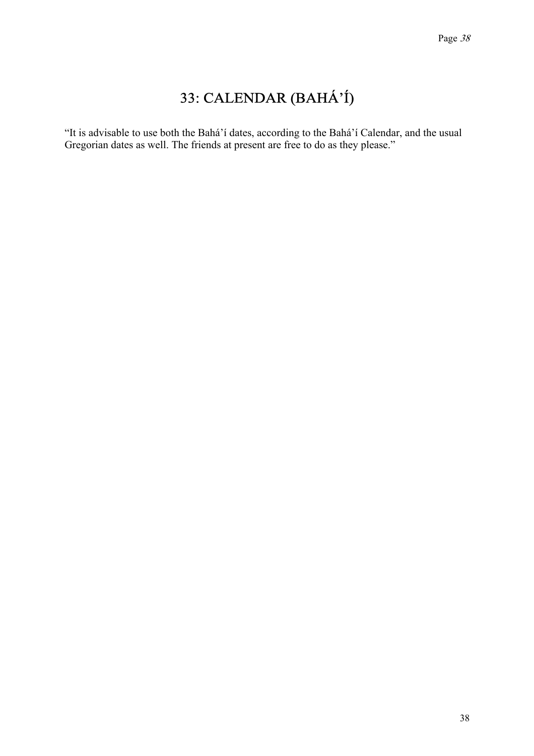# 33: CALENDAR (BAHÁ'Í)

"It is advisable to use both the Bahá'í dates, according to the Bahá'í Calendar, and the usual Gregorian dates as well. The friends at present are free to do as they please."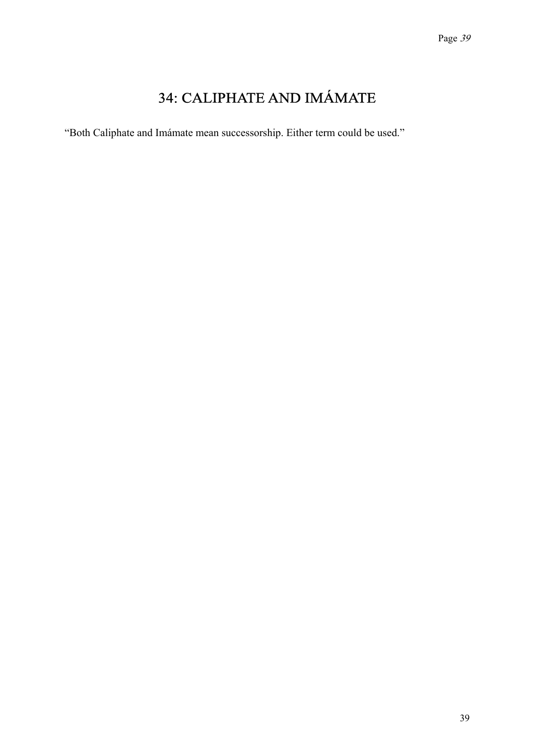# 34: CALIPHATE AND IMÁMATE

"Both Caliphate and Imámate mean successorship. Either term could be used."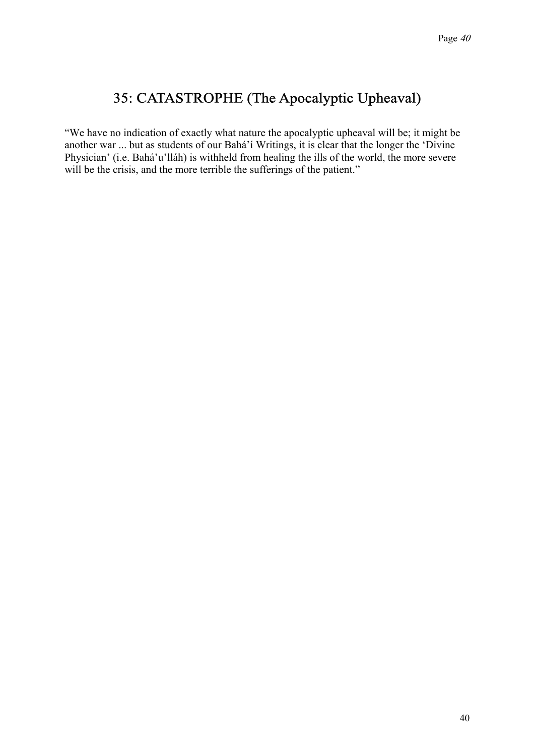## 35: CATASTROPHE (The Apocalyptic Upheaval)

"We have no indication of exactly what nature the apocalyptic upheaval will be; it might be another war ... but as students of our Bahá'í Writings, it is clear that the longer the 'Divine Physician' (i.e. Bahá'u'lláh) is withheld from healing the ills of the world, the more severe will be the crisis, and the more terrible the sufferings of the patient."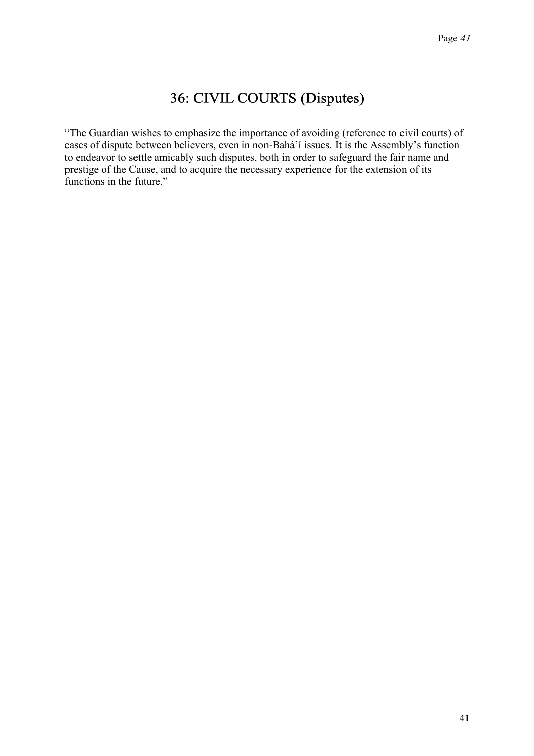## 36: CIVIL COURTS (Disputes)

"The Guardian wishes to emphasize the importance of avoiding (reference to civil courts) of cases of dispute between believers, even in non-Bahá'í issues. It is the Assembly's function to endeavor to settle amicably such disputes, both in order to safeguard the fair name and prestige of the Cause, and to acquire the necessary experience for the extension of its functions in the future."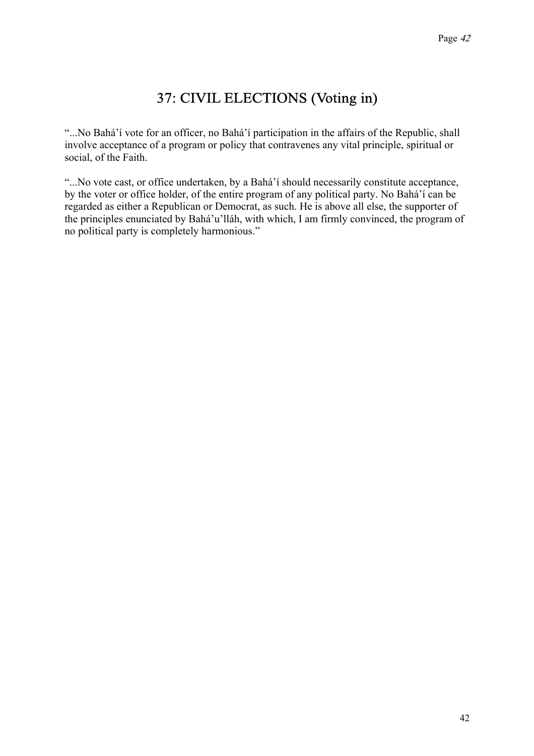### 37: CIVIL ELECTIONS (Voting in)

"...No Bahá'í vote for an officer, no Bahá'í participation in the affairs of the Republic, shall involve acceptance of a program or policy that contravenes any vital principle, spiritual or social, of the Faith.

"...No vote cast, or office undertaken, by a Bahá'í should necessarily constitute acceptance, by the voter or office holder, of the entire program of any political party. No Bahá'í can be regarded as either a Republican or Democrat, as such. He is above all else, the supporter of the principles enunciated by Bahá'u'lláh, with which, I am firmly convinced, the program of no political party is completely harmonious."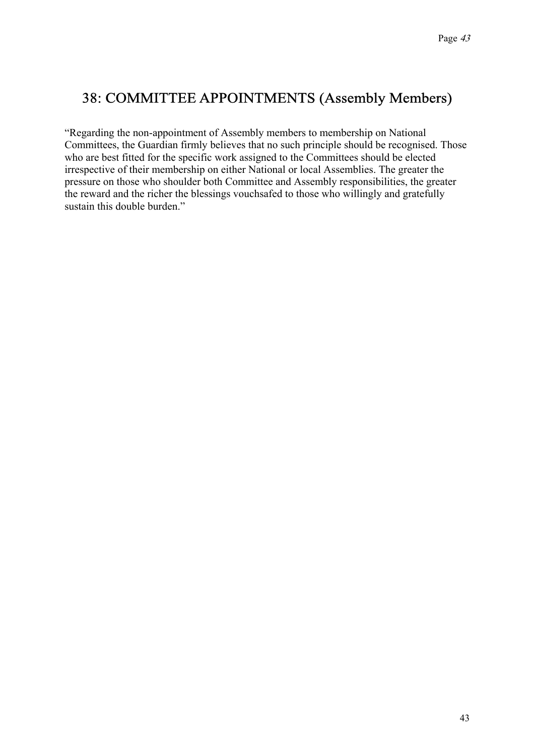### 38: COMMITTEE APPOINTMENTS (Assembly Members)

"Regarding the non-appointment of Assembly members to membership on National Committees, the Guardian firmly believes that no such principle should be recognised. Those who are best fitted for the specific work assigned to the Committees should be elected irrespective of their membership on either National or local Assemblies. The greater the pressure on those who shoulder both Committee and Assembly responsibilities, the greater the reward and the richer the blessings vouchsafed to those who willingly and gratefully sustain this double burden."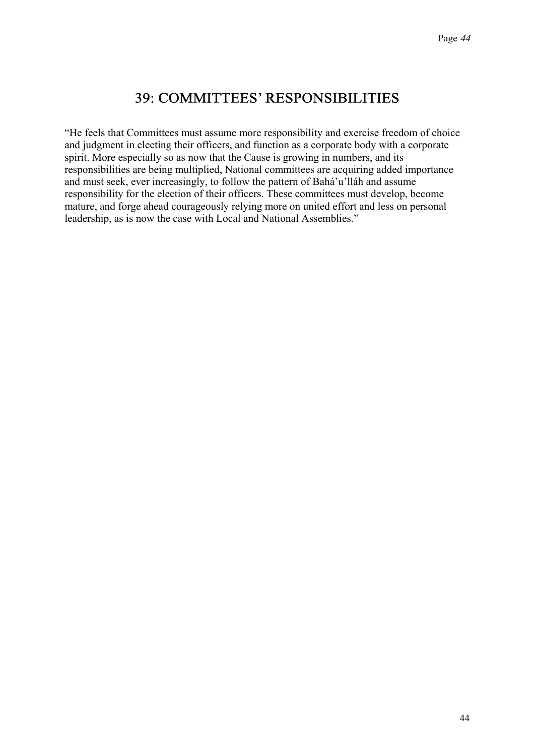### 39: COMMITTEES' RESPONSIBILITIES

"He feels that Committees must assume more responsibility and exercise freedom of choice and judgment in electing their officers, and function as a corporate body with a corporate spirit. More especially so as now that the Cause is growing in numbers, and its responsibilities are being multiplied, National committees are acquiring added importance and must seek, ever increasingly, to follow the pattern of Bahá'u'lláh and assume responsibility for the election of their officers. These committees must develop, become mature, and forge ahead courageously relying more on united effort and less on personal leadership, as is now the case with Local and National Assemblies."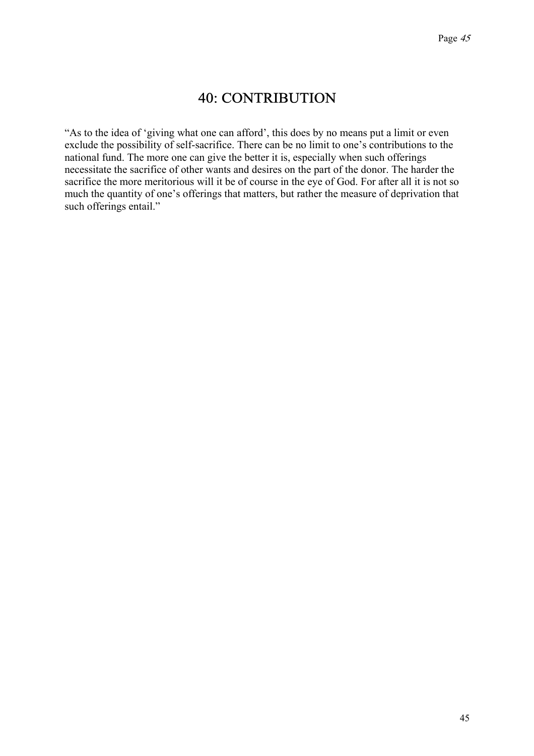#### 40: CONTRIBUTION

"As to the idea of 'giving what one can afford', this does by no means put a limit or even exclude the possibility of self-sacrifice. There can be no limit to one's contributions to the national fund. The more one can give the better it is, especially when such offerings necessitate the sacrifice of other wants and desires on the part of the donor. The harder the sacrifice the more meritorious will it be of course in the eye of God. For after all it is not so much the quantity of one's offerings that matters, but rather the measure of deprivation that such offerings entail."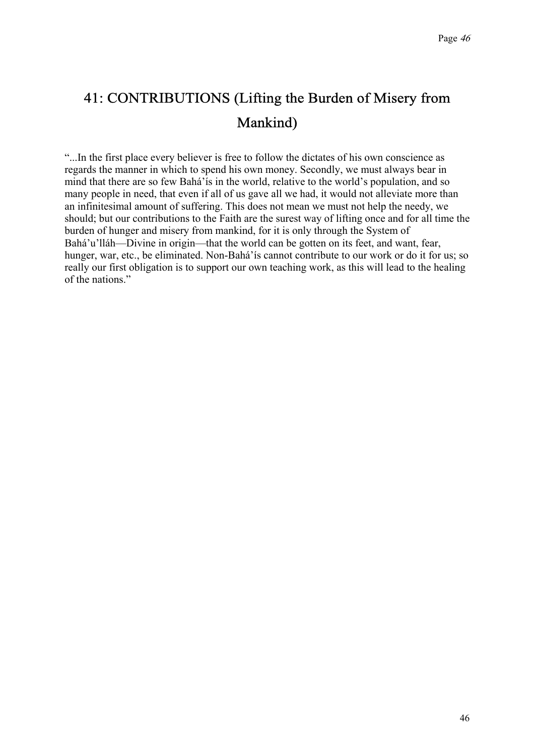# 41: CONTRIBUTIONS (Lifting the Burden of Misery from Mankind)

"...In the first place every believer is free to follow the dictates of his own conscience as regards the manner in which to spend his own money. Secondly, we must always bear in mind that there are so few Bahá'ís in the world, relative to the world's population, and so many people in need, that even if all of us gave all we had, it would not alleviate more than an infinitesimal amount of suffering. This does not mean we must not help the needy, we should; but our contributions to the Faith are the surest way of lifting once and for all time the burden of hunger and misery from mankind, for it is only through the System of Bahá'u'lláh—Divine in origin—that the world can be gotten on its feet, and want, fear, hunger, war, etc., be eliminated. Non-Bahá'ís cannot contribute to our work or do it for us; so really our first obligation is to support our own teaching work, as this will lead to the healing of the nations."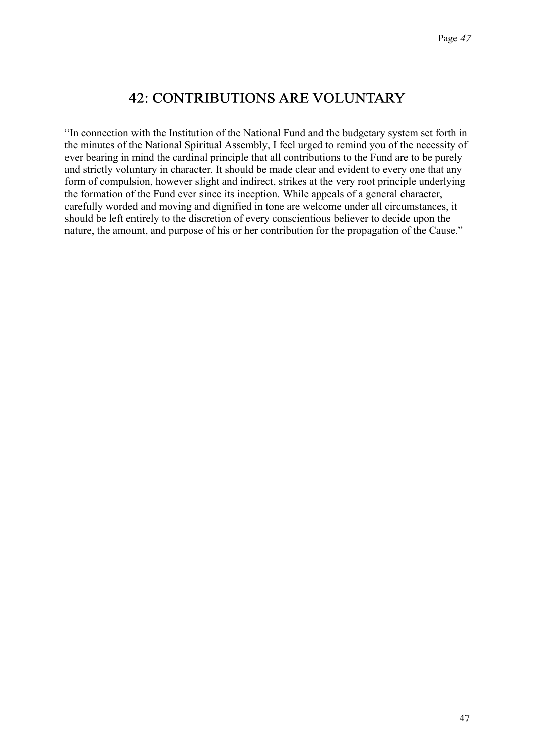### 42: CONTRIBUTIONS ARE VOLUNTARY

"In connection with the Institution of the National Fund and the budgetary system set forth in the minutes of the National Spiritual Assembly, I feel urged to remind you of the necessity of ever bearing in mind the cardinal principle that all contributions to the Fund are to be purely and strictly voluntary in character. It should be made clear and evident to every one that any form of compulsion, however slight and indirect, strikes at the very root principle underlying the formation of the Fund ever since its inception. While appeals of a general character, carefully worded and moving and dignified in tone are welcome under all circumstances, it should be left entirely to the discretion of every conscientious believer to decide upon the nature, the amount, and purpose of his or her contribution for the propagation of the Cause."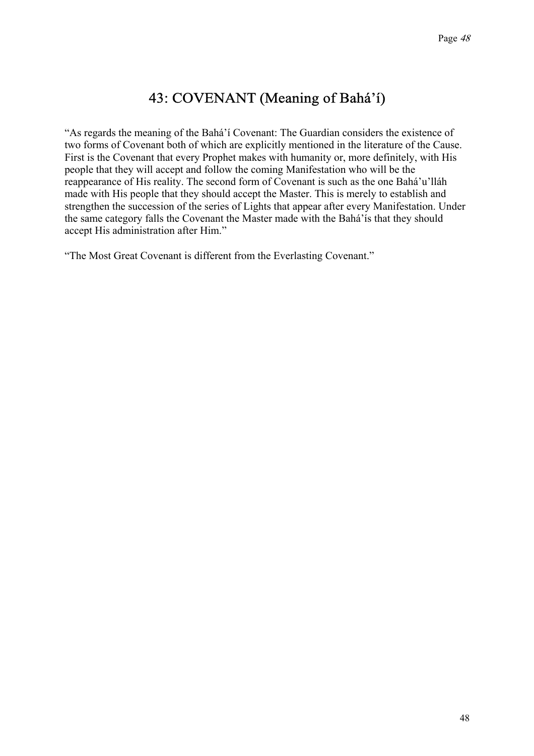## 43: COVENANT (Meaning of Bahá'í)

"As regards the meaning of the Bahá'í Covenant: The Guardian considers the existence of two forms of Covenant both of which are explicitly mentioned in the literature of the Cause. First is the Covenant that every Prophet makes with humanity or, more definitely, with His people that they will accept and follow the coming Manifestation who will be the reappearance of His reality. The second form of Covenant is such as the one Bahá'u'lláh made with His people that they should accept the Master. This is merely to establish and strengthen the succession of the series of Lights that appear after every Manifestation. Under the same category falls the Covenant the Master made with the Bahá'ís that they should accept His administration after Him."

"The Most Great Covenant is different from the Everlasting Covenant."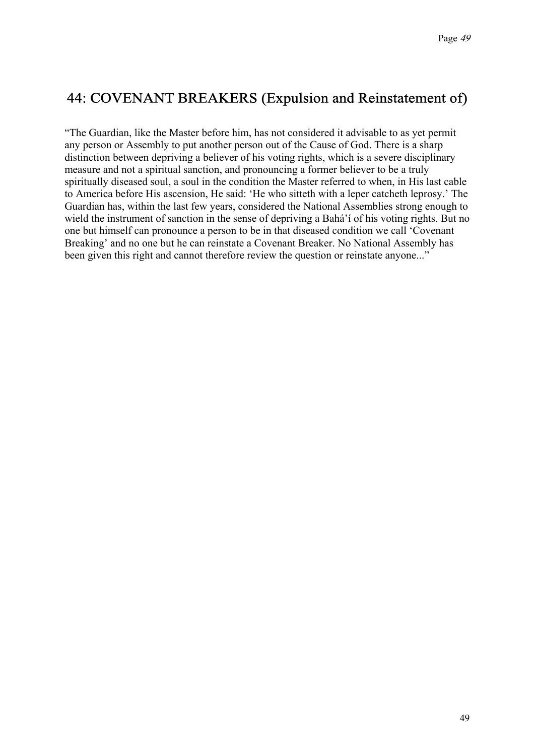### 44: COVENANT BREAKERS (Expulsion and Reinstatement of)

"The Guardian, like the Master before him, has not considered it advisable to as yet permit any person or Assembly to put another person out of the Cause of God. There is a sharp distinction between depriving a believer of his voting rights, which is a severe disciplinary measure and not a spiritual sanction, and pronouncing a former believer to be a truly spiritually diseased soul, a soul in the condition the Master referred to when, in His last cable to America before His ascension, He said: 'He who sitteth with a leper catcheth leprosy.' The Guardian has, within the last few years, considered the National Assemblies strong enough to wield the instrument of sanction in the sense of depriving a Bahá'í of his voting rights. But no one but himself can pronounce a person to be in that diseased condition we call 'Covenant Breaking' and no one but he can reinstate a Covenant Breaker. No National Assembly has been given this right and cannot therefore review the question or reinstate anyone..."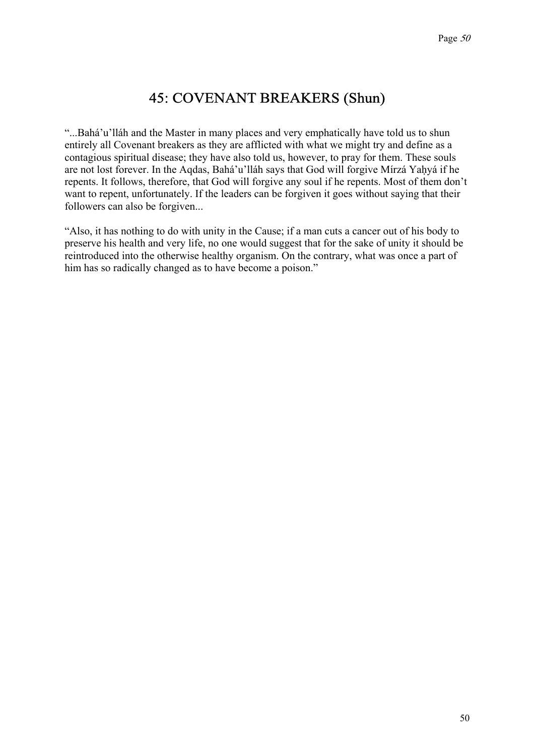### 45: COVENANT BREAKERS (Shun)

"...Bahá'u'lláh and the Master in many places and very emphatically have told us to shun entirely all Covenant breakers as they are afflicted with what we might try and define as a contagious spiritual disease; they have also told us, however, to pray for them. These souls are not lost forever. In the Aqdas, Bahá'u'lláh says that God will forgive Mírzá Yaḥyá if he repents. It follows, therefore, that God will forgive any soul if he repents. Most of them don't want to repent, unfortunately. If the leaders can be forgiven it goes without saying that their followers can also be forgiven...

"Also, it has nothing to do with unity in the Cause; if a man cuts a cancer out of his body to preserve his health and very life, no one would suggest that for the sake of unity it should be reintroduced into the otherwise healthy organism. On the contrary, what was once a part of him has so radically changed as to have become a poison."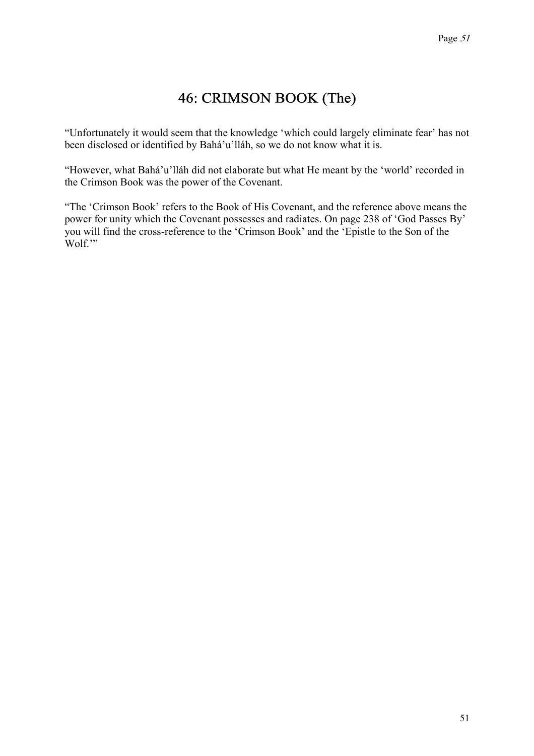### 46: CRIMSON BOOK (The)

"Unfortunately it would seem that the knowledge 'which could largely eliminate fear' has not been disclosed or identified by Bahá'u'lláh, so we do not know what it is.

"However, what Bahá'u'lláh did not elaborate but what He meant by the 'world' recorded in the Crimson Book was the power of the Covenant.

"The 'Crimson Book' refers to the Book of His Covenant, and the reference above means the power for unity which the Covenant possesses and radiates. On page 238 of 'God Passes By' you will find the cross-reference to the 'Crimson Book' and the 'Epistle to the Son of the Wolf."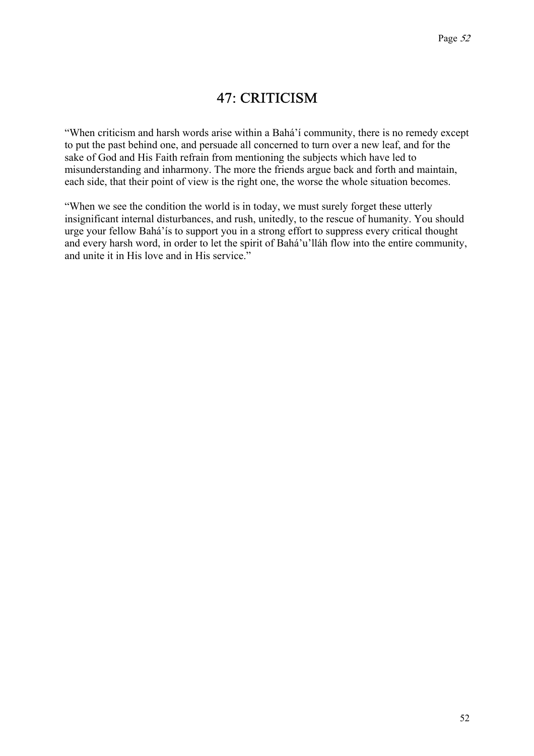### 47: CRITICISM

"When criticism and harsh words arise within a Bahá'í community, there is no remedy except to put the past behind one, and persuade all concerned to turn over a new leaf, and for the sake of God and His Faith refrain from mentioning the subjects which have led to misunderstanding and inharmony. The more the friends argue back and forth and maintain, each side, that their point of view is the right one, the worse the whole situation becomes.

"When we see the condition the world is in today, we must surely forget these utterly insignificant internal disturbances, and rush, unitedly, to the rescue of humanity. You should urge your fellow Bahá'ís to support you in a strong effort to suppress every critical thought and every harsh word, in order to let the spirit of Bahá'u'lláh flow into the entire community, and unite it in His love and in His service."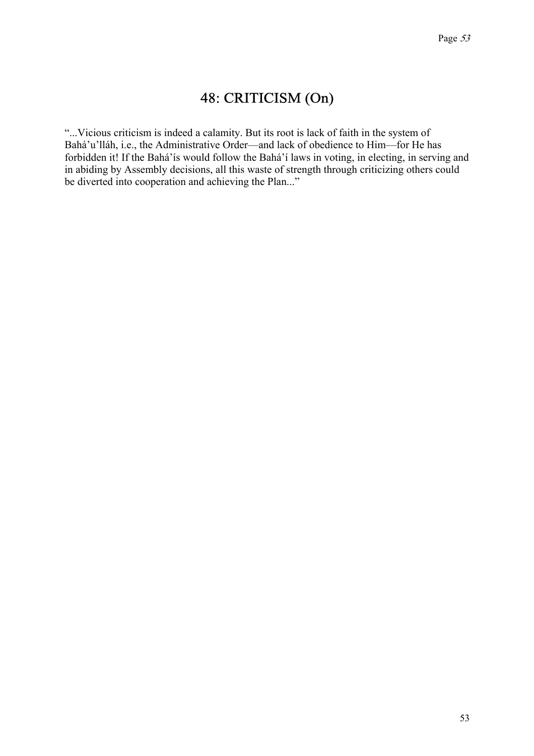## 48: CRITICISM (On)

"...Vicious criticism is indeed a calamity. But its root is lack of faith in the system of Bahá'u'lláh, i.e., the Administrative Order—and lack of obedience to Him—for He has forbidden it! If the Bahá'ís would follow the Bahá'í laws in voting, in electing, in serving and in abiding by Assembly decisions, all this waste of strength through criticizing others could be diverted into cooperation and achieving the Plan..."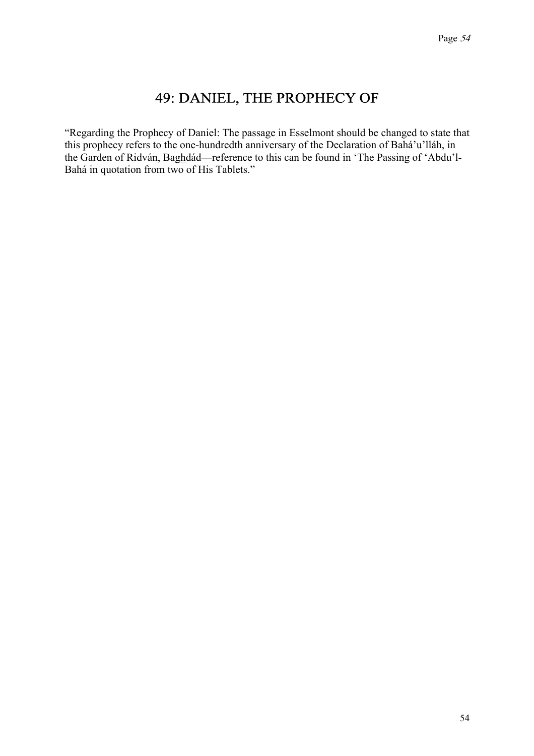## 49: DANIEL, THE PROPHECY OF

"Regarding the Prophecy of Daniel: The passage in Esselmont should be changed to state that this prophecy refers to the one-hundredth anniversary of the Declaration of Bahá'u'lláh, in the Garden of Ridván, Baghdád—reference to this can be found in 'The Passing of 'Abdu'l-Bahá in quotation from two of His Tablets."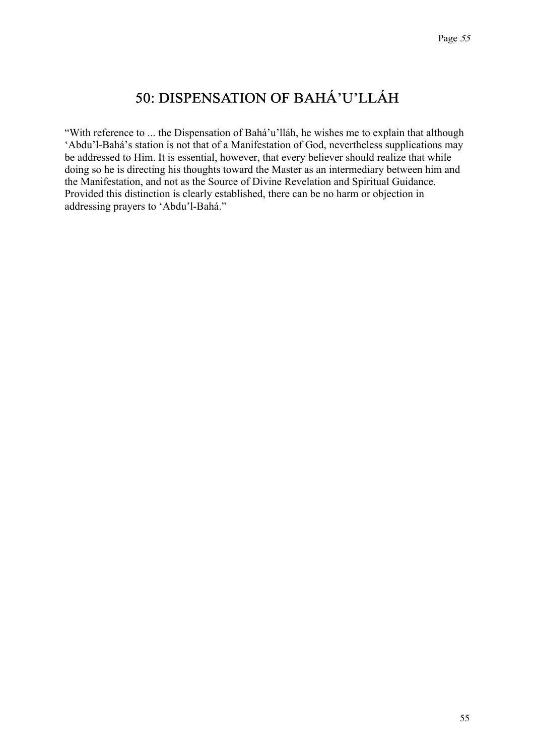## 50: DISPENSATION OF BAHÁ'U'LLÁH

"With reference to ... the Dispensation of Bahá'u'lláh, he wishes me to explain that although 'Abdu'l-Bahá's station is not that of a Manifestation of God, nevertheless supplications may be addressed to Him. It is essential, however, that every believer should realize that while doing so he is directing his thoughts toward the Master as an intermediary between him and the Manifestation, and not as the Source of Divine Revelation and Spiritual Guidance. Provided this distinction is clearly established, there can be no harm or objection in addressing prayers to 'Abdu'l-Bahá."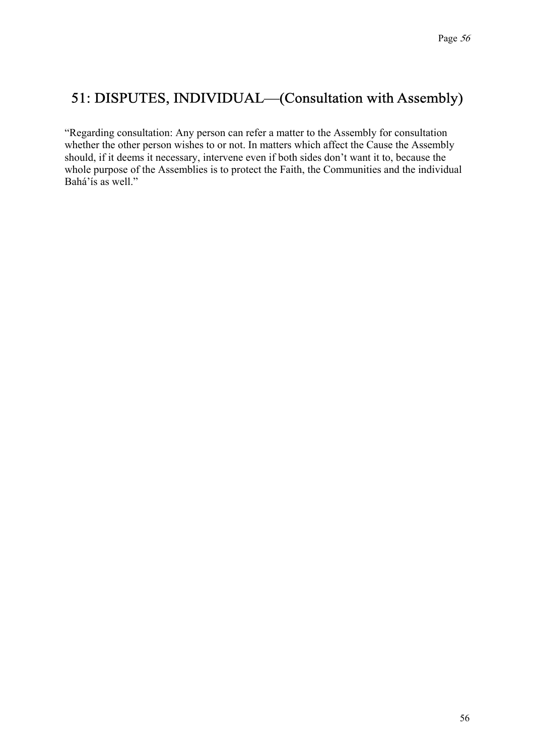## 51: DISPUTES, INDIVIDUAL—(Consultation with Assembly)

"Regarding consultation: Any person can refer a matter to the Assembly for consultation whether the other person wishes to or not. In matters which affect the Cause the Assembly should, if it deems it necessary, intervene even if both sides don't want it to, because the whole purpose of the Assemblies is to protect the Faith, the Communities and the individual Bahá'ís as well."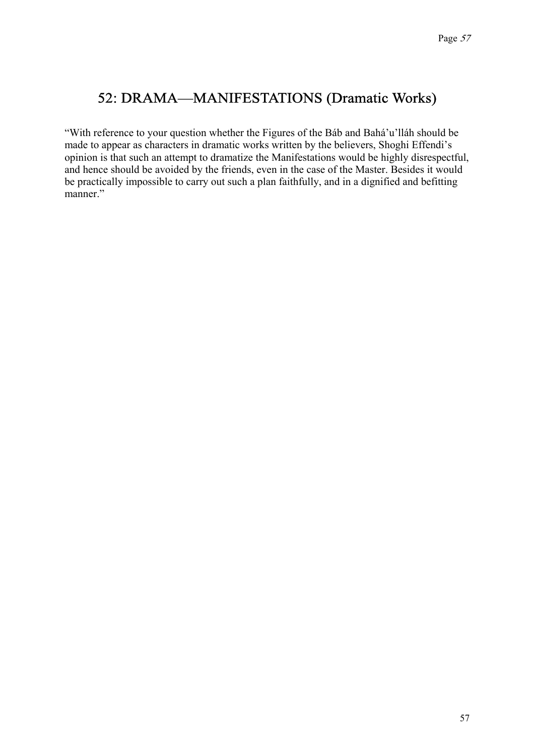### 52: DRAMA—MANIFESTATIONS (Dramatic Works)

"With reference to your question whether the Figures of the Báb and Bahá'u'lláh should be made to appear as characters in dramatic works written by the believers, Shoghi Effendi's opinion is that such an attempt to dramatize the Manifestations would be highly disrespectful, and hence should be avoided by the friends, even in the case of the Master. Besides it would be practically impossible to carry out such a plan faithfully, and in a dignified and befitting manner."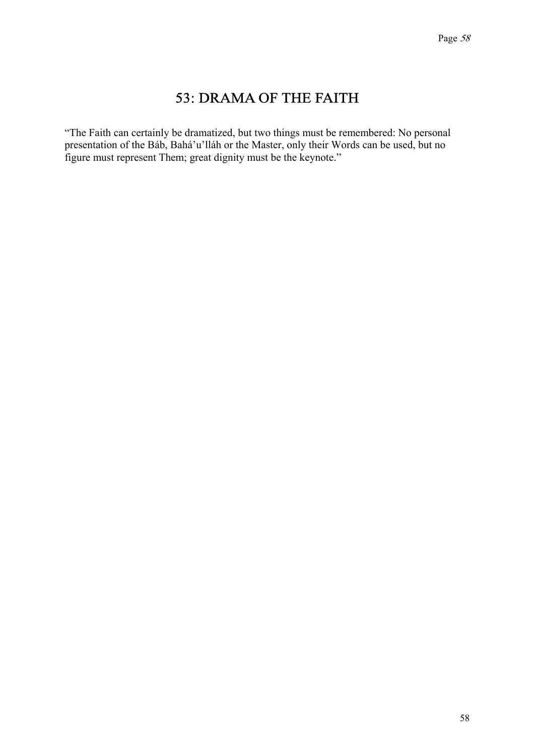## 53: DRAMA OF THE FAITH

"The Faith can certainly be dramatized, but two things must be remembered: No personal presentation of the Báb, Bahá'u'lláh or the Master, only their Words can be used, but no figure must represent Them; great dignity must be the keynote."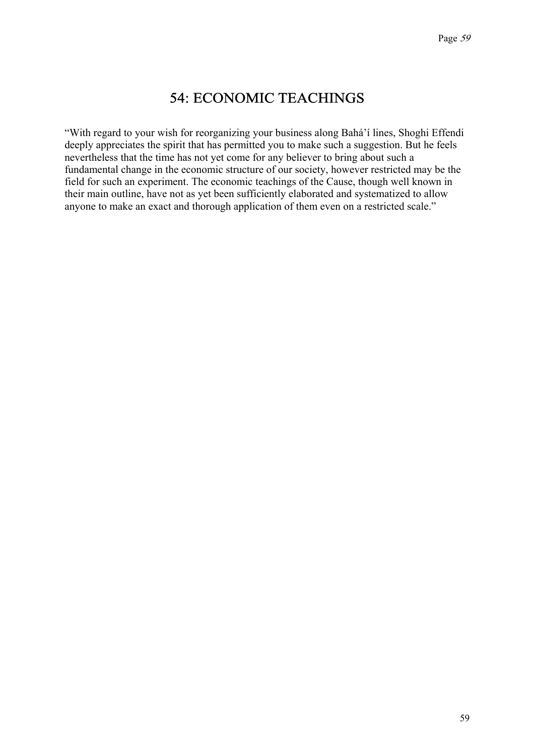### 54: ECONOMIC TEACHINGS

"With regard to your wish for reorganizing your business along Bahá'í lines, Shoghi Effendi deeply appreciates the spirit that has permitted you to make such a suggestion. But he feels nevertheless that the time has not yet come for any believer to bring about such a fundamental change in the economic structure of our society, however restricted may be the field for such an experiment. The economic teachings of the Cause, though well known in their main outline, have not as yet been sufficiently elaborated and systematized to allow anyone to make an exact and thorough application of them even on a restricted scale."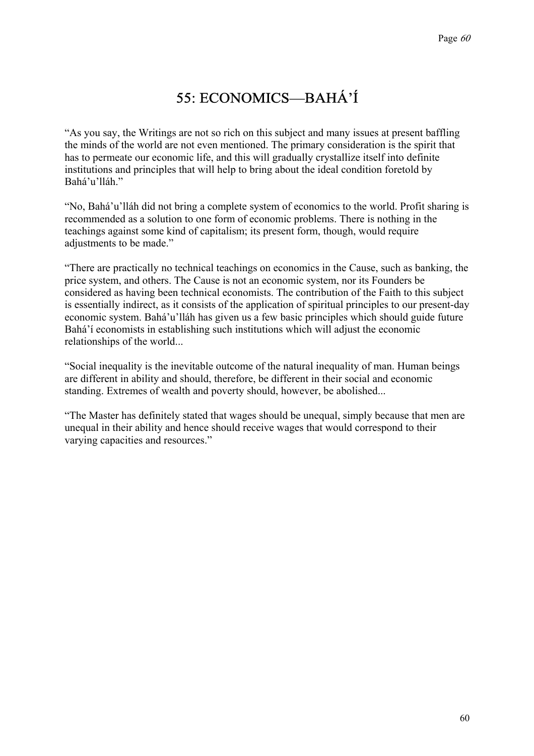## 55: ECONOMICS—BAHÁ'Í

"As you say, the Writings are not so rich on this subject and many issues at present baffling the minds of the world are not even mentioned. The primary consideration is the spirit that has to permeate our economic life, and this will gradually crystallize itself into definite institutions and principles that will help to bring about the ideal condition foretold by Bahá'u'lláh<sup>"</sup>

"No, Bahá'u'lláh did not bring a complete system of economics to the world. Profit sharing is recommended as a solution to one form of economic problems. There is nothing in the teachings against some kind of capitalism; its present form, though, would require adjustments to be made."

"There are practically no technical teachings on economics in the Cause, such as banking, the price system, and others. The Cause is not an economic system, nor its Founders be considered as having been technical economists. The contribution of the Faith to this subject is essentially indirect, as it consists of the application of spiritual principles to our present-day economic system. Bahá'u'lláh has given us a few basic principles which should guide future Bahá'í economists in establishing such institutions which will adjust the economic relationships of the world...

"Social inequality is the inevitable outcome of the natural inequality of man. Human beings are different in ability and should, therefore, be different in their social and economic standing. Extremes of wealth and poverty should, however, be abolished...

"The Master has definitely stated that wages should be unequal, simply because that men are unequal in their ability and hence should receive wages that would correspond to their varying capacities and resources."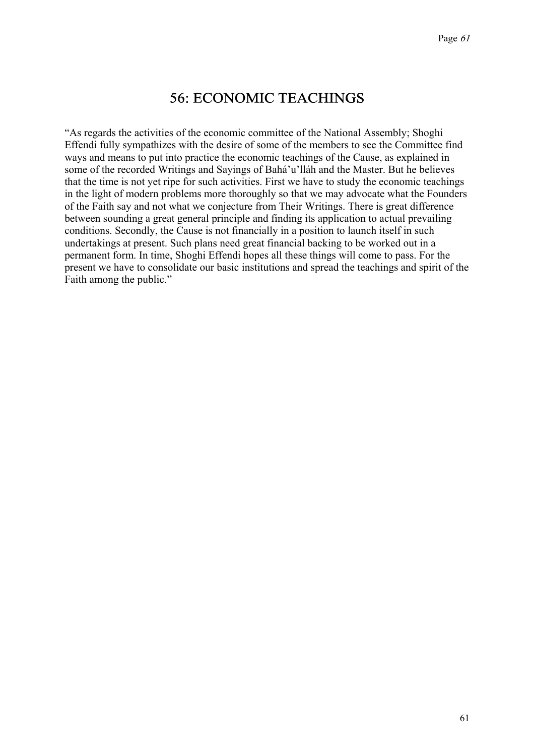#### 56: ECONOMIC TEACHINGS

"As regards the activities of the economic committee of the National Assembly; Shoghi Effendi fully sympathizes with the desire of some of the members to see the Committee find ways and means to put into practice the economic teachings of the Cause, as explained in some of the recorded Writings and Sayings of Bahá'u'lláh and the Master. But he believes that the time is not yet ripe for such activities. First we have to study the economic teachings in the light of modern problems more thoroughly so that we may advocate what the Founders of the Faith say and not what we conjecture from Their Writings. There is great difference between sounding a great general principle and finding its application to actual prevailing conditions. Secondly, the Cause is not financially in a position to launch itself in such undertakings at present. Such plans need great financial backing to be worked out in a permanent form. In time, Shoghi Effendi hopes all these things will come to pass. For the present we have to consolidate our basic institutions and spread the teachings and spirit of the Faith among the public."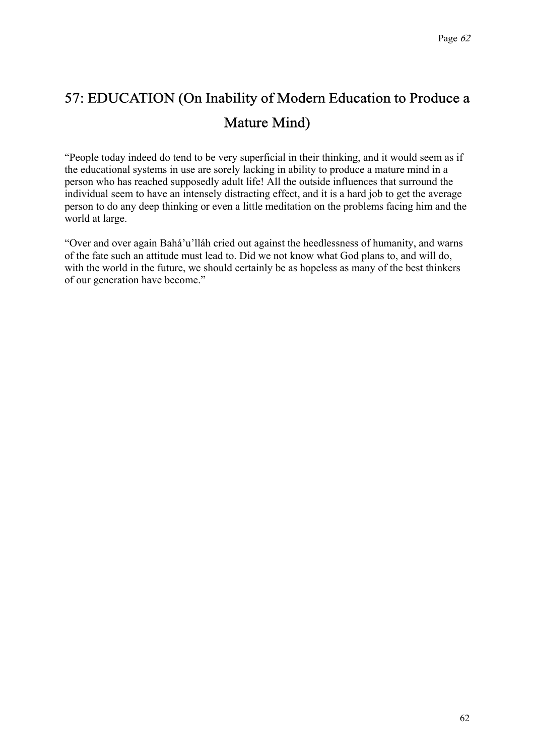# 57: EDUCATION (On Inability of Modern Education to Produce a Mature Mind)

"People today indeed do tend to be very superficial in their thinking, and it would seem as if the educational systems in use are sorely lacking in ability to produce a mature mind in a person who has reached supposedly adult life! All the outside influences that surround the individual seem to have an intensely distracting effect, and it is a hard job to get the average person to do any deep thinking or even a little meditation on the problems facing him and the world at large.

"Over and over again Bahá'u'lláh cried out against the heedlessness of humanity, and warns of the fate such an attitude must lead to. Did we not know what God plans to, and will do, with the world in the future, we should certainly be as hopeless as many of the best thinkers of our generation have become."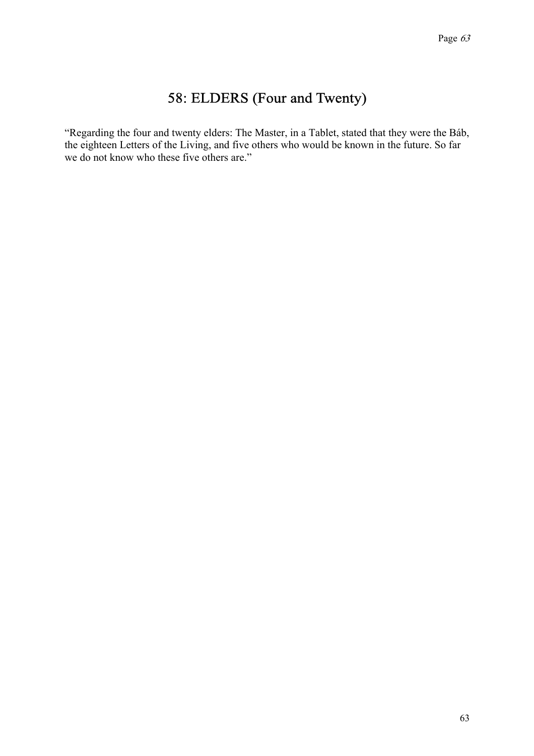## 58: ELDERS (Four and Twenty)

"Regarding the four and twenty elders: The Master, in a Tablet, stated that they were the Báb, the eighteen Letters of the Living, and five others who would be known in the future. So far we do not know who these five others are."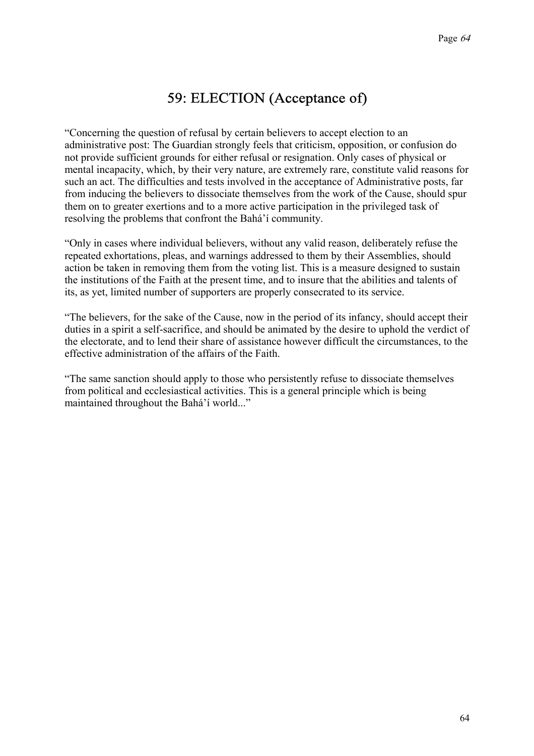### 59: ELECTION (Acceptance of)

"Concerning the question of refusal by certain believers to accept election to an administrative post: The Guardian strongly feels that criticism, opposition, or confusion do not provide sufficient grounds for either refusal or resignation. Only cases of physical or mental incapacity, which, by their very nature, are extremely rare, constitute valid reasons for such an act. The difficulties and tests involved in the acceptance of Administrative posts, far from inducing the believers to dissociate themselves from the work of the Cause, should spur them on to greater exertions and to a more active participation in the privileged task of resolving the problems that confront the Bahá'í community.

"Only in cases where individual believers, without any valid reason, deliberately refuse the repeated exhortations, pleas, and warnings addressed to them by their Assemblies, should action be taken in removing them from the voting list. This is a measure designed to sustain the institutions of the Faith at the present time, and to insure that the abilities and talents of its, as yet, limited number of supporters are properly consecrated to its service.

"The believers, for the sake of the Cause, now in the period of its infancy, should accept their duties in a spirit a self-sacrifice, and should be animated by the desire to uphold the verdict of the electorate, and to lend their share of assistance however difficult the circumstances, to the effective administration of the affairs of the Faith.

"The same sanction should apply to those who persistently refuse to dissociate themselves from political and ecclesiastical activities. This is a general principle which is being maintained throughout the Bahá'í world..."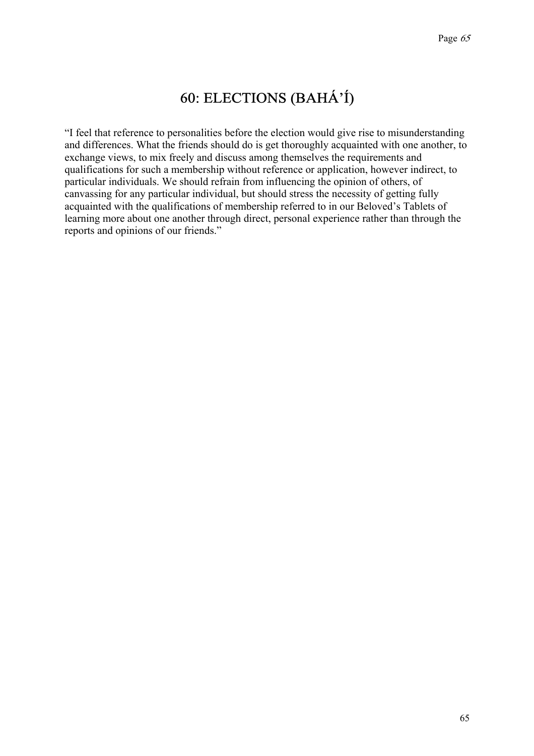## 60: ELECTIONS (BAHÁ'Í)

"I feel that reference to personalities before the election would give rise to misunderstanding and differences. What the friends should do is get thoroughly acquainted with one another, to exchange views, to mix freely and discuss among themselves the requirements and qualifications for such a membership without reference or application, however indirect, to particular individuals. We should refrain from influencing the opinion of others, of canvassing for any particular individual, but should stress the necessity of getting fully acquainted with the qualifications of membership referred to in our Beloved's Tablets of learning more about one another through direct, personal experience rather than through the reports and opinions of our friends."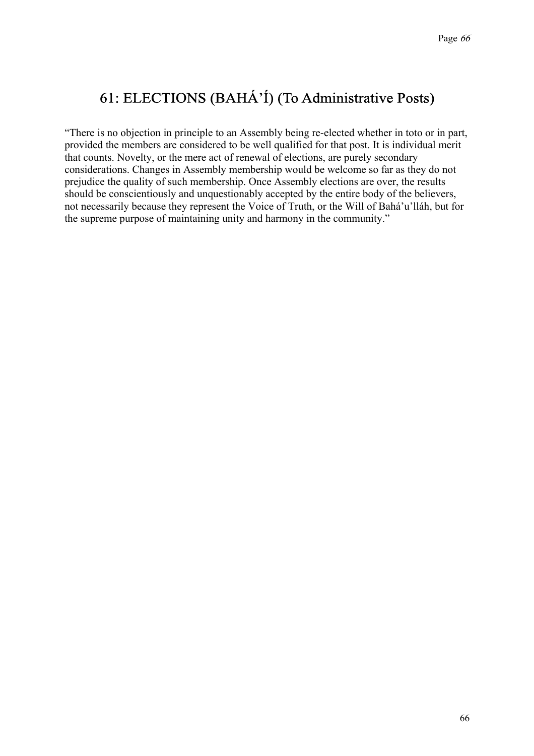## 61: ELECTIONS (BAHÁ'Í) (To Administrative Posts)

"There is no objection in principle to an Assembly being re-elected whether in toto or in part, provided the members are considered to be well qualified for that post. It is individual merit that counts. Novelty, or the mere act of renewal of elections, are purely secondary considerations. Changes in Assembly membership would be welcome so far as they do not prejudice the quality of such membership. Once Assembly elections are over, the results should be conscientiously and unquestionably accepted by the entire body of the believers, not necessarily because they represent the Voice of Truth, or the Will of Bahá'u'lláh, but for the supreme purpose of maintaining unity and harmony in the community."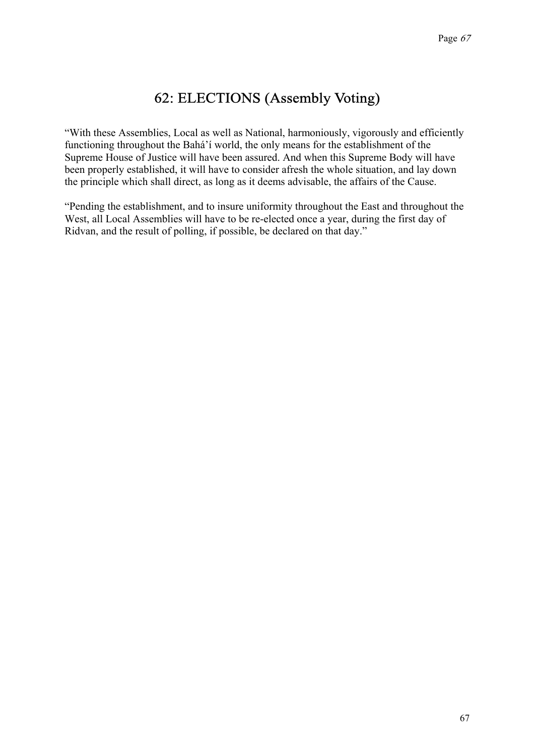### 62: ELECTIONS (Assembly Voting)

"With these Assemblies, Local as well as National, harmoniously, vigorously and efficiently functioning throughout the Bahá'í world, the only means for the establishment of the Supreme House of Justice will have been assured. And when this Supreme Body will have been properly established, it will have to consider afresh the whole situation, and lay down the principle which shall direct, as long as it deems advisable, the affairs of the Cause.

"Pending the establishment, and to insure uniformity throughout the East and throughout the West, all Local Assemblies will have to be re-elected once a year, during the first day of Ridvan, and the result of polling, if possible, be declared on that day."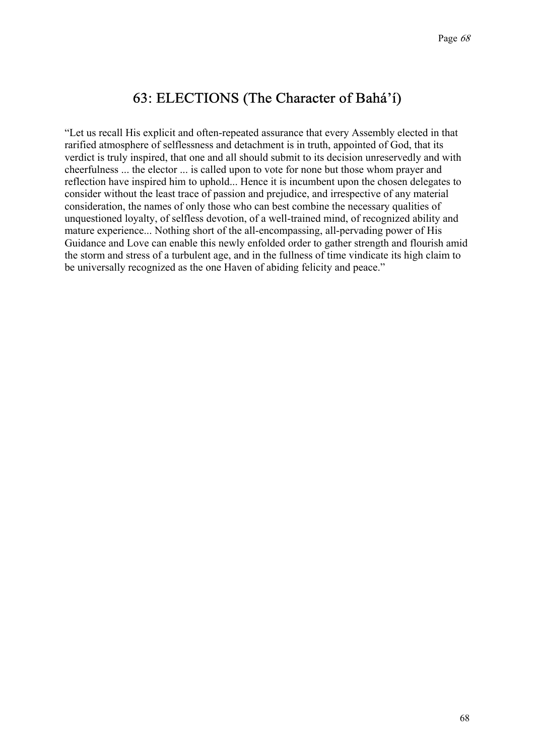#### 63: ELECTIONS (The Character of Bahá'í)

"Let us recall His explicit and often-repeated assurance that every Assembly elected in that rarified atmosphere of selflessness and detachment is in truth, appointed of God, that its verdict is truly inspired, that one and all should submit to its decision unreservedly and with cheerfulness ... the elector ... is called upon to vote for none but those whom prayer and reflection have inspired him to uphold... Hence it is incumbent upon the chosen delegates to consider without the least trace of passion and prejudice, and irrespective of any material consideration, the names of only those who can best combine the necessary qualities of unquestioned loyalty, of selfless devotion, of a well-trained mind, of recognized ability and mature experience... Nothing short of the all-encompassing, all-pervading power of His Guidance and Love can enable this newly enfolded order to gather strength and flourish amid the storm and stress of a turbulent age, and in the fullness of time vindicate its high claim to be universally recognized as the one Haven of abiding felicity and peace."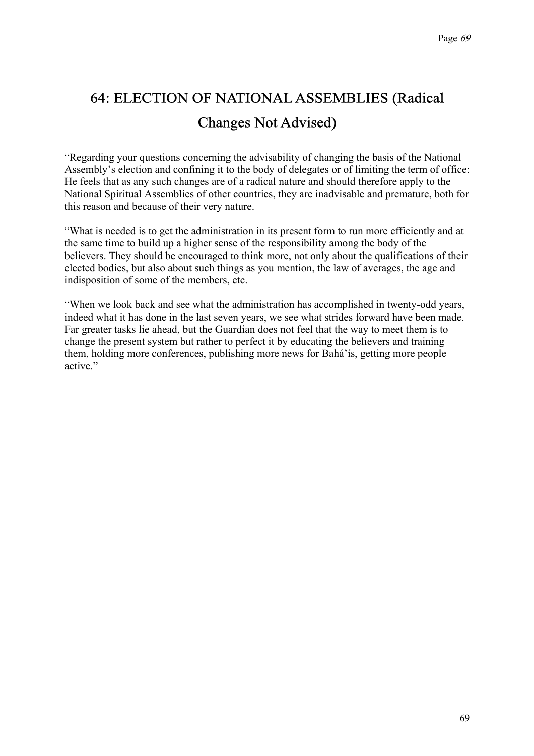# 64: ELECTION OF NATIONAL ASSEMBLIES (Radical Changes Not Advised)

"Regarding your questions concerning the advisability of changing the basis of the National Assembly's election and confining it to the body of delegates or of limiting the term of office: He feels that as any such changes are of a radical nature and should therefore apply to the National Spiritual Assemblies of other countries, they are inadvisable and premature, both for this reason and because of their very nature.

"What is needed is to get the administration in its present form to run more efficiently and at the same time to build up a higher sense of the responsibility among the body of the believers. They should be encouraged to think more, not only about the qualifications of their elected bodies, but also about such things as you mention, the law of averages, the age and indisposition of some of the members, etc.

"When we look back and see what the administration has accomplished in twenty-odd years, indeed what it has done in the last seven years, we see what strides forward have been made. Far greater tasks lie ahead, but the Guardian does not feel that the way to meet them is to change the present system but rather to perfect it by educating the believers and training them, holding more conferences, publishing more news for Bahá'ís, getting more people active."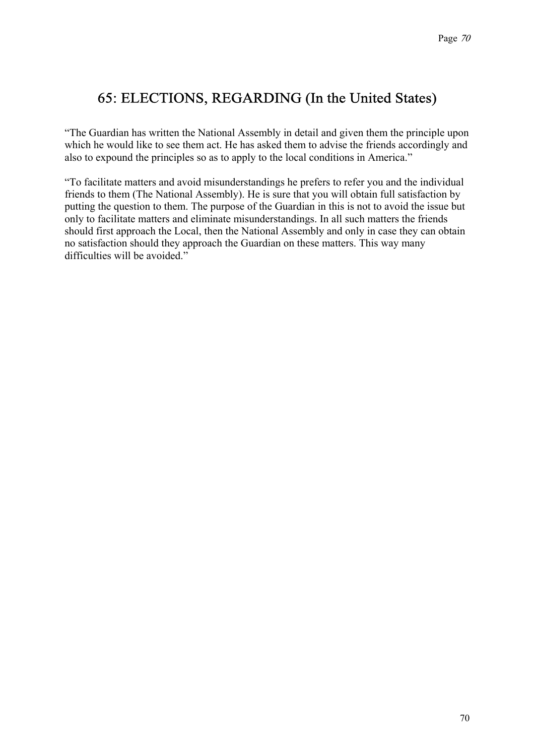### 65: ELECTIONS, REGARDING (In the United States)

"The Guardian has written the National Assembly in detail and given them the principle upon which he would like to see them act. He has asked them to advise the friends accordingly and also to expound the principles so as to apply to the local conditions in America."

"To facilitate matters and avoid misunderstandings he prefers to refer you and the individual friends to them (The National Assembly). He is sure that you will obtain full satisfaction by putting the question to them. The purpose of the Guardian in this is not to avoid the issue but only to facilitate matters and eliminate misunderstandings. In all such matters the friends should first approach the Local, then the National Assembly and only in case they can obtain no satisfaction should they approach the Guardian on these matters. This way many difficulties will be avoided."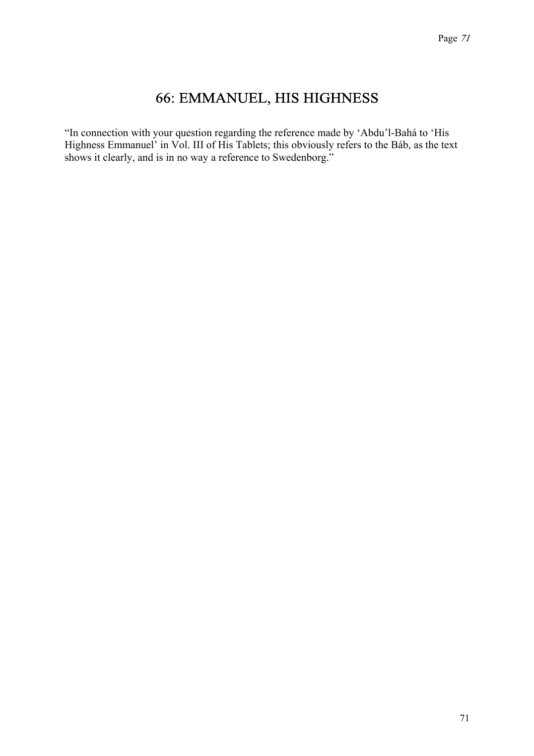### 66: EMMANUEL, HIS HIGHNESS

"In connection with your question regarding the reference made by 'Abdu'l-Bahá to 'His Highness Emmanuel' in Vol. III of His Tablets; this obviously refers to the Báb, as the text shows it clearly, and is in no way a reference to Swedenborg."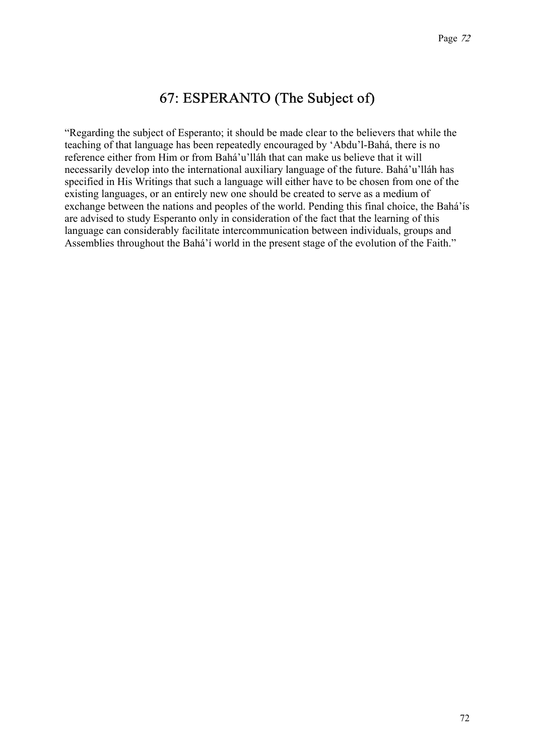### 67: ESPERANTO (The Subject of)

"Regarding the subject of Esperanto; it should be made clear to the believers that while the teaching of that language has been repeatedly encouraged by 'Abdu'l-Bahá, there is no reference either from Him or from Bahá'u'lláh that can make us believe that it will necessarily develop into the international auxiliary language of the future. Bahá'u'lláh has specified in His Writings that such a language will either have to be chosen from one of the existing languages, or an entirely new one should be created to serve as a medium of exchange between the nations and peoples of the world. Pending this final choice, the Bahá'ís are advised to study Esperanto only in consideration of the fact that the learning of this language can considerably facilitate intercommunication between individuals, groups and Assemblies throughout the Bahá'í world in the present stage of the evolution of the Faith."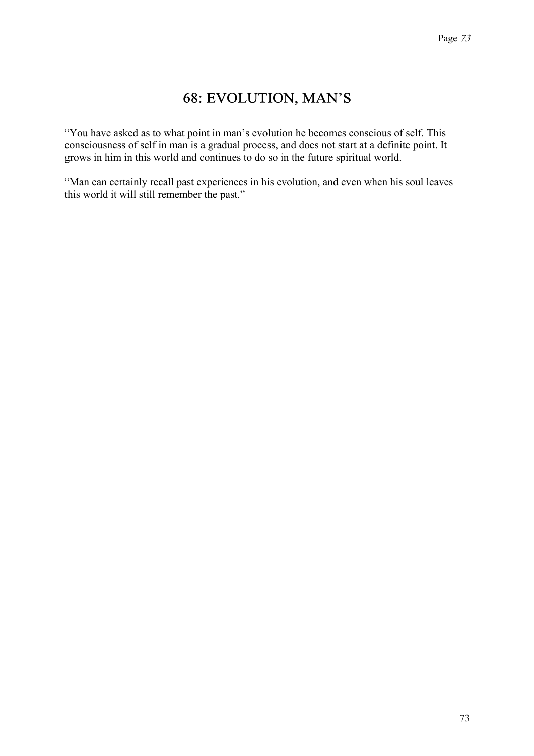### 68: EVOLUTION, MAN'S

"You have asked as to what point in man's evolution he becomes conscious of self. This consciousness of self in man is a gradual process, and does not start at a definite point. It grows in him in this world and continues to do so in the future spiritual world.

"Man can certainly recall past experiences in his evolution, and even when his soul leaves this world it will still remember the past."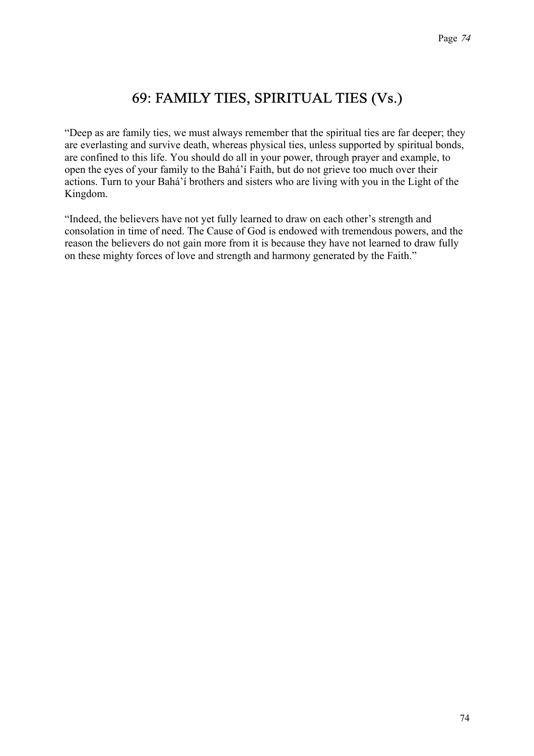### 69: FAMILY TIES, SPIRITUAL TIES (Vs.)

"Deep as are family ties, we must always remember that the spiritual ties are far deeper; they are everlasting and survive death, whereas physical ties, unless supported by spiritual bonds, are confined to this life. You should do all in your power, through prayer and example, to open the eyes of your family to the Bahá'í Faith, but do not grieve too much over their actions. Turn to your Bahá'í brothers and sisters who are living with you in the Light of the Kingdom.

"Indeed, the believers have not yet fully learned to draw on each other's strength and consolation in time of need. The Cause of God is endowed with tremendous powers, and the reason the believers do not gain more from it is because they have not learned to draw fully on these mighty forces of love and strength and harmony generated by the Faith."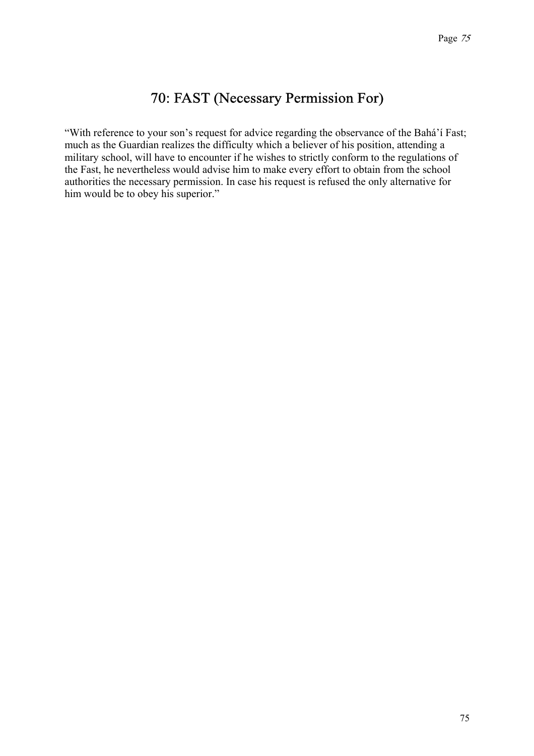### 70: FAST (Necessary Permission For)

"With reference to your son's request for advice regarding the observance of the Bahá'í Fast; much as the Guardian realizes the difficulty which a believer of his position, attending a military school, will have to encounter if he wishes to strictly conform to the regulations of the Fast, he nevertheless would advise him to make every effort to obtain from the school authorities the necessary permission. In case his request is refused the only alternative for him would be to obey his superior."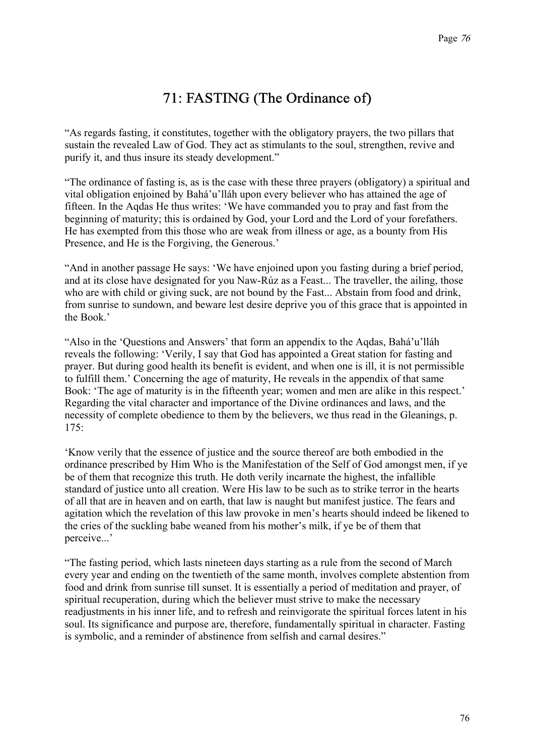### 71: FASTING (The Ordinance of)

"As regards fasting, it constitutes, together with the obligatory prayers, the two pillars that sustain the revealed Law of God. They act as stimulants to the soul, strengthen, revive and purify it, and thus insure its steady development."

"The ordinance of fasting is, as is the case with these three prayers (obligatory) a spiritual and vital obligation enjoined by Bahá'u'lláh upon every believer who has attained the age of fifteen. In the Aqdas He thus writes: 'We have commanded you to pray and fast from the beginning of maturity; this is ordained by God, your Lord and the Lord of your forefathers. He has exempted from this those who are weak from illness or age, as a bounty from His Presence, and He is the Forgiving, the Generous.'

"And in another passage He says: 'We have enjoined upon you fasting during a brief period, and at its close have designated for you Naw-Rúz as a Feast... The traveller, the ailing, those who are with child or giving suck, are not bound by the Fast... Abstain from food and drink, from sunrise to sundown, and beware lest desire deprive you of this grace that is appointed in the Book.'

"Also in the 'Questions and Answers' that form an appendix to the Aqdas, Bahá'u'lláh reveals the following: 'Verily, I say that God has appointed a Great station for fasting and prayer. But during good health its benefit is evident, and when one is ill, it is not permissible to fulfill them.' Concerning the age of maturity, He reveals in the appendix of that same Book: 'The age of maturity is in the fifteenth year; women and men are alike in this respect.' Regarding the vital character and importance of the Divine ordinances and laws, and the necessity of complete obedience to them by the believers, we thus read in the Gleanings, p. 175:

'Know verily that the essence of justice and the source thereof are both embodied in the ordinance prescribed by Him Who is the Manifestation of the Self of God amongst men, if ye be of them that recognize this truth. He doth verily incarnate the highest, the infallible standard of justice unto all creation. Were His law to be such as to strike terror in the hearts of all that are in heaven and on earth, that law is naught but manifest justice. The fears and agitation which the revelation of this law provoke in men's hearts should indeed be likened to the cries of the suckling babe weaned from his mother's milk, if ye be of them that perceive...'

"The fasting period, which lasts nineteen days starting as a rule from the second of March every year and ending on the twentieth of the same month, involves complete abstention from food and drink from sunrise till sunset. It is essentially a period of meditation and prayer, of spiritual recuperation, during which the believer must strive to make the necessary readjustments in his inner life, and to refresh and reinvigorate the spiritual forces latent in his soul. Its significance and purpose are, therefore, fundamentally spiritual in character. Fasting is symbolic, and a reminder of abstinence from selfish and carnal desires."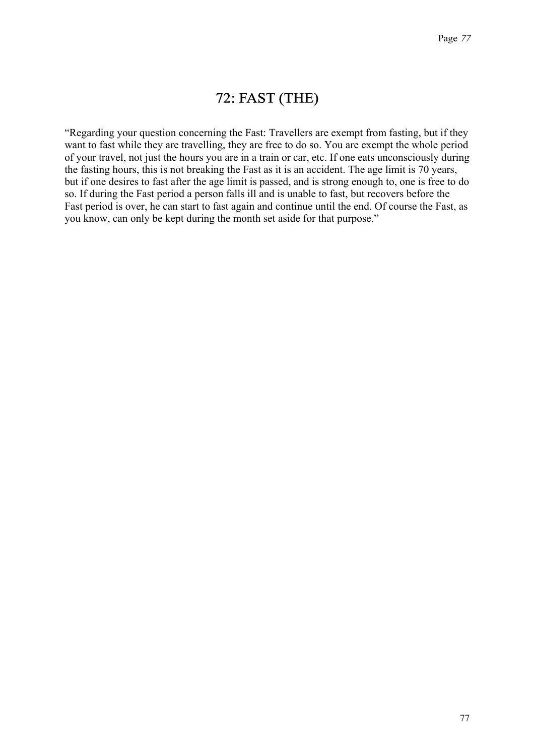#### 72: FAST (THE)

"Regarding your question concerning the Fast: Travellers are exempt from fasting, but if they want to fast while they are travelling, they are free to do so. You are exempt the whole period of your travel, not just the hours you are in a train or car, etc. If one eats unconsciously during the fasting hours, this is not breaking the Fast as it is an accident. The age limit is 70 years, but if one desires to fast after the age limit is passed, and is strong enough to, one is free to do so. If during the Fast period a person falls ill and is unable to fast, but recovers before the Fast period is over, he can start to fast again and continue until the end. Of course the Fast, as you know, can only be kept during the month set aside for that purpose."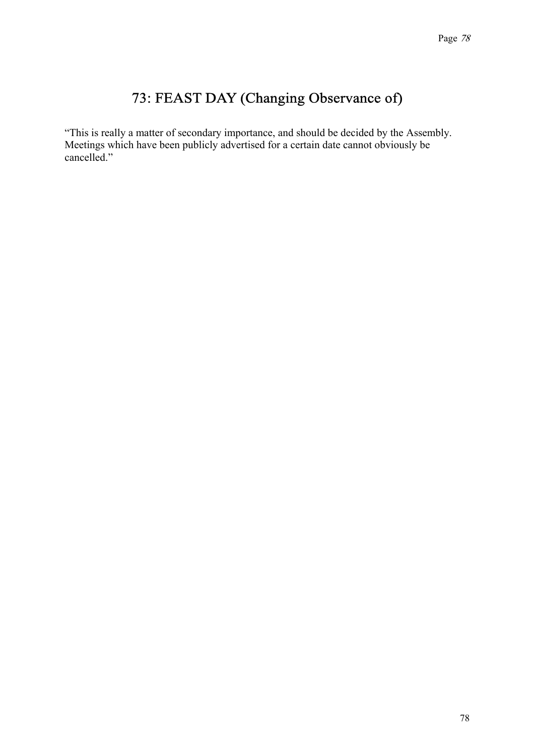# 73: FEAST DAY (Changing Observance of)

"This is really a matter of secondary importance, and should be decided by the Assembly. Meetings which have been publicly advertised for a certain date cannot obviously be cancelled."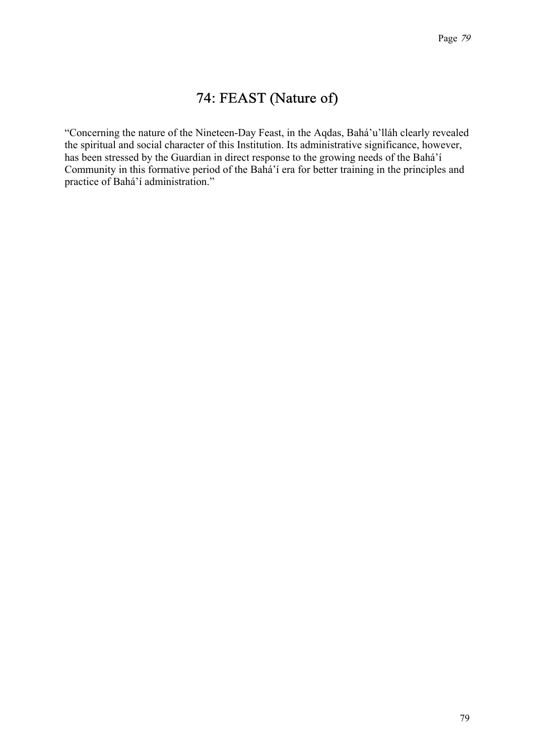### 74: FEAST (Nature of)

"Concerning the nature of the Nineteen-Day Feast, in the Aqdas, Bahá'u'lláh clearly revealed the spiritual and social character of this Institution. Its administrative significance, however, has been stressed by the Guardian in direct response to the growing needs of the Bahá'í Community in this formative period of the Bahá'í era for better training in the principles and practice of Bahá'í administration."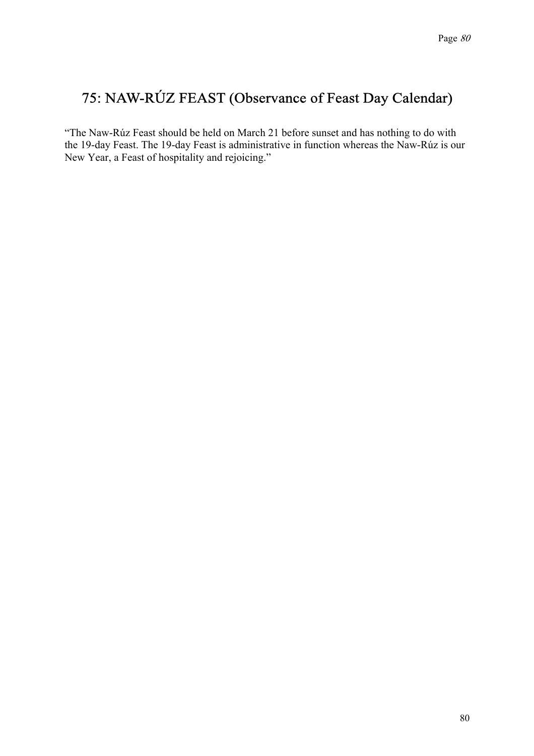# 75: NAW-RÚZ FEAST (Observance of Feast Day Calendar)

"The Naw-Rúz Feast should be held on March 21 before sunset and has nothing to do with the 19-day Feast. The 19-day Feast is administrative in function whereas the Naw-Rúz is our New Year, a Feast of hospitality and rejoicing."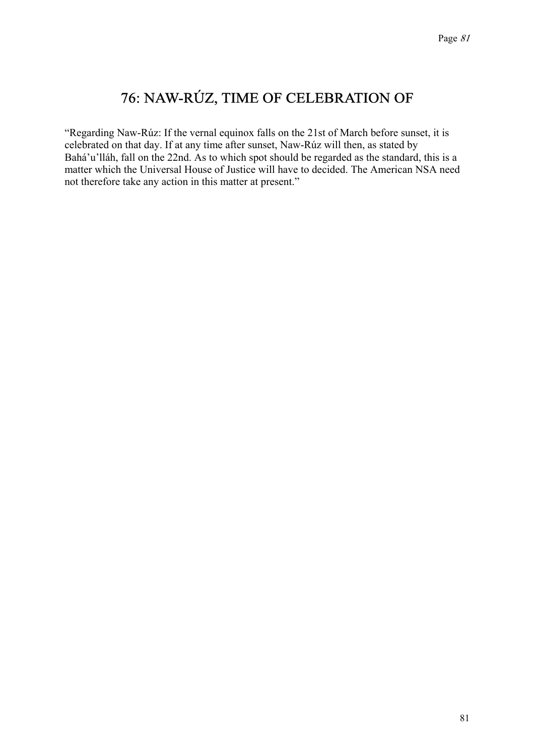# 76: NAW-RÚZ, TIME OF CELEBRATION OF

"Regarding Naw-Rúz: If the vernal equinox falls on the 21st of March before sunset, it is celebrated on that day. If at any time after sunset, Naw-Rúz will then, as stated by Bahá'u'lláh, fall on the 22nd. As to which spot should be regarded as the standard, this is a matter which the Universal House of Justice will have to decided. The American NSA need not therefore take any action in this matter at present."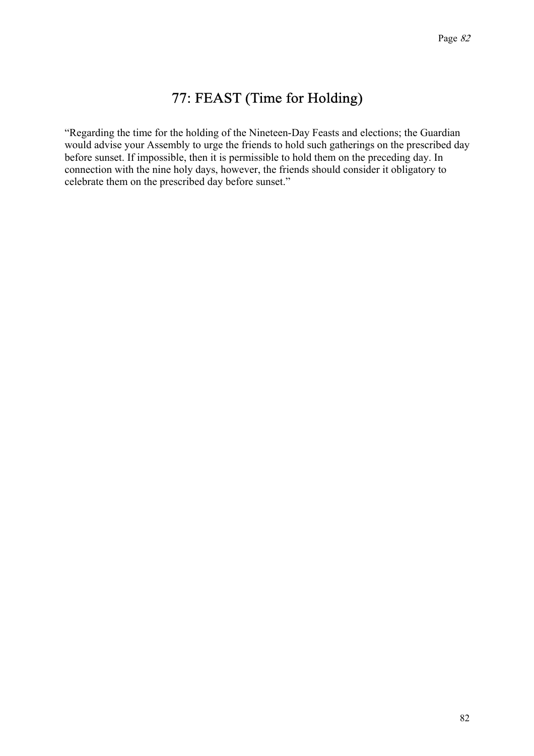## 77: FEAST (Time for Holding)

"Regarding the time for the holding of the Nineteen-Day Feasts and elections; the Guardian would advise your Assembly to urge the friends to hold such gatherings on the prescribed day before sunset. If impossible, then it is permissible to hold them on the preceding day. In connection with the nine holy days, however, the friends should consider it obligatory to celebrate them on the prescribed day before sunset."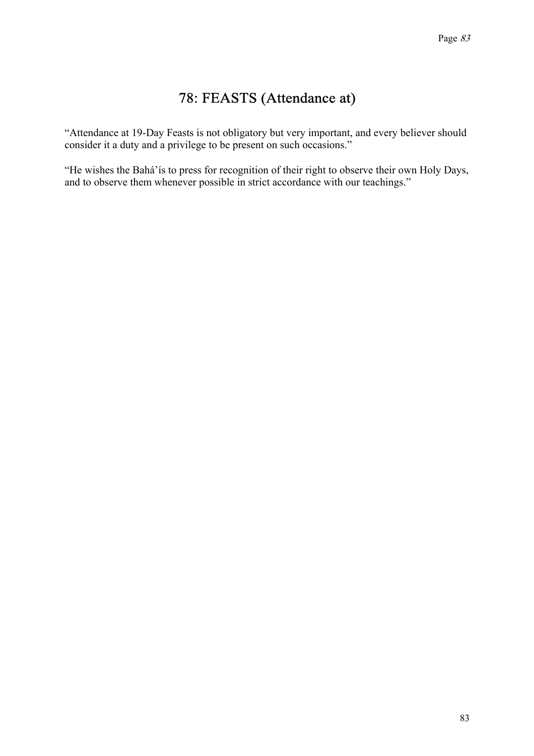### 78: FEASTS (Attendance at)

"Attendance at 19-Day Feasts is not obligatory but very important, and every believer should consider it a duty and a privilege to be present on such occasions."

"He wishes the Bahá'ís to press for recognition of their right to observe their own Holy Days, and to observe them whenever possible in strict accordance with our teachings."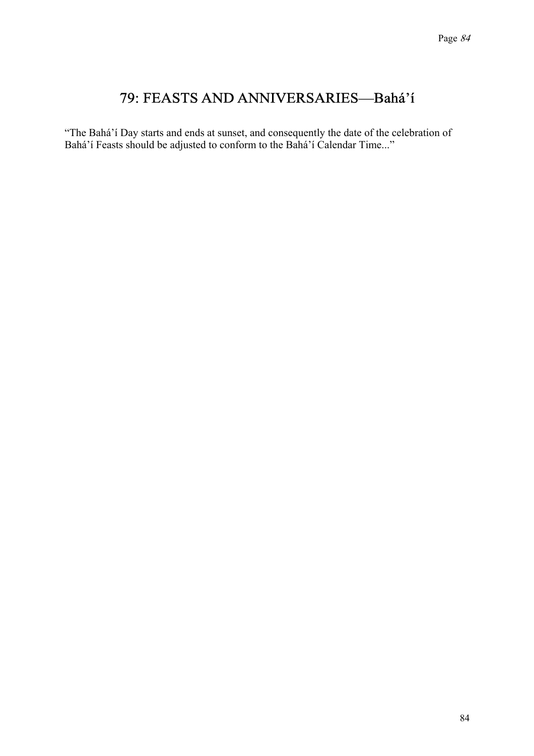## 79: FEASTS AND ANNIVERSARIES—Bahá'í

"The Bahá'í Day starts and ends at sunset, and consequently the date of the celebration of Bahá'í Feasts should be adjusted to conform to the Bahá'í Calendar Time..."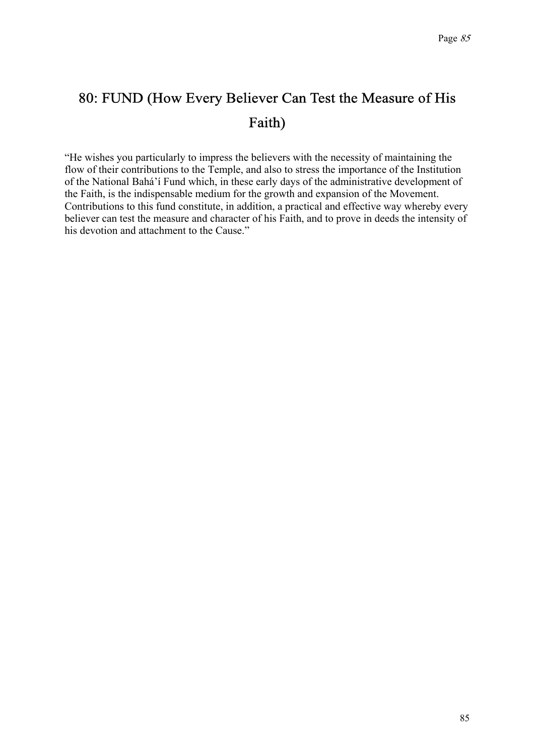# 80: FUND (How Every Believer Can Test the Measure of His Faith)

"He wishes you particularly to impress the believers with the necessity of maintaining the flow of their contributions to the Temple, and also to stress the importance of the Institution of the National Bahá'í Fund which, in these early days of the administrative development of the Faith, is the indispensable medium for the growth and expansion of the Movement. Contributions to this fund constitute, in addition, a practical and effective way whereby every believer can test the measure and character of his Faith, and to prove in deeds the intensity of his devotion and attachment to the Cause."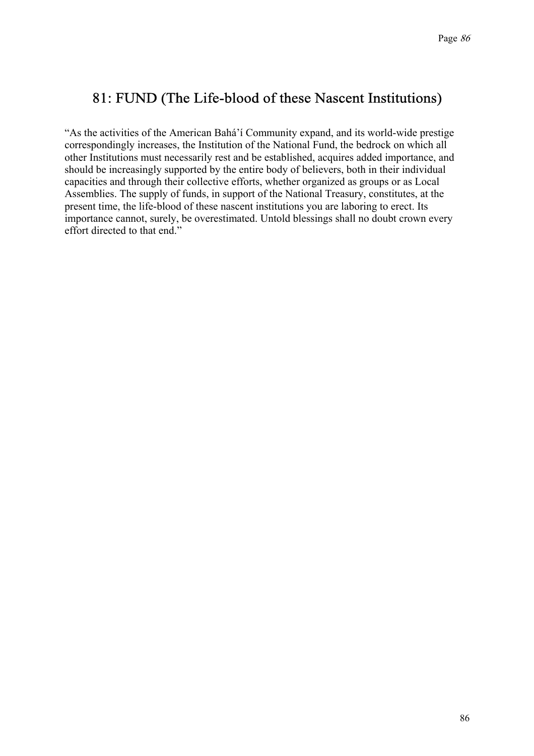### 81: FUND (The Life-blood of these Nascent Institutions)

"As the activities of the American Bahá'í Community expand, and its world-wide prestige correspondingly increases, the Institution of the National Fund, the bedrock on which all other Institutions must necessarily rest and be established, acquires added importance, and should be increasingly supported by the entire body of believers, both in their individual capacities and through their collective efforts, whether organized as groups or as Local Assemblies. The supply of funds, in support of the National Treasury, constitutes, at the present time, the life-blood of these nascent institutions you are laboring to erect. Its importance cannot, surely, be overestimated. Untold blessings shall no doubt crown every effort directed to that end."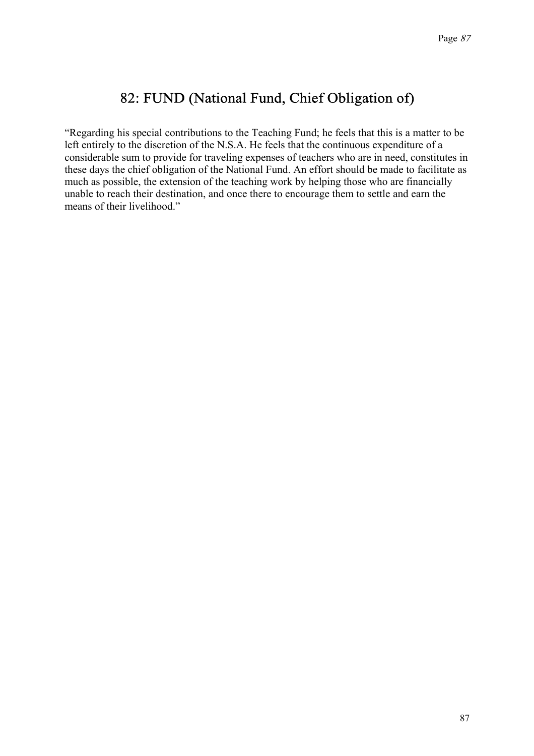### 82: FUND (National Fund, Chief Obligation of)

"Regarding his special contributions to the Teaching Fund; he feels that this is a matter to be left entirely to the discretion of the N.S.A. He feels that the continuous expenditure of a considerable sum to provide for traveling expenses of teachers who are in need, constitutes in these days the chief obligation of the National Fund. An effort should be made to facilitate as much as possible, the extension of the teaching work by helping those who are financially unable to reach their destination, and once there to encourage them to settle and earn the means of their livelihood."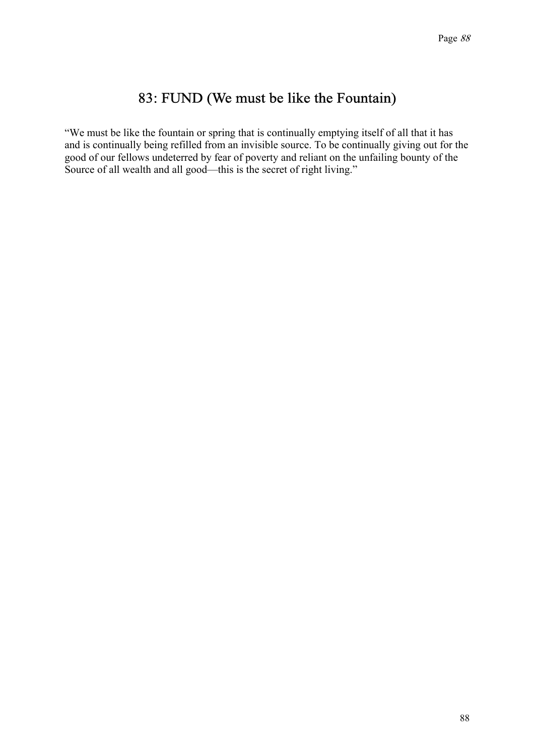### 83: FUND (We must be like the Fountain)

"We must be like the fountain or spring that is continually emptying itself of all that it has and is continually being refilled from an invisible source. To be continually giving out for the good of our fellows undeterred by fear of poverty and reliant on the unfailing bounty of the Source of all wealth and all good—this is the secret of right living."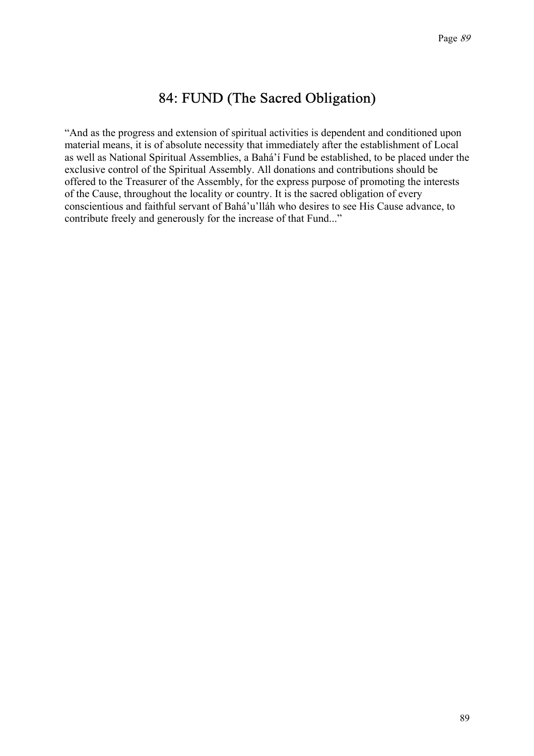### 84: FUND (The Sacred Obligation)

"And as the progress and extension of spiritual activities is dependent and conditioned upon material means, it is of absolute necessity that immediately after the establishment of Local as well as National Spiritual Assemblies, a Bahá'í Fund be established, to be placed under the exclusive control of the Spiritual Assembly. All donations and contributions should be offered to the Treasurer of the Assembly, for the express purpose of promoting the interests of the Cause, throughout the locality or country. It is the sacred obligation of every conscientious and faithful servant of Bahá'u'lláh who desires to see His Cause advance, to contribute freely and generously for the increase of that Fund..."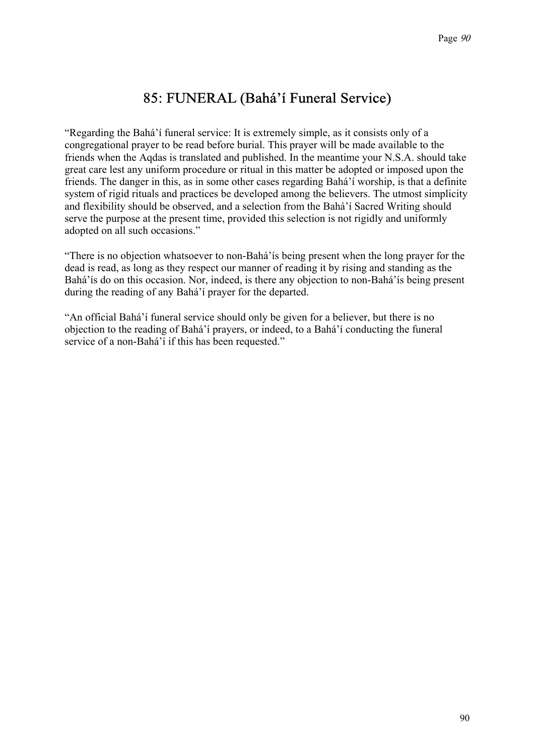### 85: FUNERAL (Bahá'í Funeral Service)

"Regarding the Bahá'í funeral service: It is extremely simple, as it consists only of a congregational prayer to be read before burial. This prayer will be made available to the friends when the Aqdas is translated and published. In the meantime your N.S.A. should take great care lest any uniform procedure or ritual in this matter be adopted or imposed upon the friends. The danger in this, as in some other cases regarding Bahá'í worship, is that a definite system of rigid rituals and practices be developed among the believers. The utmost simplicity and flexibility should be observed, and a selection from the Bahá'í Sacred Writing should serve the purpose at the present time, provided this selection is not rigidly and uniformly adopted on all such occasions."

"There is no objection whatsoever to non-Bahá'ís being present when the long prayer for the dead is read, as long as they respect our manner of reading it by rising and standing as the Bahá'ís do on this occasion. Nor, indeed, is there any objection to non-Bahá'ís being present during the reading of any Bahá'í prayer for the departed.

"An official Bahá'í funeral service should only be given for a believer, but there is no objection to the reading of Bahá'í prayers, or indeed, to a Bahá'í conducting the funeral service of a non-Bahá'í if this has been requested."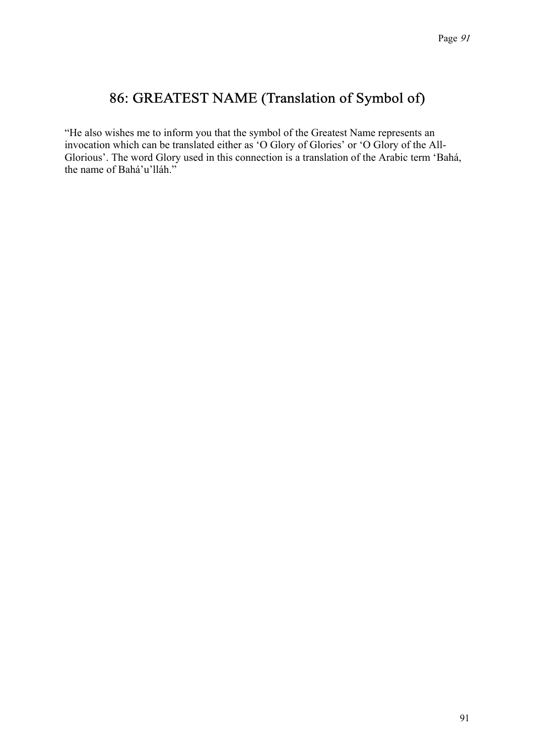## 86: GREATEST NAME (Translation of Symbol of)

"He also wishes me to inform you that the symbol of the Greatest Name represents an invocation which can be translated either as 'O Glory of Glories' or 'O Glory of the All-Glorious'. The word Glory used in this connection is a translation of the Arabic term 'Bahá, the name of Bahá'u'lláh."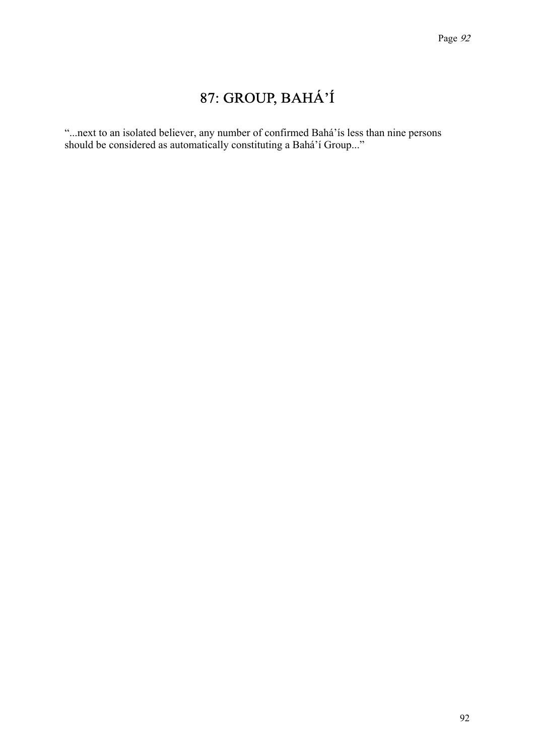# 87: GROUP, BAHÁ'Í

"...next to an isolated believer, any number of confirmed Bahá'ís less than nine persons should be considered as automatically constituting a Bahá'í Group..."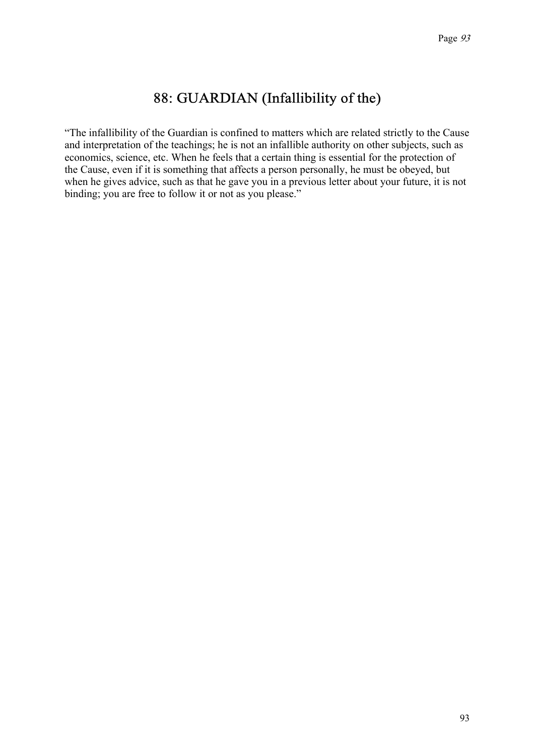### 88: GUARDIAN (Infallibility of the)

"The infallibility of the Guardian is confined to matters which are related strictly to the Cause and interpretation of the teachings; he is not an infallible authority on other subjects, such as economics, science, etc. When he feels that a certain thing is essential for the protection of the Cause, even if it is something that affects a person personally, he must be obeyed, but when he gives advice, such as that he gave you in a previous letter about your future, it is not binding; you are free to follow it or not as you please."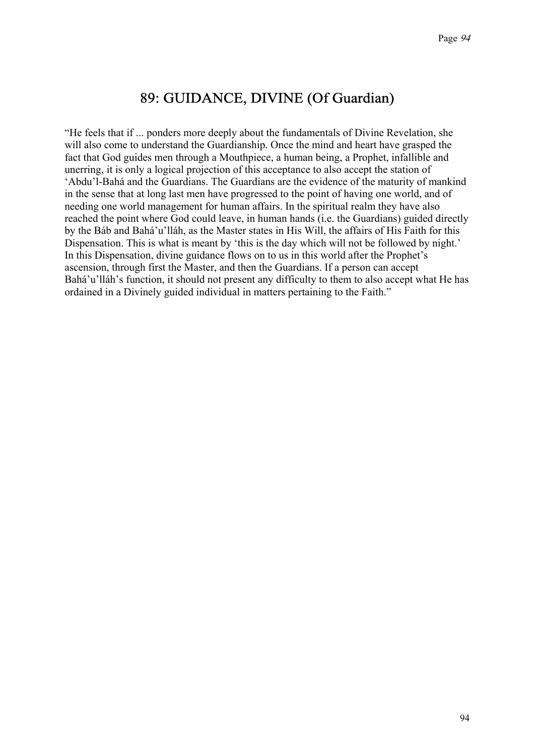### 89: GUIDANCE, DIVINE (Of Guardian)

"He feels that if ... ponders more deeply about the fundamentals of Divine Revelation, she will also come to understand the Guardianship. Once the mind and heart have grasped the fact that God guides men through a Mouthpiece, a human being, a Prophet, infallible and unerring, it is only a logical projection of this acceptance to also accept the station of 'Abdu'l-Bahá and the Guardians. The Guardians are the evidence of the maturity of mankind in the sense that at long last men have progressed to the point of having one world, and of needing one world management for human affairs. In the spiritual realm they have also reached the point where God could leave, in human hands (i.e. the Guardians) guided directly by the Báb and Bahá'u'lláh, as the Master states in His Will, the affairs of His Faith for this Dispensation. This is what is meant by 'this is the day which will not be followed by night.' In this Dispensation, divine guidance flows on to us in this world after the Prophet's ascension, through first the Master, and then the Guardians. If a person can accept Bahá'u'lláh's function, it should not present any difficulty to them to also accept what He has ordained in a Divinely guided individual in matters pertaining to the Faith."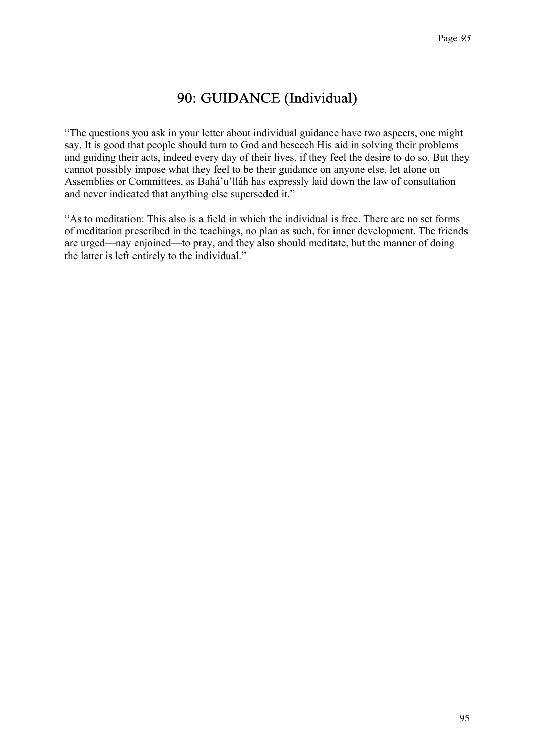### 90: GUIDANCE (Individual)

"The questions you ask in your letter about individual guidance have two aspects, one might say. It is good that people should turn to God and beseech His aid in solving their problems and guiding their acts, indeed every day of their lives, if they feel the desire to do so. But they cannot possibly impose what they feel to be their guidance on anyone else, let alone on Assemblies or Committees, as Bahá'u'lláh has expressly laid down the law of consultation and never indicated that anything else superseded it."

"As to meditation: This also is a field in which the individual is free. There are no set forms of meditation prescribed in the teachings, no plan as such, for inner development. The friends are urged—nay enjoined—to pray, and they also should meditate, but the manner of doing the latter is left entirely to the individual."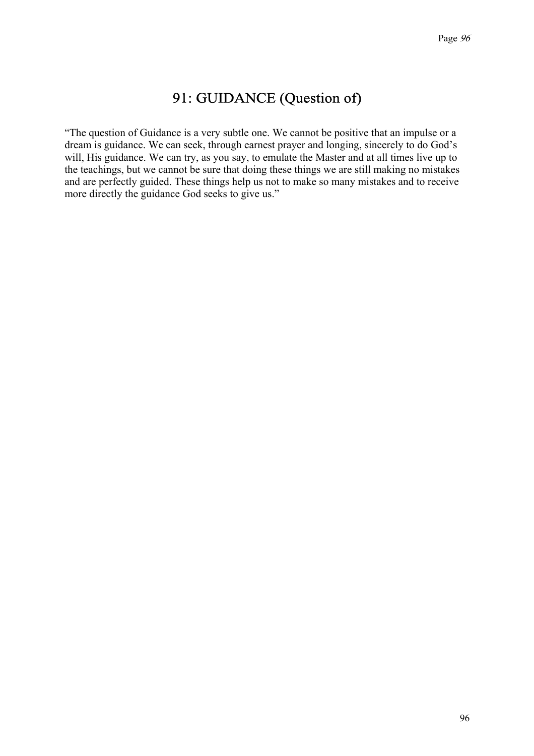## 91: GUIDANCE (Question of)

"The question of Guidance is a very subtle one. We cannot be positive that an impulse or a dream is guidance. We can seek, through earnest prayer and longing, sincerely to do God's will, His guidance. We can try, as you say, to emulate the Master and at all times live up to the teachings, but we cannot be sure that doing these things we are still making no mistakes and are perfectly guided. These things help us not to make so many mistakes and to receive more directly the guidance God seeks to give us."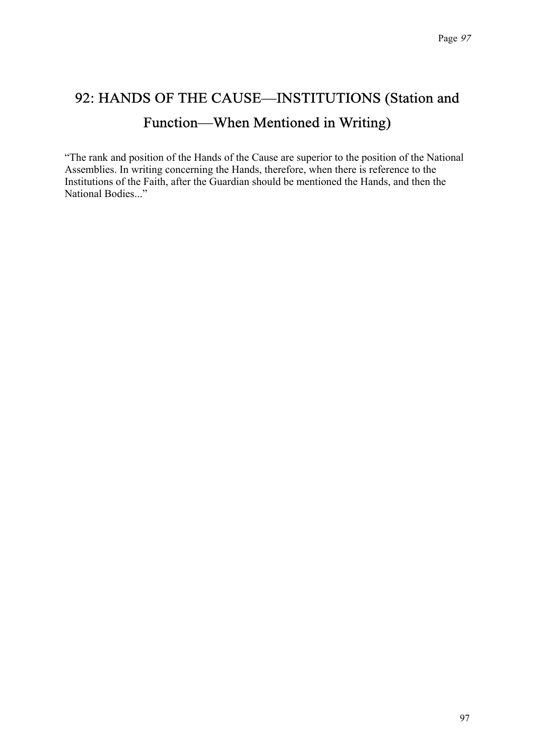# 92: HANDS OF THE CAUSE—INSTITUTIONS (Station and Function—When Mentioned in Writing)

"The rank and position of the Hands of the Cause are superior to the position of the National Assemblies. In writing concerning the Hands, therefore, when there is reference to the Institutions of the Faith, after the Guardian should be mentioned the Hands, and then the National Bodies..."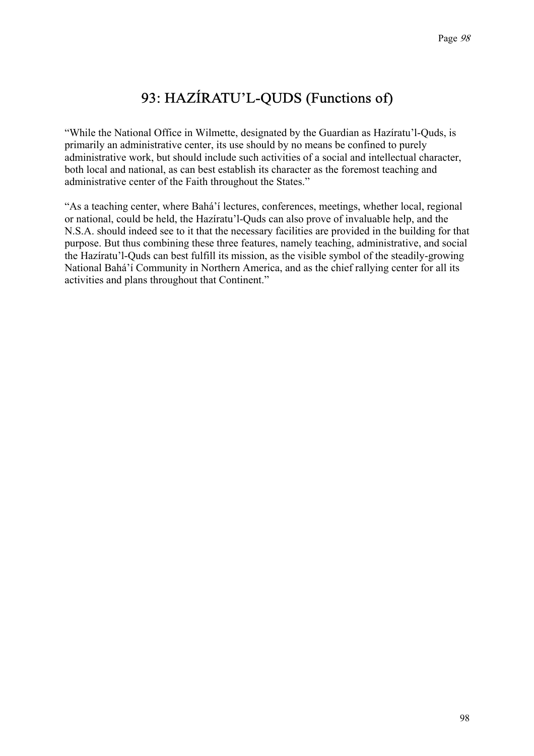## 93: HAZÍRATU'L-QUDS (Functions of)

"While the National Office in Wilmette, designated by the Guardian as Hazíratu'l-Quds, is primarily an administrative center, its use should by no means be confined to purely administrative work, but should include such activities of a social and intellectual character, both local and national, as can best establish its character as the foremost teaching and administrative center of the Faith throughout the States."

"As a teaching center, where Bahá'í lectures, conferences, meetings, whether local, regional or national, could be held, the Hazíratu'l-Quds can also prove of invaluable help, and the N.S.A. should indeed see to it that the necessary facilities are provided in the building for that purpose. But thus combining these three features, namely teaching, administrative, and social the Hazíratu'l-Quds can best fulfill its mission, as the visible symbol of the steadily-growing National Bahá'í Community in Northern America, and as the chief rallying center for all its activities and plans throughout that Continent."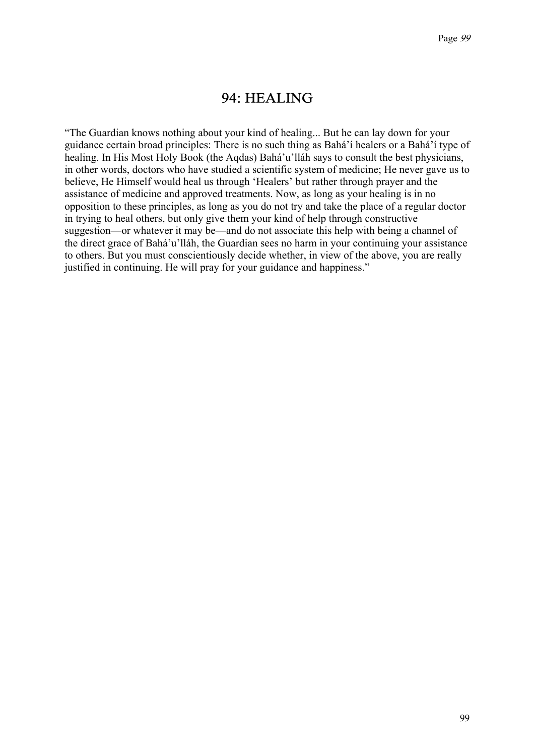#### 94: HEALING

"The Guardian knows nothing about your kind of healing... But he can lay down for your guidance certain broad principles: There is no such thing as Bahá'í healers or a Bahá'í type of healing. In His Most Holy Book (the Aqdas) Bahá'u'lláh says to consult the best physicians, in other words, doctors who have studied a scientific system of medicine; He never gave us to believe, He Himself would heal us through 'Healers' but rather through prayer and the assistance of medicine and approved treatments. Now, as long as your healing is in no opposition to these principles, as long as you do not try and take the place of a regular doctor in trying to heal others, but only give them your kind of help through constructive suggestion—or whatever it may be—and do not associate this help with being a channel of the direct grace of Bahá'u'lláh, the Guardian sees no harm in your continuing your assistance to others. But you must conscientiously decide whether, in view of the above, you are really justified in continuing. He will pray for your guidance and happiness."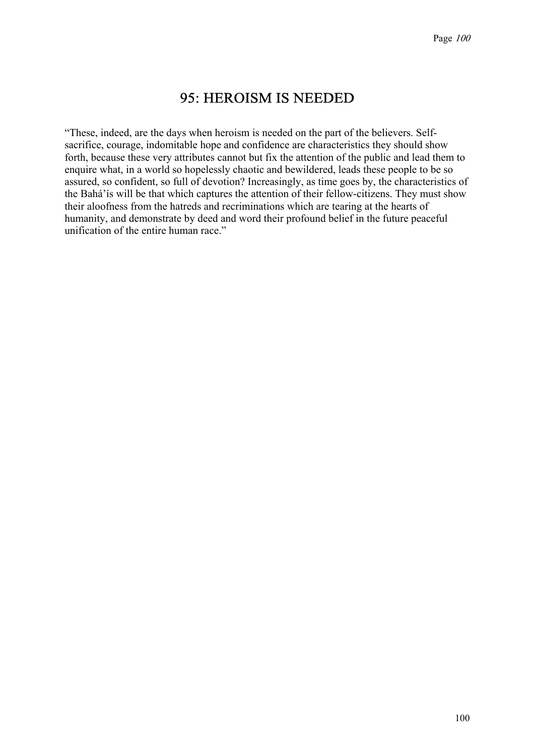#### 95: HEROISM IS NEEDED

"These, indeed, are the days when heroism is needed on the part of the believers. Selfsacrifice, courage, indomitable hope and confidence are characteristics they should show forth, because these very attributes cannot but fix the attention of the public and lead them to enquire what, in a world so hopelessly chaotic and bewildered, leads these people to be so assured, so confident, so full of devotion? Increasingly, as time goes by, the characteristics of the Bahá'ís will be that which captures the attention of their fellow-citizens. They must show their aloofness from the hatreds and recriminations which are tearing at the hearts of humanity, and demonstrate by deed and word their profound belief in the future peaceful unification of the entire human race."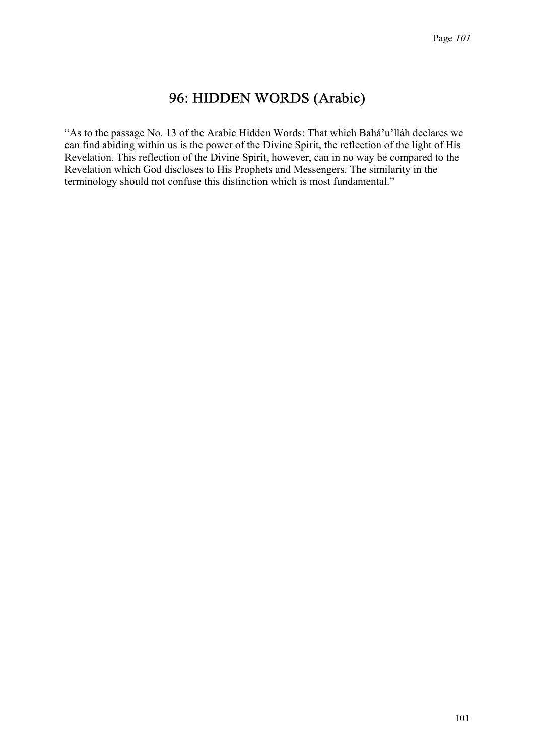### 96: HIDDEN WORDS (Arabic)

"As to the passage No. 13 of the Arabic Hidden Words: That which Bahá'u'lláh declares we can find abiding within us is the power of the Divine Spirit, the reflection of the light of His Revelation. This reflection of the Divine Spirit, however, can in no way be compared to the Revelation which God discloses to His Prophets and Messengers. The similarity in the terminology should not confuse this distinction which is most fundamental."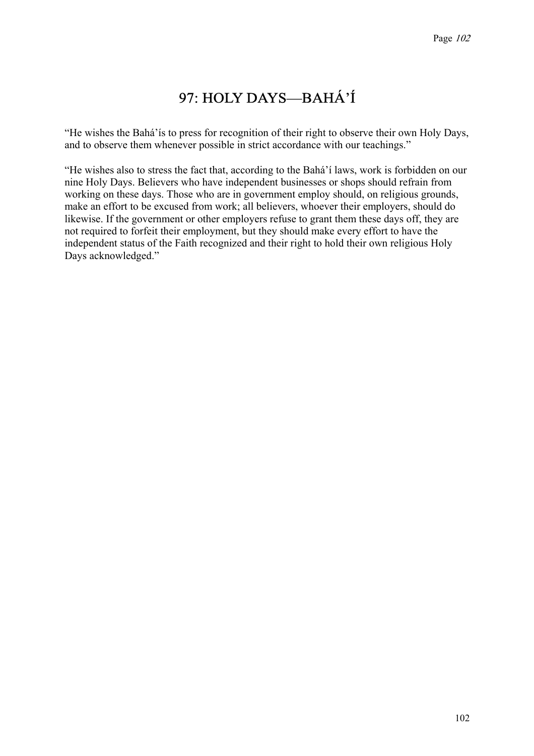# 97: HOLY DAYS—BAHÁ'Í

"He wishes the Bahá'ís to press for recognition of their right to observe their own Holy Days, and to observe them whenever possible in strict accordance with our teachings."

"He wishes also to stress the fact that, according to the Bahá'í laws, work is forbidden on our nine Holy Days. Believers who have independent businesses or shops should refrain from working on these days. Those who are in government employ should, on religious grounds, make an effort to be excused from work; all believers, whoever their employers, should do likewise. If the government or other employers refuse to grant them these days off, they are not required to forfeit their employment, but they should make every effort to have the independent status of the Faith recognized and their right to hold their own religious Holy Days acknowledged."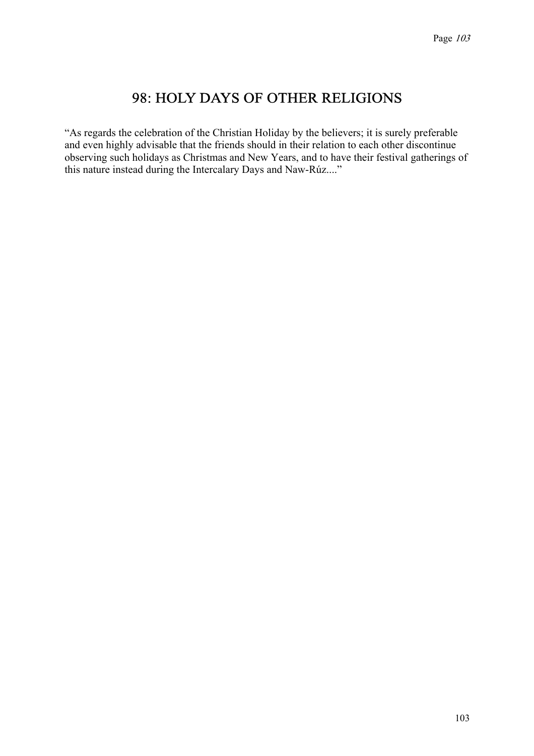### 98: HOLY DAYS OF OTHER RELIGIONS

"As regards the celebration of the Christian Holiday by the believers; it is surely preferable and even highly advisable that the friends should in their relation to each other discontinue observing such holidays as Christmas and New Years, and to have their festival gatherings of this nature instead during the Intercalary Days and Naw-Rúz...."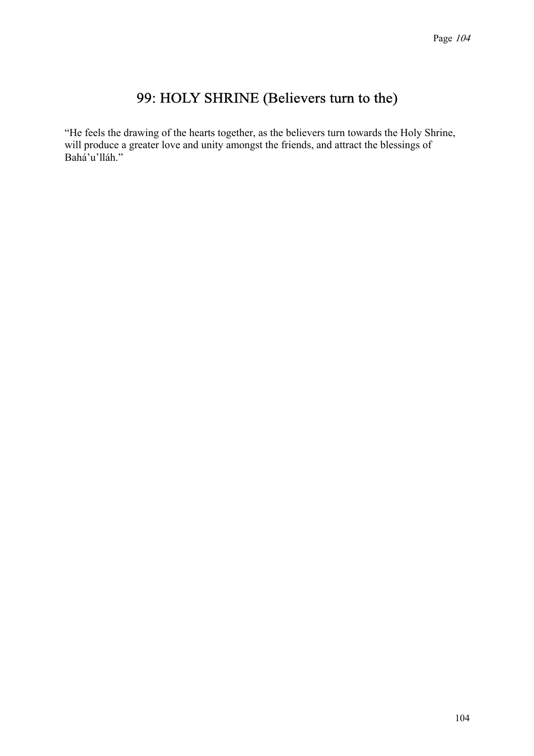# 99: HOLY SHRINE (Believers turn to the)

"He feels the drawing of the hearts together, as the believers turn towards the Holy Shrine, will produce a greater love and unity amongst the friends, and attract the blessings of Bahá'u'lláh."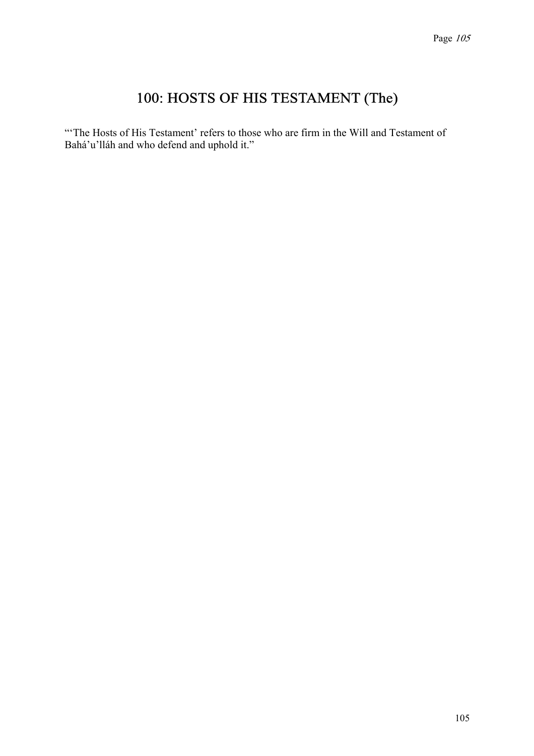# 100: HOSTS OF HIS TESTAMENT (The)

"'The Hosts of His Testament' refers to those who are firm in the Will and Testament of Bahá'u'lláh and who defend and uphold it."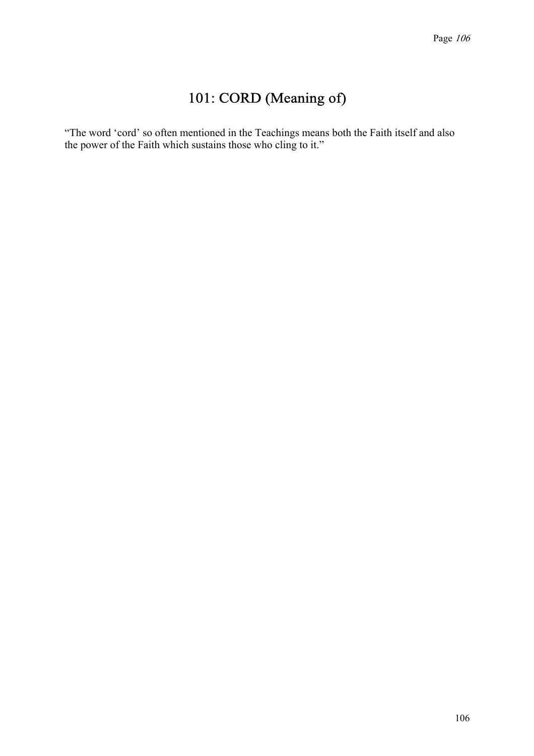# 101: CORD (Meaning of)

"The word 'cord' so often mentioned in the Teachings means both the Faith itself and also the power of the Faith which sustains those who cling to it."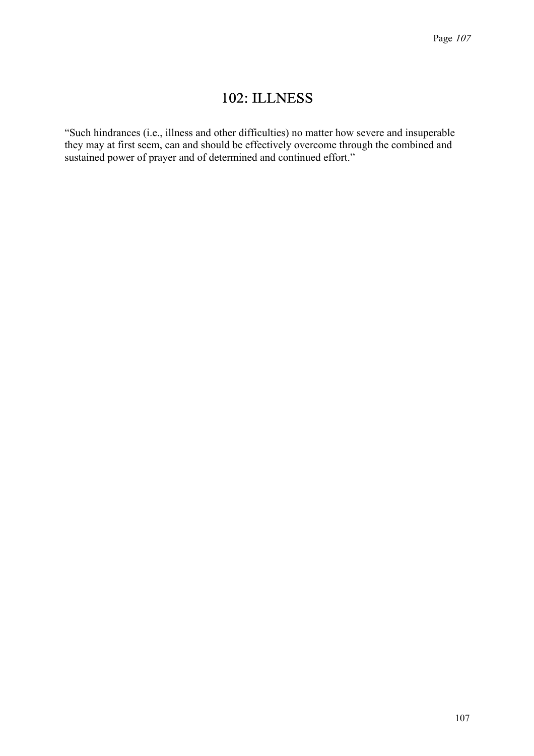## 102: ILLNESS

"Such hindrances (i.e., illness and other difficulties) no matter how severe and insuperable they may at first seem, can and should be effectively overcome through the combined and sustained power of prayer and of determined and continued effort."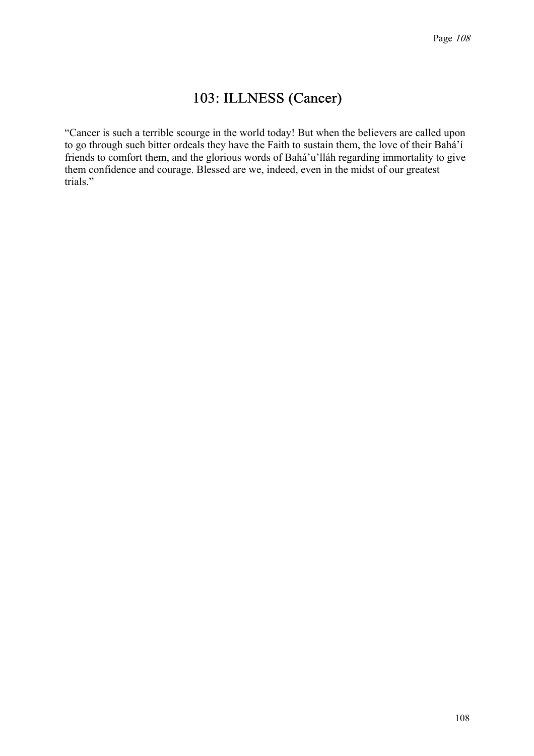### 103: ILLNESS (Cancer)

"Cancer is such a terrible scourge in the world today! But when the believers are called upon to go through such bitter ordeals they have the Faith to sustain them, the love of their Bahá'í friends to comfort them, and the glorious words of Bahá'u'lláh regarding immortality to give them confidence and courage. Blessed are we, indeed, even in the midst of our greatest trials."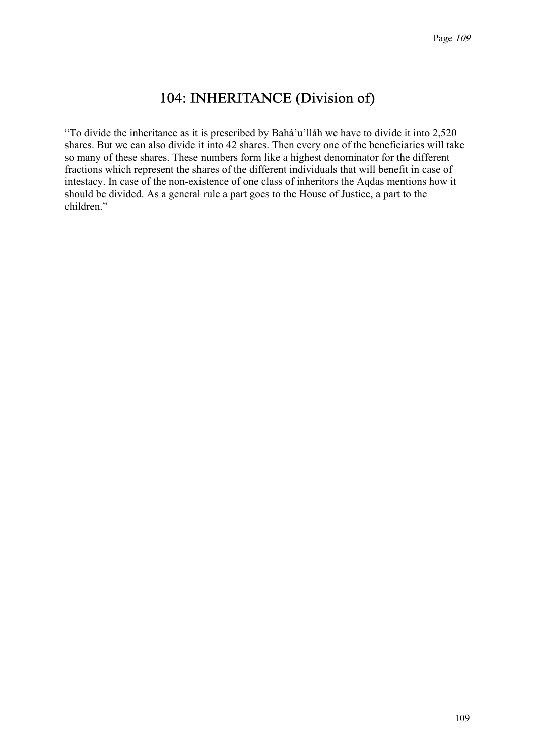### 104: INHERITANCE (Division of)

"To divide the inheritance as it is prescribed by Bahá'u'lláh we have to divide it into 2,520 shares. But we can also divide it into 42 shares. Then every one of the beneficiaries will take so many of these shares. These numbers form like a highest denominator for the different fractions which represent the shares of the different individuals that will benefit in case of intestacy. In case of the non-existence of one class of inheritors the Aqdas mentions how it should be divided. As a general rule a part goes to the House of Justice, a part to the children."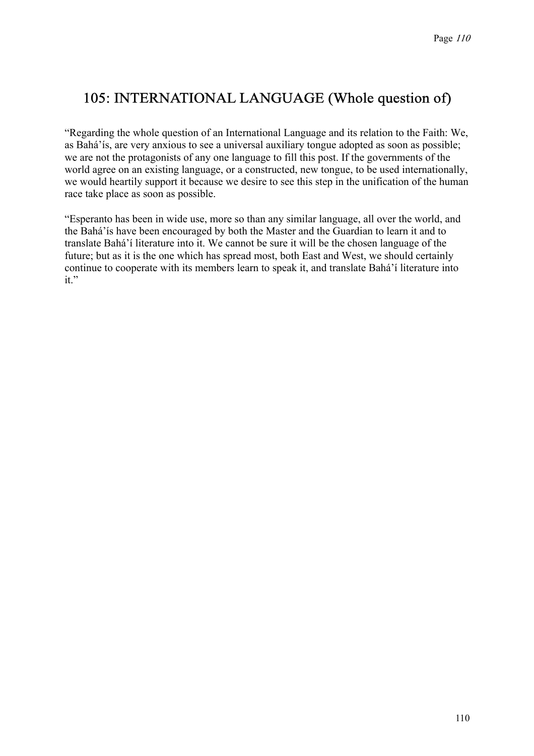### 105: INTERNATIONAL LANGUAGE (Whole question of)

"Regarding the whole question of an International Language and its relation to the Faith: We, as Bahá'ís, are very anxious to see a universal auxiliary tongue adopted as soon as possible; we are not the protagonists of any one language to fill this post. If the governments of the world agree on an existing language, or a constructed, new tongue, to be used internationally, we would heartily support it because we desire to see this step in the unification of the human race take place as soon as possible.

"Esperanto has been in wide use, more so than any similar language, all over the world, and the Bahá'ís have been encouraged by both the Master and the Guardian to learn it and to translate Bahá'í literature into it. We cannot be sure it will be the chosen language of the future; but as it is the one which has spread most, both East and West, we should certainly continue to cooperate with its members learn to speak it, and translate Bahá'í literature into it."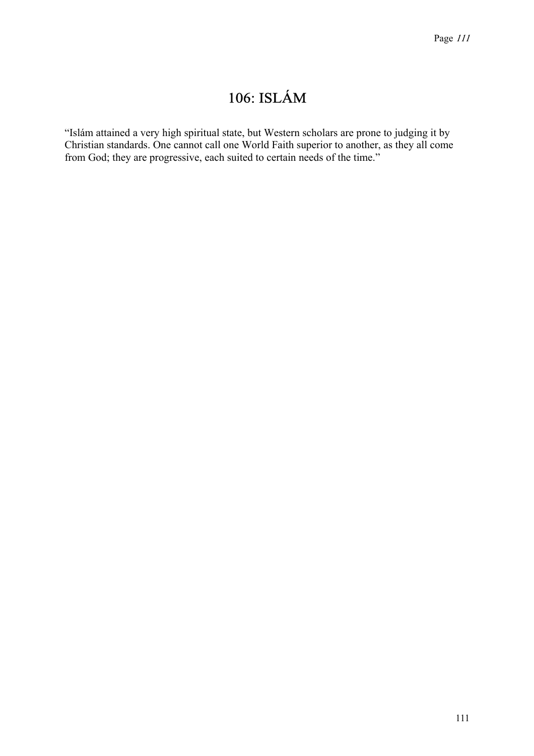## 106: ISLÁM

"Islám attained a very high spiritual state, but Western scholars are prone to judging it by Christian standards. One cannot call one World Faith superior to another, as they all come from God; they are progressive, each suited to certain needs of the time."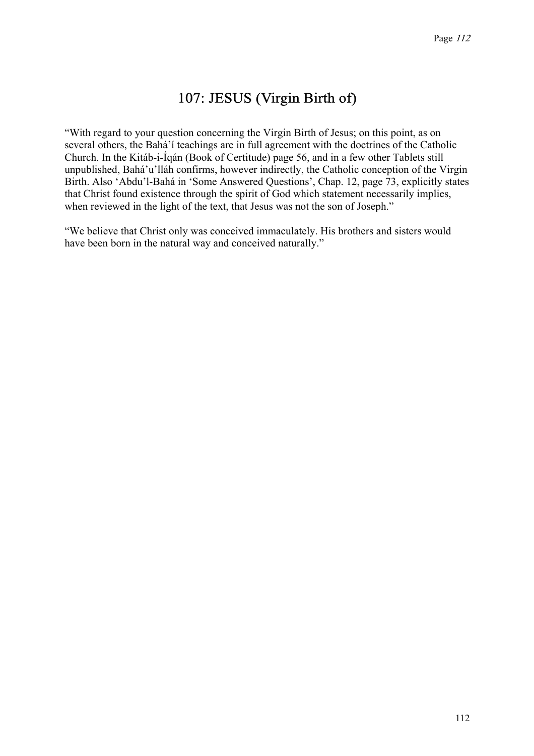### 107: JESUS (Virgin Birth of)

"With regard to your question concerning the Virgin Birth of Jesus; on this point, as on several others, the Bahá'í teachings are in full agreement with the doctrines of the Catholic Church. In the Kitáb-i-Íqán (Book of Certitude) page 56, and in a few other Tablets still unpublished, Bahá'u'lláh confirms, however indirectly, the Catholic conception of the Virgin Birth. Also 'Abdu'l-Bahá in 'Some Answered Questions', Chap. 12, page 73, explicitly states that Christ found existence through the spirit of God which statement necessarily implies, when reviewed in the light of the text, that Jesus was not the son of Joseph."

"We believe that Christ only was conceived immaculately. His brothers and sisters would have been born in the natural way and conceived naturally."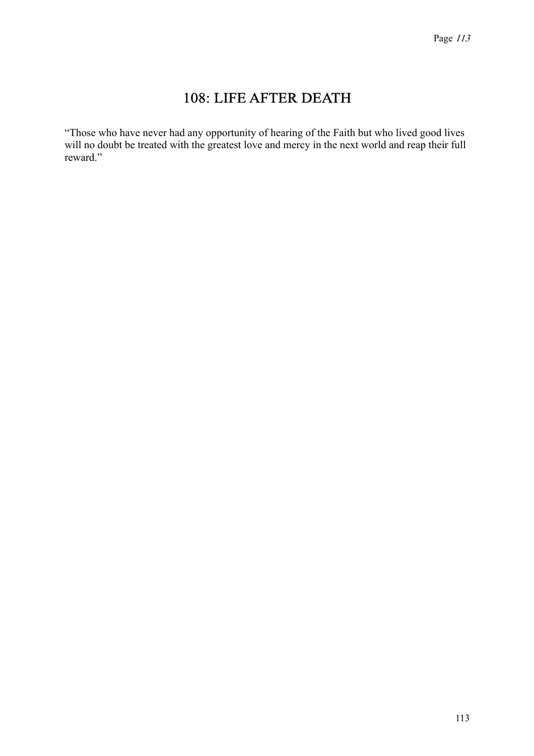### 108: LIFE AFTER DEATH

"Those who have never had any opportunity of hearing of the Faith but who lived good lives will no doubt be treated with the greatest love and mercy in the next world and reap their full reward."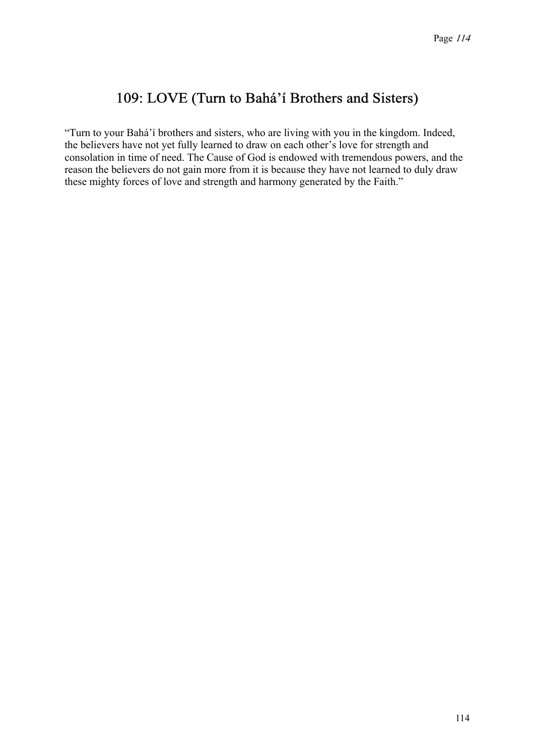#### 109: LOVE (Turn to Bahá'í Brothers and Sisters)

"Turn to your Bahá'í brothers and sisters, who are living with you in the kingdom. Indeed, the believers have not yet fully learned to draw on each other's love for strength and consolation in time of need. The Cause of God is endowed with tremendous powers, and the reason the believers do not gain more from it is because they have not learned to duly draw these mighty forces of love and strength and harmony generated by the Faith."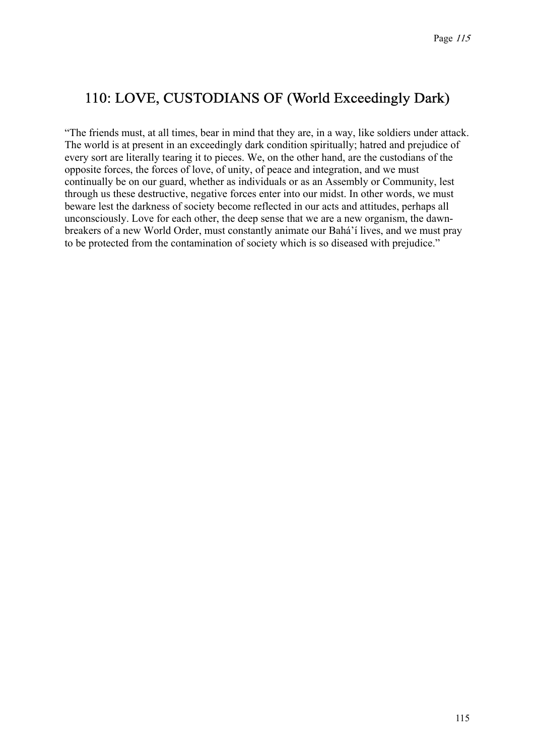### 110: LOVE, CUSTODIANS OF (World Exceedingly Dark)

"The friends must, at all times, bear in mind that they are, in a way, like soldiers under attack. The world is at present in an exceedingly dark condition spiritually; hatred and prejudice of every sort are literally tearing it to pieces. We, on the other hand, are the custodians of the opposite forces, the forces of love, of unity, of peace and integration, and we must continually be on our guard, whether as individuals or as an Assembly or Community, lest through us these destructive, negative forces enter into our midst. In other words, we must beware lest the darkness of society become reflected in our acts and attitudes, perhaps all unconsciously. Love for each other, the deep sense that we are a new organism, the dawnbreakers of a new World Order, must constantly animate our Bahá'í lives, and we must pray to be protected from the contamination of society which is so diseased with prejudice."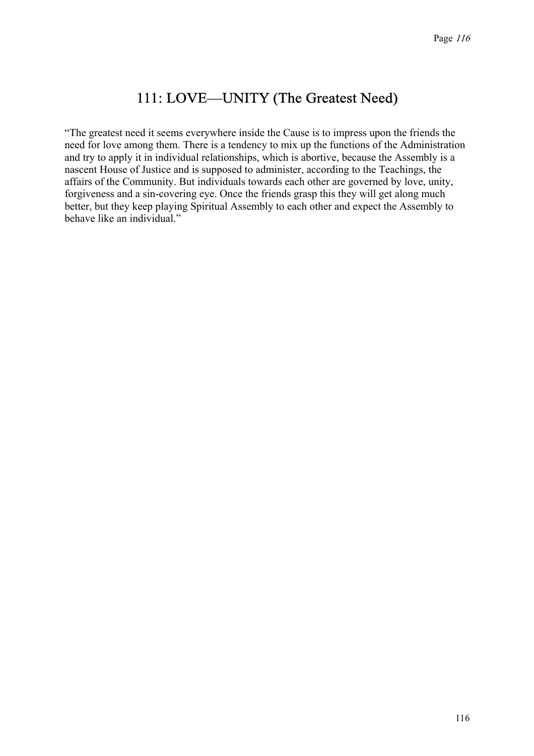#### 111: LOVE—UNITY (The Greatest Need)

"The greatest need it seems everywhere inside the Cause is to impress upon the friends the need for love among them. There is a tendency to mix up the functions of the Administration and try to apply it in individual relationships, which is abortive, because the Assembly is a nascent House of Justice and is supposed to administer, according to the Teachings, the affairs of the Community. But individuals towards each other are governed by love, unity, forgiveness and a sin-covering eye. Once the friends grasp this they will get along much better, but they keep playing Spiritual Assembly to each other and expect the Assembly to behave like an individual."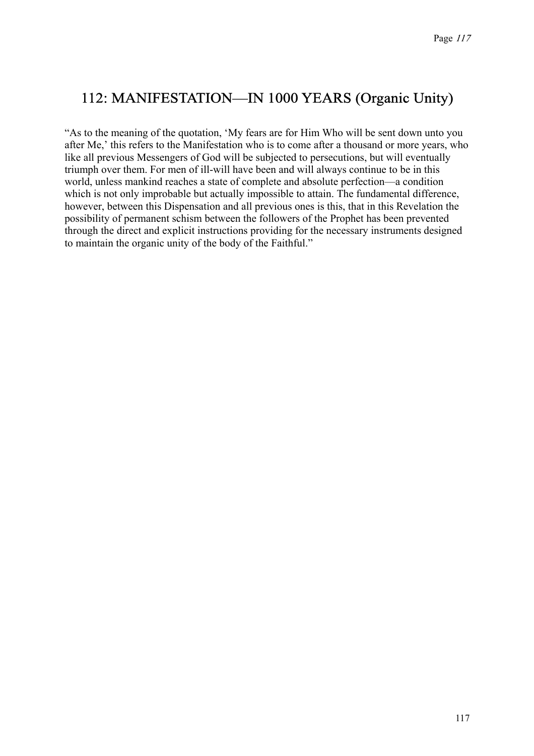### 112: MANIFESTATION—IN 1000 YEARS (Organic Unity)

"As to the meaning of the quotation, 'My fears are for Him Who will be sent down unto you after Me,' this refers to the Manifestation who is to come after a thousand or more years, who like all previous Messengers of God will be subjected to persecutions, but will eventually triumph over them. For men of ill-will have been and will always continue to be in this world, unless mankind reaches a state of complete and absolute perfection—a condition which is not only improbable but actually impossible to attain. The fundamental difference, however, between this Dispensation and all previous ones is this, that in this Revelation the possibility of permanent schism between the followers of the Prophet has been prevented through the direct and explicit instructions providing for the necessary instruments designed to maintain the organic unity of the body of the Faithful."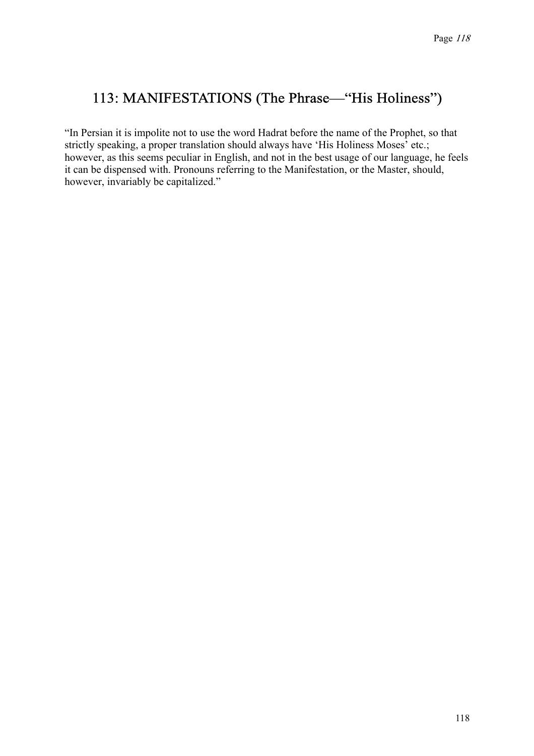### 113: MANIFESTATIONS (The Phrase—"His Holiness")

"In Persian it is impolite not to use the word Hadrat before the name of the Prophet, so that strictly speaking, a proper translation should always have 'His Holiness Moses' etc.; however, as this seems peculiar in English, and not in the best usage of our language, he feels it can be dispensed with. Pronouns referring to the Manifestation, or the Master, should, however, invariably be capitalized."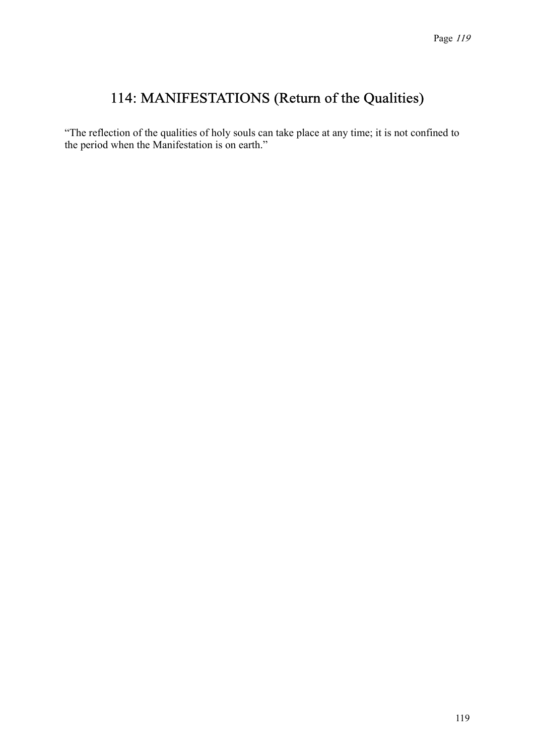## 114: MANIFESTATIONS (Return of the Qualities)

"The reflection of the qualities of holy souls can take place at any time; it is not confined to the period when the Manifestation is on earth."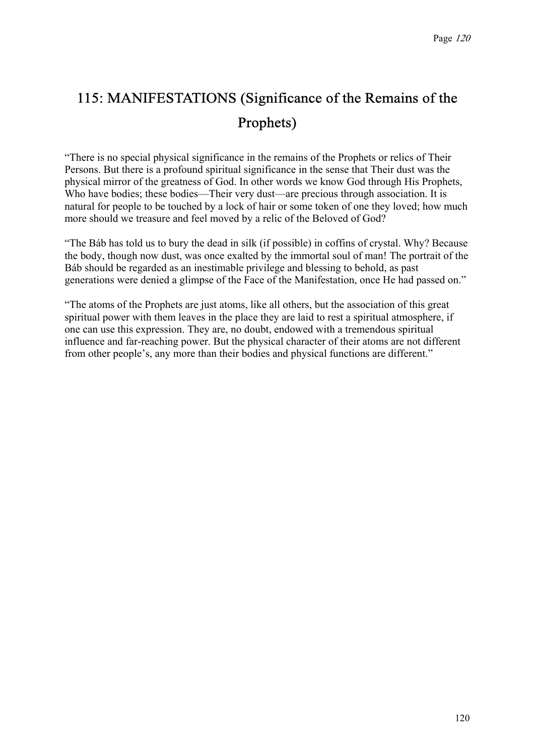# 115: MANIFESTATIONS (Significance of the Remains of the Prophets)

"There is no special physical significance in the remains of the Prophets or relics of Their Persons. But there is a profound spiritual significance in the sense that Their dust was the physical mirror of the greatness of God. In other words we know God through His Prophets, Who have bodies; these bodies—Their very dust—are precious through association. It is natural for people to be touched by a lock of hair or some token of one they loved; how much more should we treasure and feel moved by a relic of the Beloved of God?

"The Báb has told us to bury the dead in silk (if possible) in coffins of crystal. Why? Because the body, though now dust, was once exalted by the immortal soul of man! The portrait of the Báb should be regarded as an inestimable privilege and blessing to behold, as past generations were denied a glimpse of the Face of the Manifestation, once He had passed on."

"The atoms of the Prophets are just atoms, like all others, but the association of this great spiritual power with them leaves in the place they are laid to rest a spiritual atmosphere, if one can use this expression. They are, no doubt, endowed with a tremendous spiritual influence and far-reaching power. But the physical character of their atoms are not different from other people's, any more than their bodies and physical functions are different."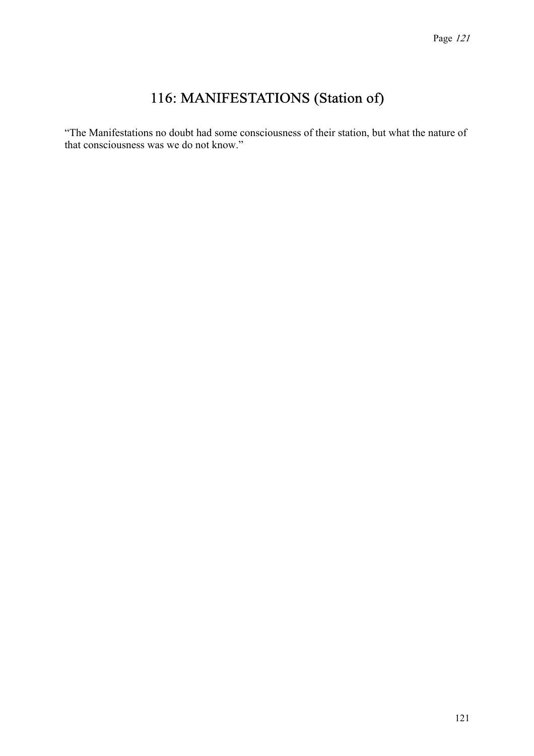# 116: MANIFESTATIONS (Station of)

"The Manifestations no doubt had some consciousness of their station, but what the nature of that consciousness was we do not know."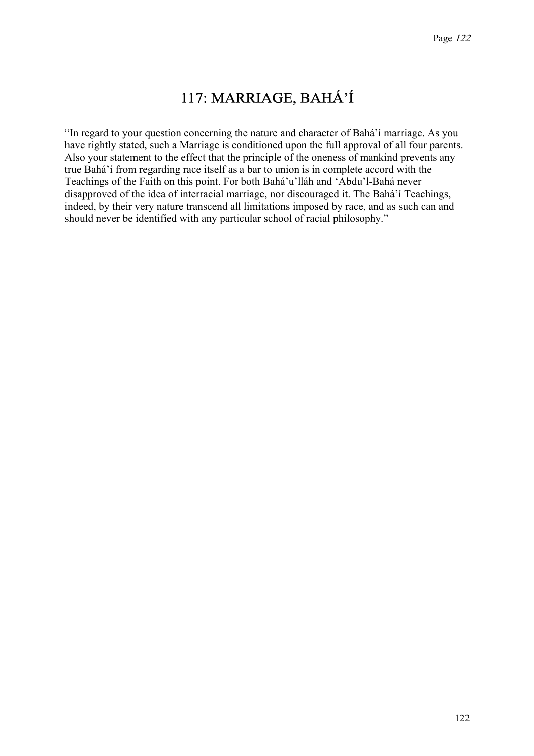## 117: MARRIAGE, BAHÁ'Í

"In regard to your question concerning the nature and character of Bahá'í marriage. As you have rightly stated, such a Marriage is conditioned upon the full approval of all four parents. Also your statement to the effect that the principle of the oneness of mankind prevents any true Bahá'í from regarding race itself as a bar to union is in complete accord with the Teachings of the Faith on this point. For both Bahá'u'lláh and 'Abdu'l-Bahá never disapproved of the idea of interracial marriage, nor discouraged it. The Bahá'í Teachings, indeed, by their very nature transcend all limitations imposed by race, and as such can and should never be identified with any particular school of racial philosophy."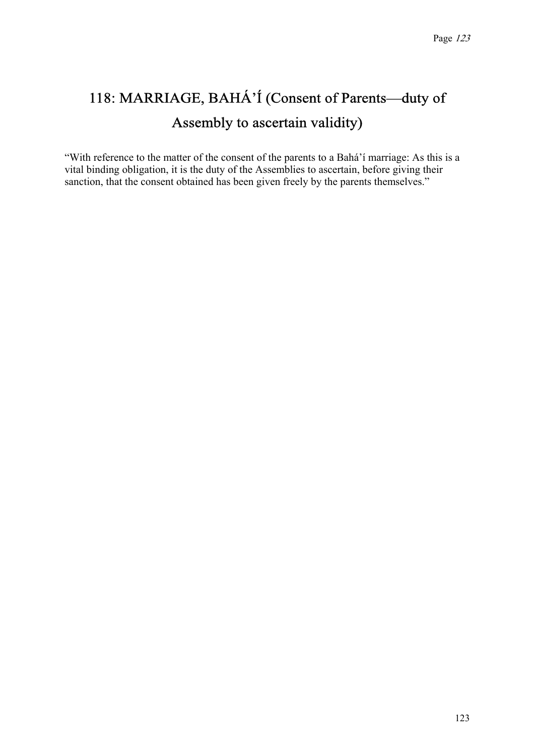# 118: MARRIAGE, BAHÁ'Í (Consent of Parents—duty of Assembly to ascertain validity)

"With reference to the matter of the consent of the parents to a Bahá'í marriage: As this is a vital binding obligation, it is the duty of the Assemblies to ascertain, before giving their sanction, that the consent obtained has been given freely by the parents themselves."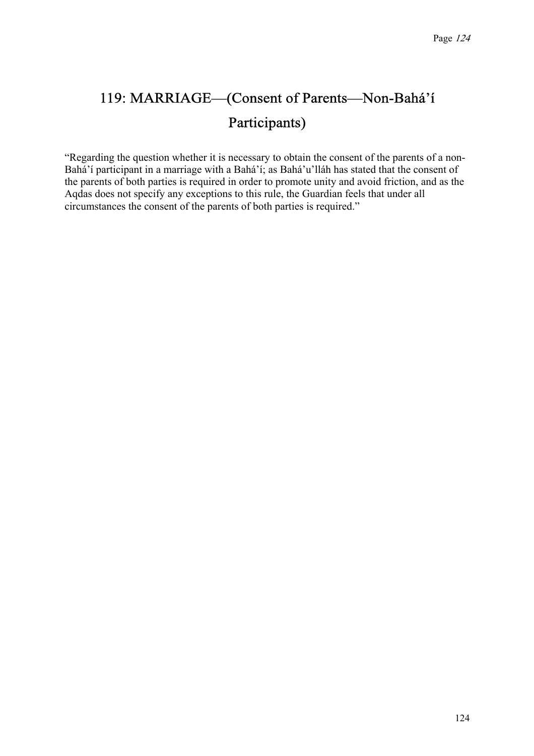# 119: MARRIAGE—(Consent of Parents—Non-Bahá'í Participants)

"Regarding the question whether it is necessary to obtain the consent of the parents of a non-Bahá'í participant in a marriage with a Bahá'í; as Bahá'u'lláh has stated that the consent of the parents of both parties is required in order to promote unity and avoid friction, and as the Aqdas does not specify any exceptions to this rule, the Guardian feels that under all circumstances the consent of the parents of both parties is required."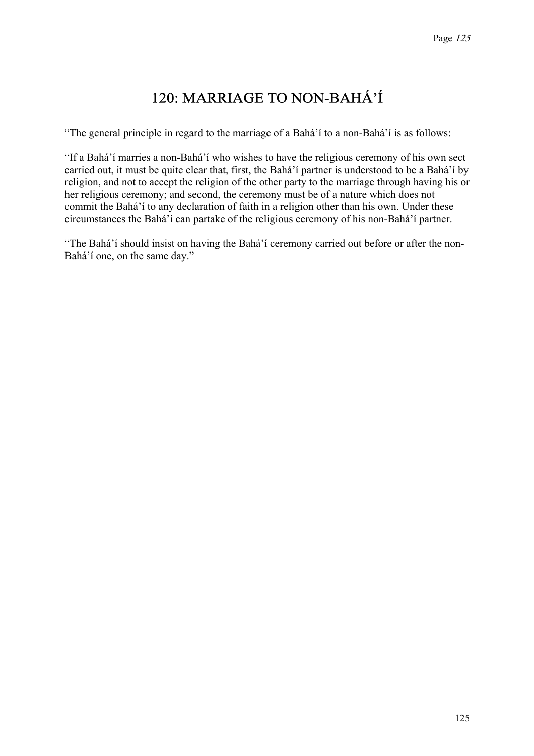## 120: MARRIAGE TO NON-BAHÁ'Í

"The general principle in regard to the marriage of a Bahá'í to a non-Bahá'í is as follows:

"If a Bahá'í marries a non-Bahá'í who wishes to have the religious ceremony of his own sect carried out, it must be quite clear that, first, the Bahá'í partner is understood to be a Bahá'í by religion, and not to accept the religion of the other party to the marriage through having his or her religious ceremony; and second, the ceremony must be of a nature which does not commit the Bahá'í to any declaration of faith in a religion other than his own. Under these circumstances the Bahá'í can partake of the religious ceremony of his non-Bahá'í partner.

"The Bahá'í should insist on having the Bahá'í ceremony carried out before or after the non-Bahá'í one, on the same day."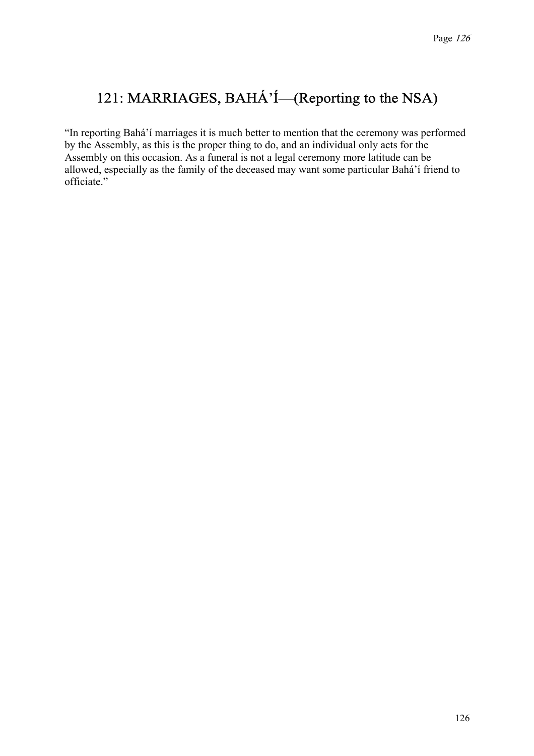## 121: MARRIAGES, BAHÁ'Í—(Reporting to the NSA)

"In reporting Bahá'í marriages it is much better to mention that the ceremony was performed by the Assembly, as this is the proper thing to do, and an individual only acts for the Assembly on this occasion. As a funeral is not a legal ceremony more latitude can be allowed, especially as the family of the deceased may want some particular Bahá'í friend to officiate."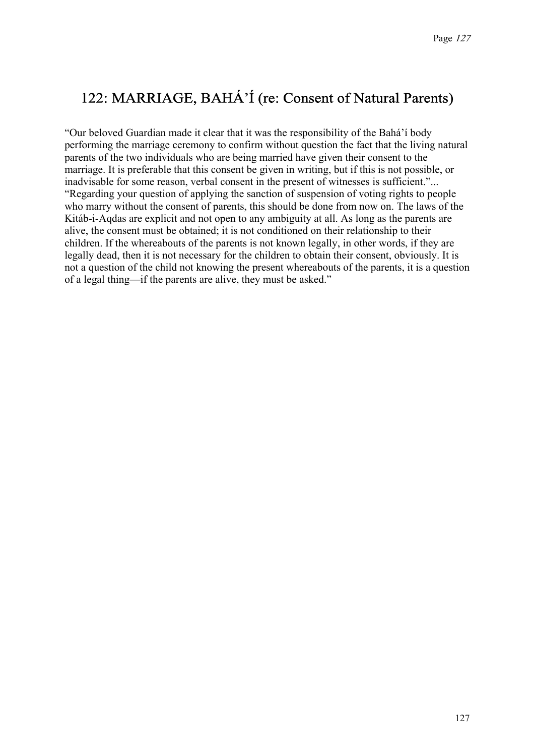## 122: MARRIAGE, BAHÁ'Í (re: Consent of Natural Parents)

"Our beloved Guardian made it clear that it was the responsibility of the Bahá'í body performing the marriage ceremony to confirm without question the fact that the living natural parents of the two individuals who are being married have given their consent to the marriage. It is preferable that this consent be given in writing, but if this is not possible, or inadvisable for some reason, verbal consent in the present of witnesses is sufficient."... "Regarding your question of applying the sanction of suspension of voting rights to people who marry without the consent of parents, this should be done from now on. The laws of the Kitáb-i-Aqdas are explicit and not open to any ambiguity at all. As long as the parents are alive, the consent must be obtained; it is not conditioned on their relationship to their children. If the whereabouts of the parents is not known legally, in other words, if they are legally dead, then it is not necessary for the children to obtain their consent, obviously. It is not a question of the child not knowing the present whereabouts of the parents, it is a question of a legal thing—if the parents are alive, they must be asked."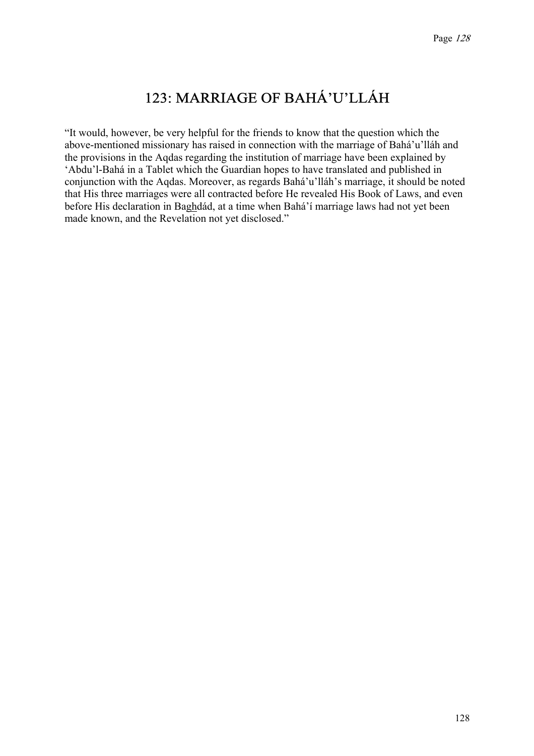## 123: MARRIAGE OF BAHÁ'U'LLÁH

"It would, however, be very helpful for the friends to know that the question which the above-mentioned missionary has raised in connection with the marriage of Bahá'u'lláh and the provisions in the Aqdas regarding the institution of marriage have been explained by 'Abdu'l-Bahá in a Tablet which the Guardian hopes to have translated and published in conjunction with the Aqdas. Moreover, as regards Bahá'u'lláh's marriage, it should be noted that His three marriages were all contracted before He revealed His Book of Laws, and even before His declaration in Baghdád, at a time when Bahá'í marriage laws had not yet been made known, and the Revelation not yet disclosed."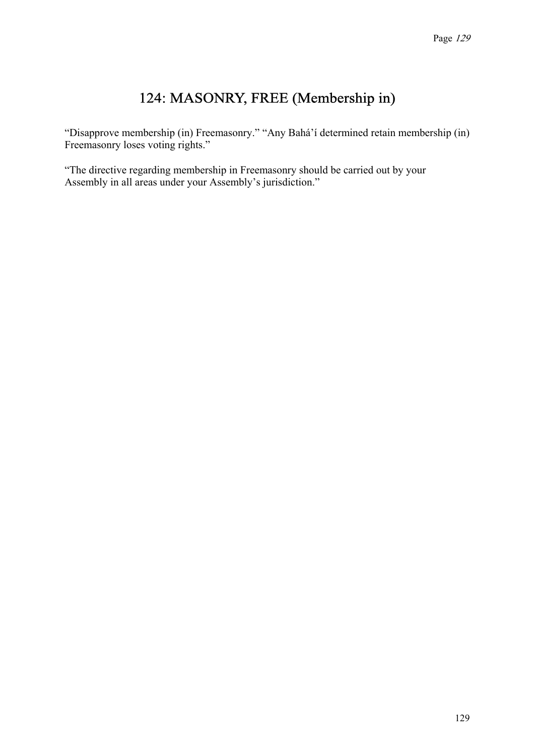## 124: MASONRY, FREE (Membership in)

"Disapprove membership (in) Freemasonry." "Any Bahá'í determined retain membership (in) Freemasonry loses voting rights."

"The directive regarding membership in Freemasonry should be carried out by your Assembly in all areas under your Assembly's jurisdiction."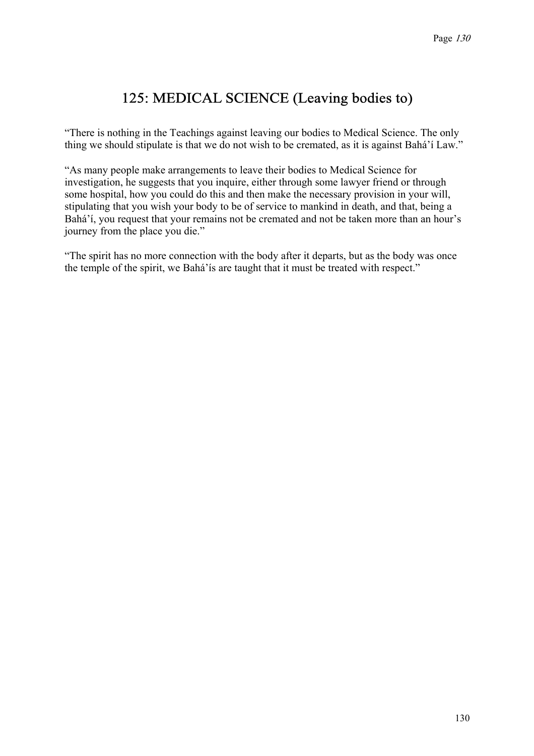### 125: MEDICAL SCIENCE (Leaving bodies to)

"There is nothing in the Teachings against leaving our bodies to Medical Science. The only thing we should stipulate is that we do not wish to be cremated, as it is against Bahá'í Law."

"As many people make arrangements to leave their bodies to Medical Science for investigation, he suggests that you inquire, either through some lawyer friend or through some hospital, how you could do this and then make the necessary provision in your will, stipulating that you wish your body to be of service to mankind in death, and that, being a Bahá'í, you request that your remains not be cremated and not be taken more than an hour's journey from the place you die."

"The spirit has no more connection with the body after it departs, but as the body was once the temple of the spirit, we Bahá'ís are taught that it must be treated with respect."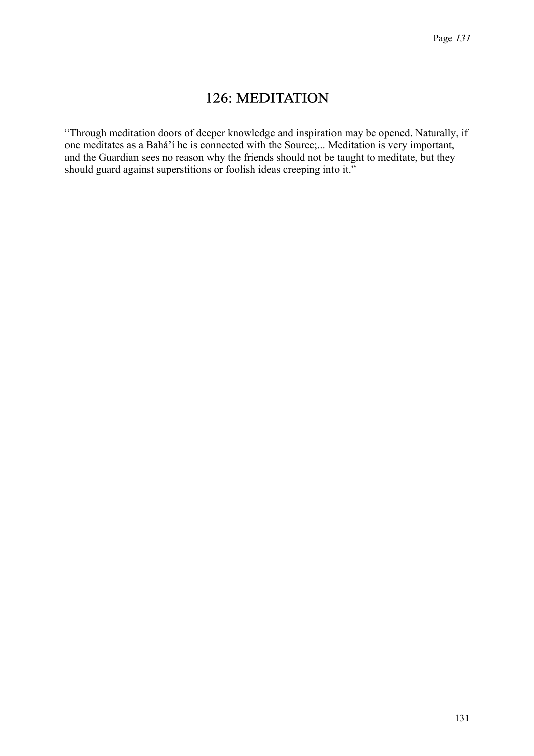#### 126: MEDITATION

"Through meditation doors of deeper knowledge and inspiration may be opened. Naturally, if one meditates as a Bahá'í he is connected with the Source;... Meditation is very important, and the Guardian sees no reason why the friends should not be taught to meditate, but they should guard against superstitions or foolish ideas creeping into it."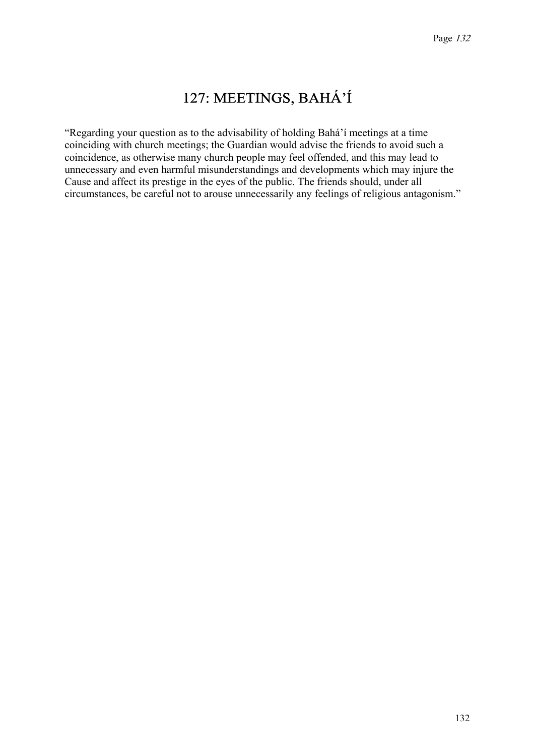## 127: MEETINGS, BAHÁ'Í

"Regarding your question as to the advisability of holding Bahá'í meetings at a time coinciding with church meetings; the Guardian would advise the friends to avoid such a coincidence, as otherwise many church people may feel offended, and this may lead to unnecessary and even harmful misunderstandings and developments which may injure the Cause and affect its prestige in the eyes of the public. The friends should, under all circumstances, be careful not to arouse unnecessarily any feelings of religious antagonism."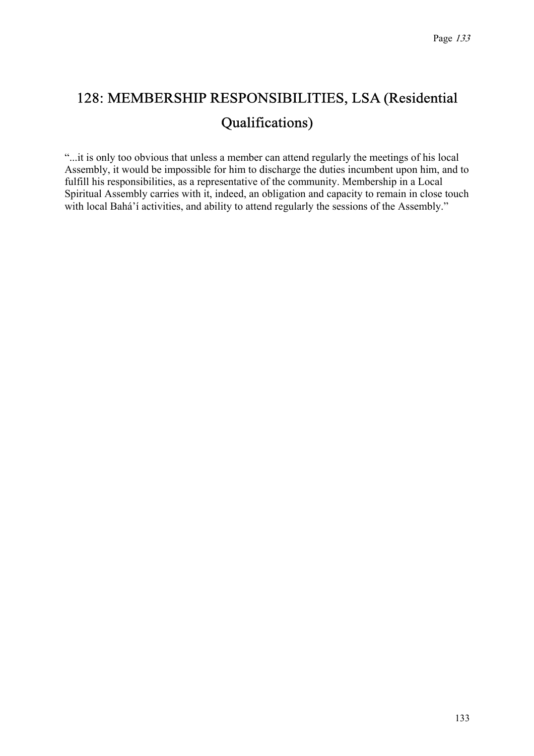# 128: MEMBERSHIP RESPONSIBILITIES, LSA (Residential Qualifications)

"...it is only too obvious that unless a member can attend regularly the meetings of his local Assembly, it would be impossible for him to discharge the duties incumbent upon him, and to fulfill his responsibilities, as a representative of the community. Membership in a Local Spiritual Assembly carries with it, indeed, an obligation and capacity to remain in close touch with local Bahá'í activities, and ability to attend regularly the sessions of the Assembly."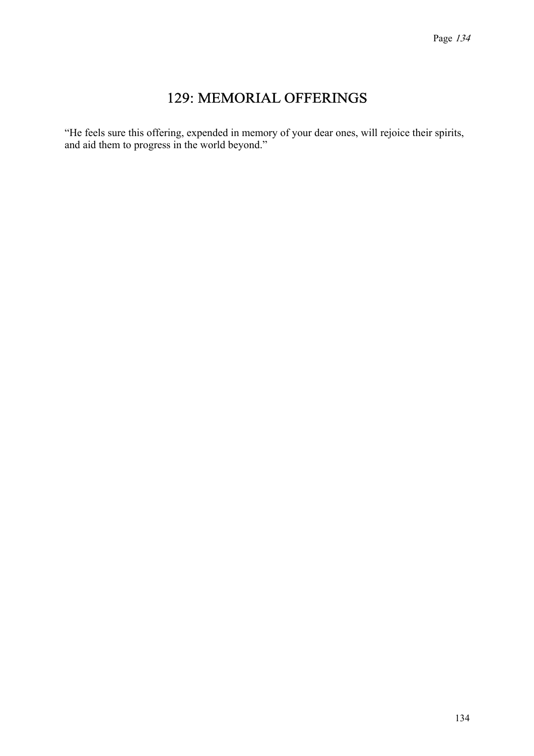## 129: MEMORIAL OFFERINGS

"He feels sure this offering, expended in memory of your dear ones, will rejoice their spirits, and aid them to progress in the world beyond."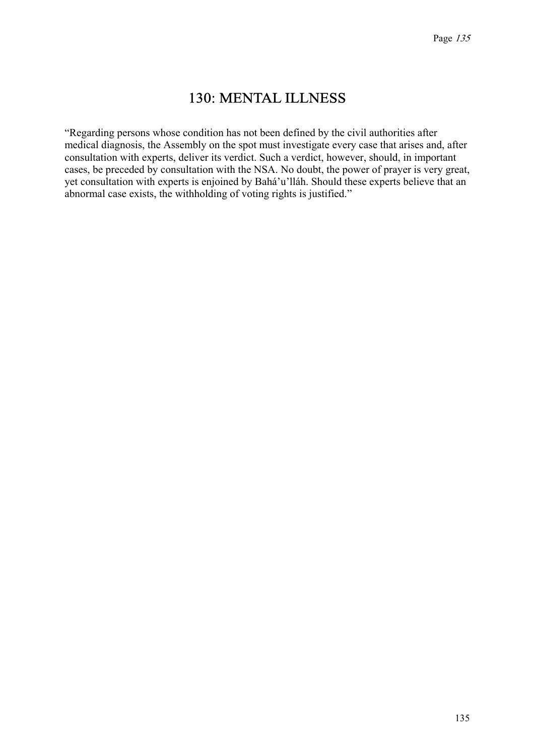#### 130: MENTAL ILLNESS

"Regarding persons whose condition has not been defined by the civil authorities after medical diagnosis, the Assembly on the spot must investigate every case that arises and, after consultation with experts, deliver its verdict. Such a verdict, however, should, in important cases, be preceded by consultation with the NSA. No doubt, the power of prayer is very great, yet consultation with experts is enjoined by Bahá'u'lláh. Should these experts believe that an abnormal case exists, the withholding of voting rights is justified."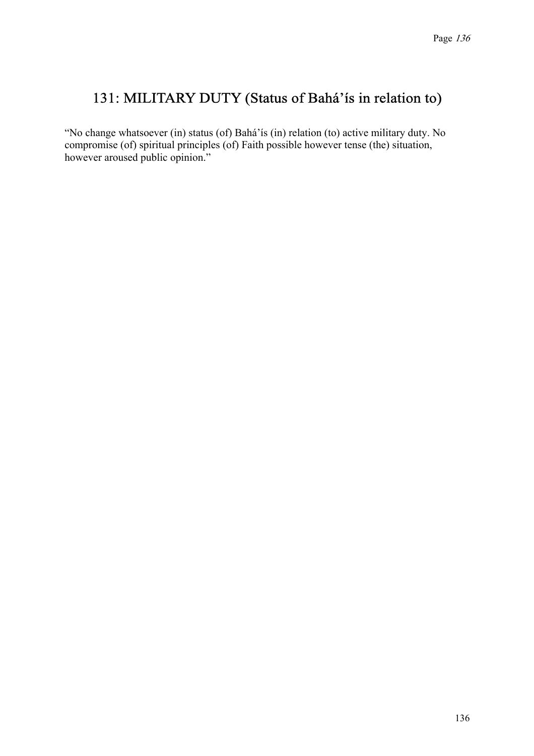## 131: MILITARY DUTY (Status of Bahá'ís in relation to)

"No change whatsoever (in) status (of) Bahá'ís (in) relation (to) active military duty. No compromise (of) spiritual principles (of) Faith possible however tense (the) situation, however aroused public opinion."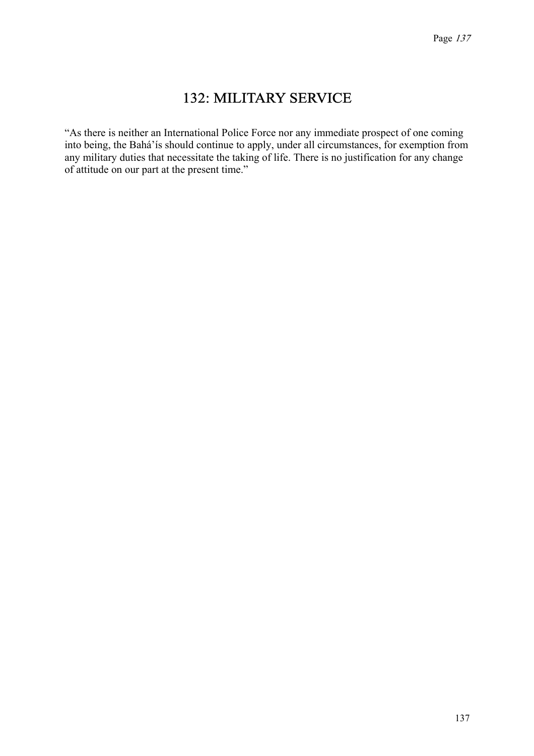#### 132: MILITARY SERVICE

"As there is neither an International Police Force nor any immediate prospect of one coming into being, the Bahá'ís should continue to apply, under all circumstances, for exemption from any military duties that necessitate the taking of life. There is no justification for any change of attitude on our part at the present time."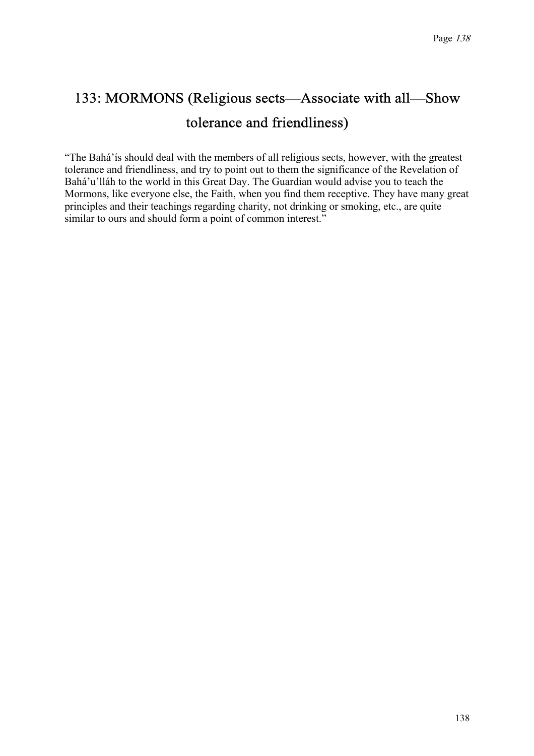## 133: MORMONS (Religious sects—Associate with all—Show tolerance and friendliness)

"The Bahá'ís should deal with the members of all religious sects, however, with the greatest tolerance and friendliness, and try to point out to them the significance of the Revelation of Bahá'u'lláh to the world in this Great Day. The Guardian would advise you to teach the Mormons, like everyone else, the Faith, when you find them receptive. They have many great principles and their teachings regarding charity, not drinking or smoking, etc., are quite similar to ours and should form a point of common interest."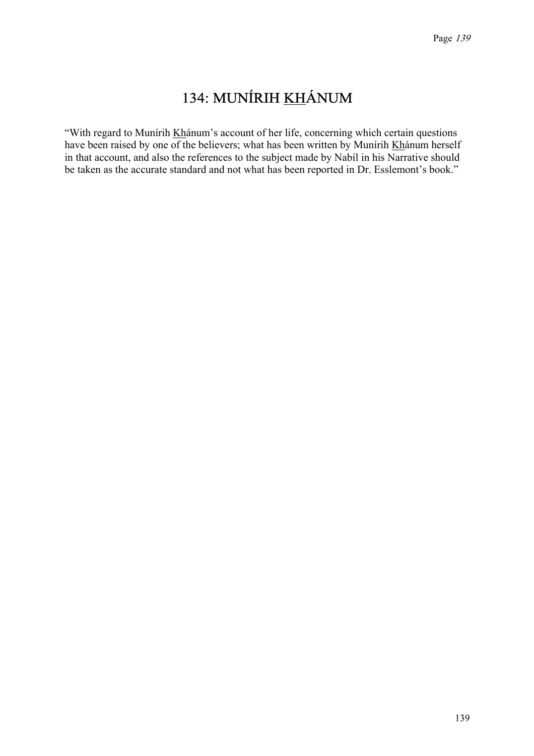## 134: MUNÍRIH KHÁNUM

"With regard to Munírih Khánum's account of her life, concerning which certain questions have been raised by one of the believers; what has been written by Munírih Khánum herself in that account, and also the references to the subject made by Nabíl in his Narrative should be taken as the accurate standard and not what has been reported in Dr. Esslemont's book."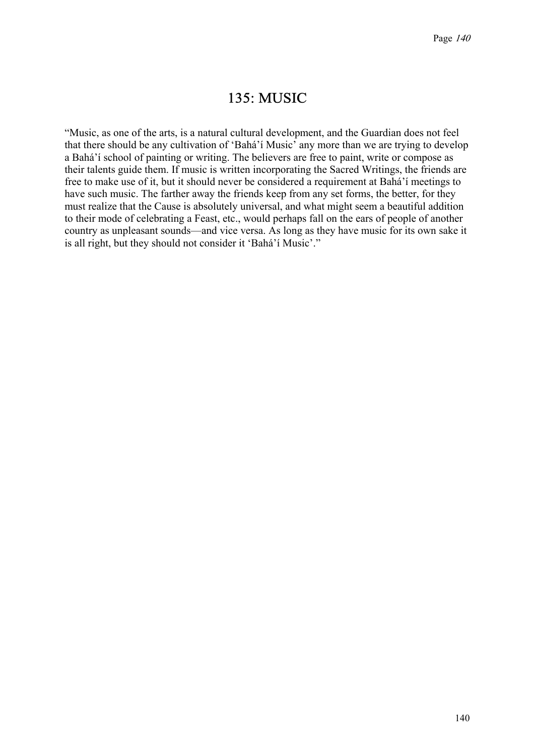#### 135: MUSIC

"Music, as one of the arts, is a natural cultural development, and the Guardian does not feel that there should be any cultivation of 'Bahá'í Music' any more than we are trying to develop a Bahá'í school of painting or writing. The believers are free to paint, write or compose as their talents guide them. If music is written incorporating the Sacred Writings, the friends are free to make use of it, but it should never be considered a requirement at Bahá'í meetings to have such music. The farther away the friends keep from any set forms, the better, for they must realize that the Cause is absolutely universal, and what might seem a beautiful addition to their mode of celebrating a Feast, etc., would perhaps fall on the ears of people of another country as unpleasant sounds—and vice versa. As long as they have music for its own sake it is all right, but they should not consider it 'Bahá'í Music'."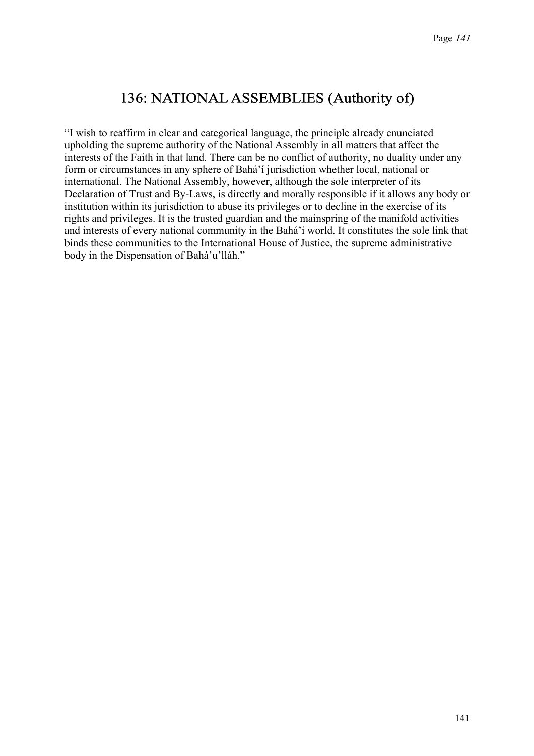#### 136: NATIONAL ASSEMBLIES (Authority of)

"I wish to reaffirm in clear and categorical language, the principle already enunciated upholding the supreme authority of the National Assembly in all matters that affect the interests of the Faith in that land. There can be no conflict of authority, no duality under any form or circumstances in any sphere of Bahá'í jurisdiction whether local, national or international. The National Assembly, however, although the sole interpreter of its Declaration of Trust and By-Laws, is directly and morally responsible if it allows any body or institution within its jurisdiction to abuse its privileges or to decline in the exercise of its rights and privileges. It is the trusted guardian and the mainspring of the manifold activities and interests of every national community in the Bahá'í world. It constitutes the sole link that binds these communities to the International House of Justice, the supreme administrative body in the Dispensation of Bahá'u'lláh."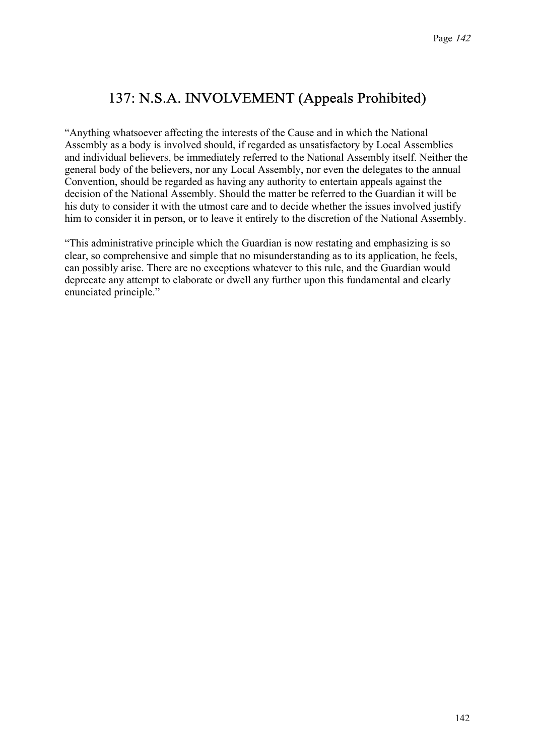#### 137: N.S.A. INVOLVEMENT (Appeals Prohibited)

"Anything whatsoever affecting the interests of the Cause and in which the National Assembly as a body is involved should, if regarded as unsatisfactory by Local Assemblies and individual believers, be immediately referred to the National Assembly itself. Neither the general body of the believers, nor any Local Assembly, nor even the delegates to the annual Convention, should be regarded as having any authority to entertain appeals against the decision of the National Assembly. Should the matter be referred to the Guardian it will be his duty to consider it with the utmost care and to decide whether the issues involved justify him to consider it in person, or to leave it entirely to the discretion of the National Assembly.

"This administrative principle which the Guardian is now restating and emphasizing is so clear, so comprehensive and simple that no misunderstanding as to its application, he feels, can possibly arise. There are no exceptions whatever to this rule, and the Guardian would deprecate any attempt to elaborate or dwell any further upon this fundamental and clearly enunciated principle."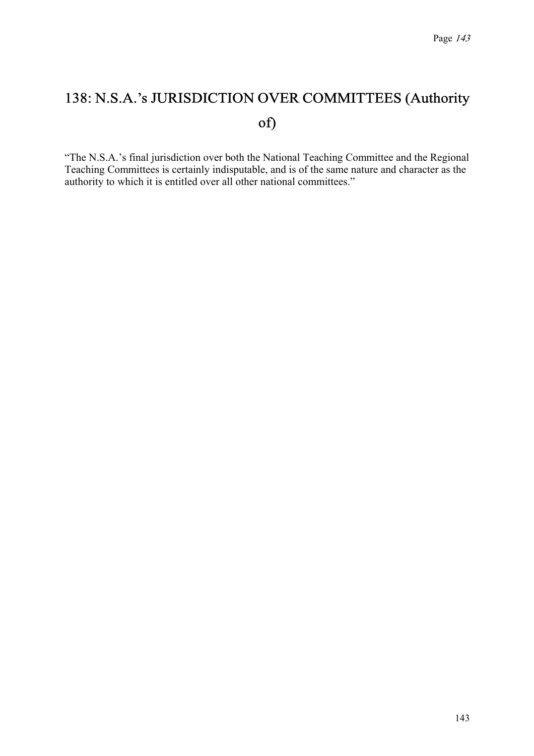# 138: N.S.A.'s JURISDICTION OVER COMMITTEES (Authority of)

"The N.S.A.'s final jurisdiction over both the National Teaching Committee and the Regional Teaching Committees is certainly indisputable, and is of the same nature and character as the authority to which it is entitled over all other national committees."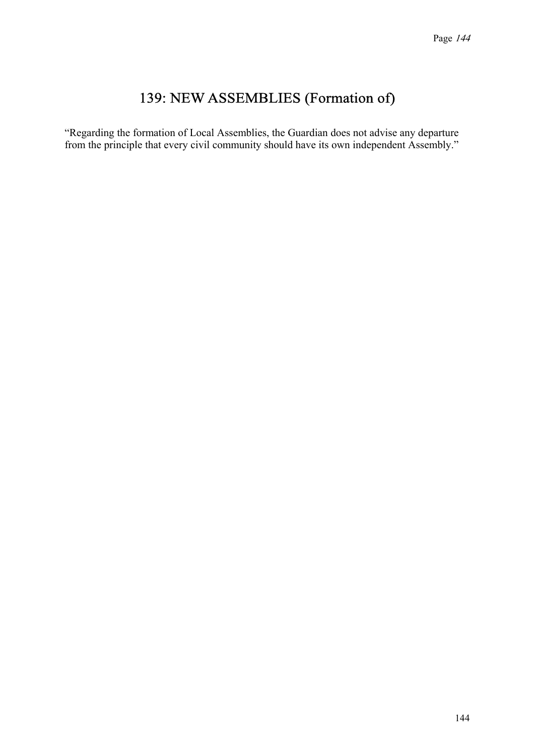## 139: NEW ASSEMBLIES (Formation of)

"Regarding the formation of Local Assemblies, the Guardian does not advise any departure from the principle that every civil community should have its own independent Assembly."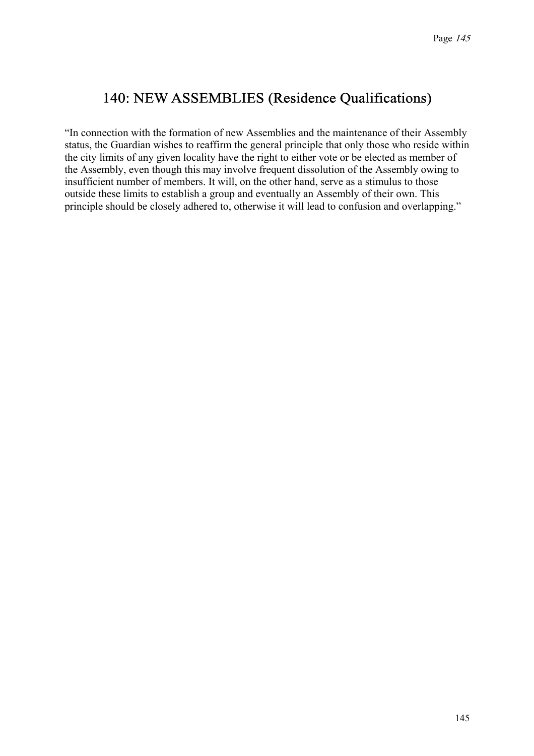### 140: NEW ASSEMBLIES (Residence Qualifications)

"In connection with the formation of new Assemblies and the maintenance of their Assembly status, the Guardian wishes to reaffirm the general principle that only those who reside within the city limits of any given locality have the right to either vote or be elected as member of the Assembly, even though this may involve frequent dissolution of the Assembly owing to insufficient number of members. It will, on the other hand, serve as a stimulus to those outside these limits to establish a group and eventually an Assembly of their own. This principle should be closely adhered to, otherwise it will lead to confusion and overlapping."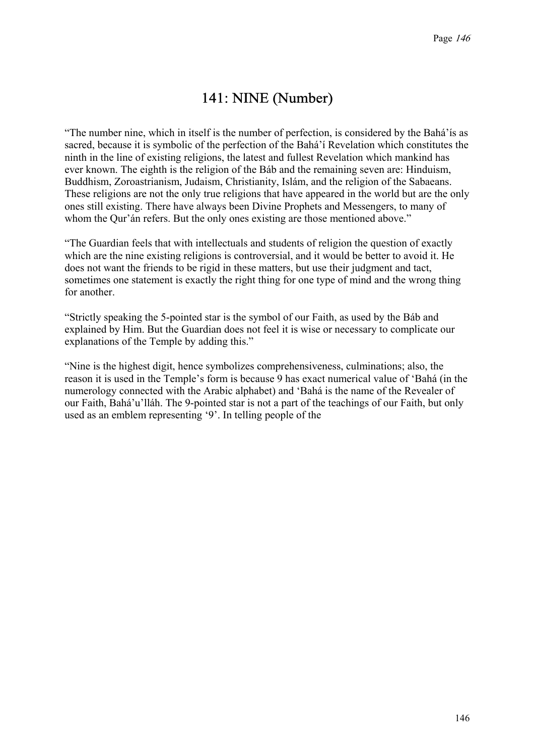#### 141: NINE (Number)

"The number nine, which in itself is the number of perfection, is considered by the Bahá'ís as sacred, because it is symbolic of the perfection of the Bahá'í Revelation which constitutes the ninth in the line of existing religions, the latest and fullest Revelation which mankind has ever known. The eighth is the religion of the Báb and the remaining seven are: Hinduism, Buddhism, Zoroastrianism, Judaism, Christianity, Islám, and the religion of the Sabaeans. These religions are not the only true religions that have appeared in the world but are the only ones still existing. There have always been Divine Prophets and Messengers, to many of whom the Our'án refers. But the only ones existing are those mentioned above."

"The Guardian feels that with intellectuals and students of religion the question of exactly which are the nine existing religions is controversial, and it would be better to avoid it. He does not want the friends to be rigid in these matters, but use their judgment and tact, sometimes one statement is exactly the right thing for one type of mind and the wrong thing for another.

"Strictly speaking the 5-pointed star is the symbol of our Faith, as used by the Báb and explained by Him. But the Guardian does not feel it is wise or necessary to complicate our explanations of the Temple by adding this."

"Nine is the highest digit, hence symbolizes comprehensiveness, culminations; also, the reason it is used in the Temple's form is because 9 has exact numerical value of 'Bahá (in the numerology connected with the Arabic alphabet) and 'Bahá is the name of the Revealer of our Faith, Bahá'u'lláh. The 9-pointed star is not a part of the teachings of our Faith, but only used as an emblem representing '9'. In telling people of the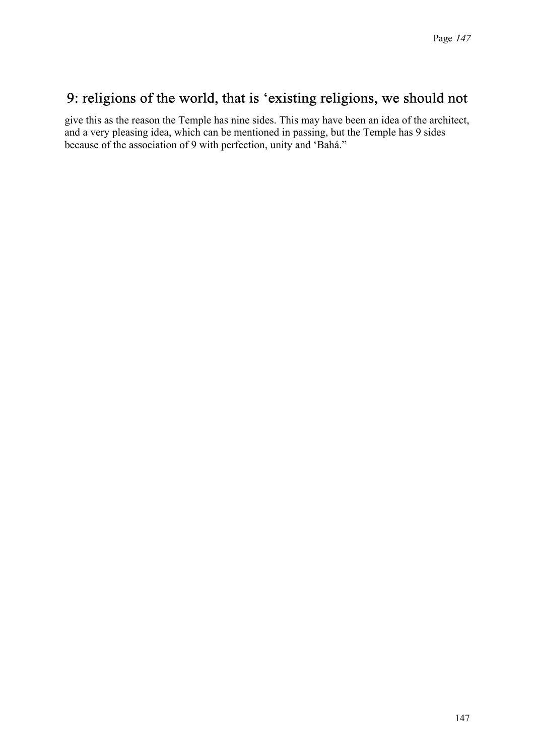### 9: religions of the world, that is 'existing religions, we should not

give this as the reason the Temple has nine sides. This may have been an idea of the architect, and a very pleasing idea, which can be mentioned in passing, but the Temple has 9 sides because of the association of 9 with perfection, unity and 'Bahá."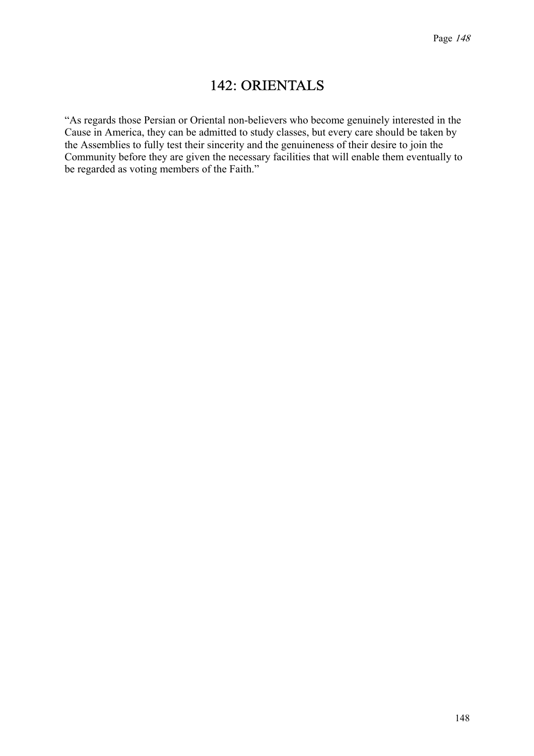### 142: ORIENTALS

"As regards those Persian or Oriental non-believers who become genuinely interested in the Cause in America, they can be admitted to study classes, but every care should be taken by the Assemblies to fully test their sincerity and the genuineness of their desire to join the Community before they are given the necessary facilities that will enable them eventually to be regarded as voting members of the Faith."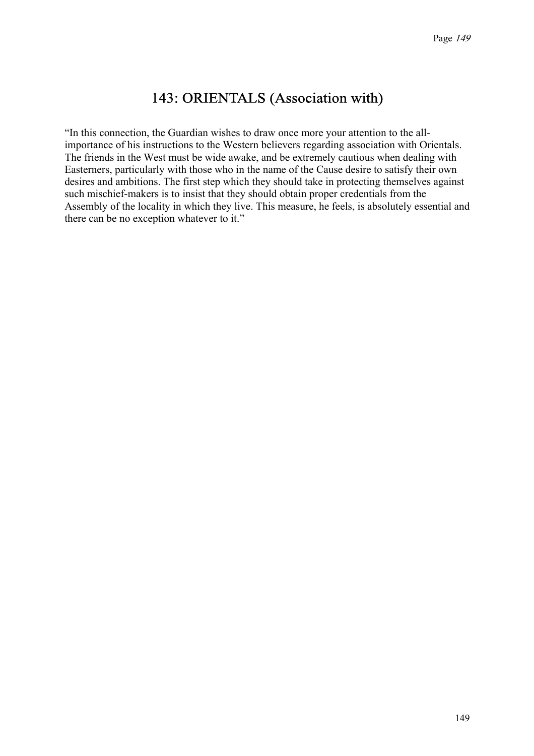### 143: ORIENTALS (Association with)

"In this connection, the Guardian wishes to draw once more your attention to the allimportance of his instructions to the Western believers regarding association with Orientals. The friends in the West must be wide awake, and be extremely cautious when dealing with Easterners, particularly with those who in the name of the Cause desire to satisfy their own desires and ambitions. The first step which they should take in protecting themselves against such mischief-makers is to insist that they should obtain proper credentials from the Assembly of the locality in which they live. This measure, he feels, is absolutely essential and there can be no exception whatever to it."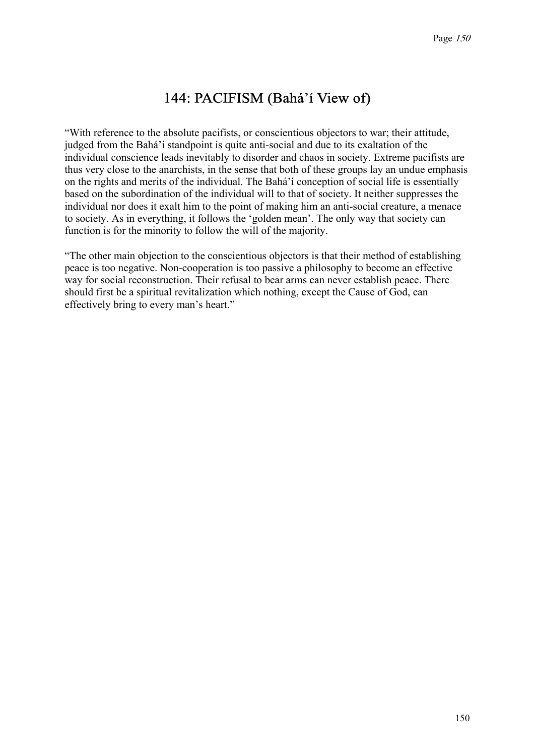### 144: PACIFISM (Bahá'í View of)

"With reference to the absolute pacifists, or conscientious objectors to war; their attitude, judged from the Bahá'í standpoint is quite anti-social and due to its exaltation of the individual conscience leads inevitably to disorder and chaos in society. Extreme pacifists are thus very close to the anarchists, in the sense that both of these groups lay an undue emphasis on the rights and merits of the individual. The Bahá'í conception of social life is essentially based on the subordination of the individual will to that of society. It neither suppresses the individual nor does it exalt him to the point of making him an anti-social creature, a menace to society. As in everything, it follows the 'golden mean'. The only way that society can function is for the minority to follow the will of the majority.

"The other main objection to the conscientious objectors is that their method of establishing peace is too negative. Non-cooperation is too passive a philosophy to become an effective way for social reconstruction. Their refusal to bear arms can never establish peace. There should first be a spiritual revitalization which nothing, except the Cause of God, can effectively bring to every man's heart."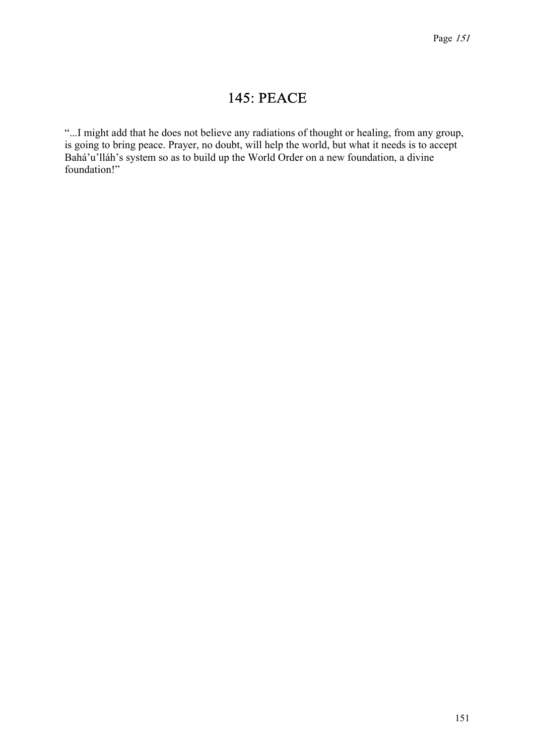#### 145: PEACE

"...I might add that he does not believe any radiations of thought or healing, from any group, is going to bring peace. Prayer, no doubt, will help the world, but what it needs is to accept Bahá'u'lláh's system so as to build up the World Order on a new foundation, a divine foundation!"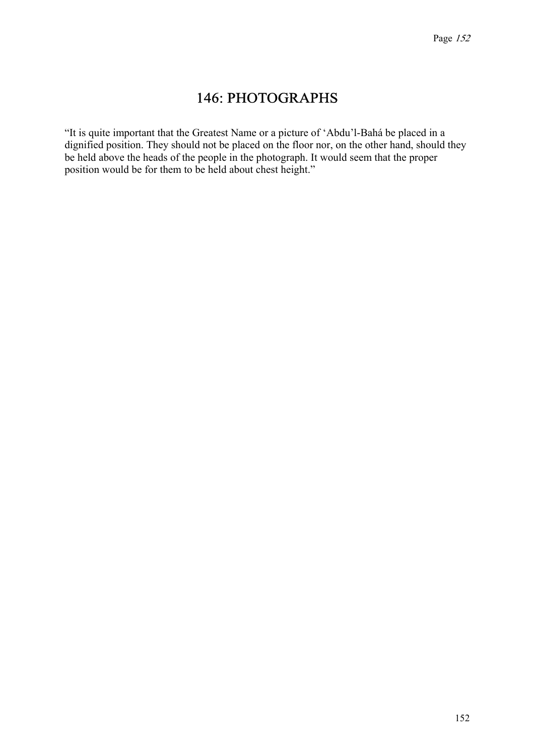## 146: PHOTOGRAPHS

"It is quite important that the Greatest Name or a picture of 'Abdu'l-Bahá be placed in a dignified position. They should not be placed on the floor nor, on the other hand, should they be held above the heads of the people in the photograph. It would seem that the proper position would be for them to be held about chest height."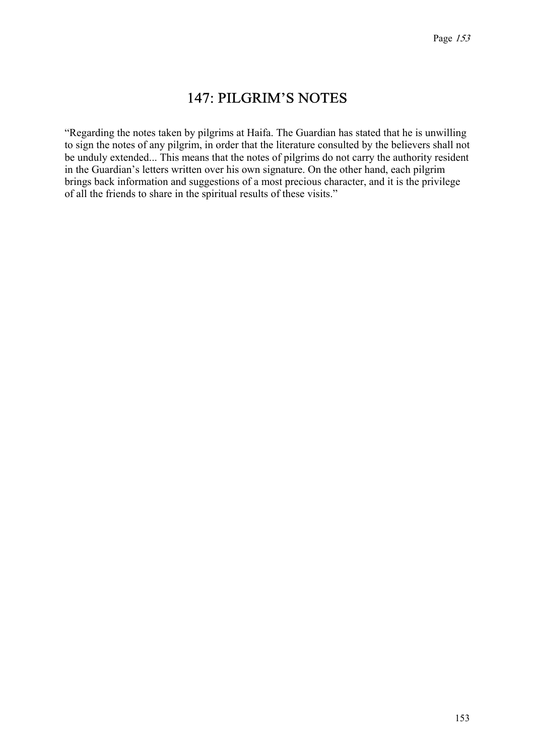## 147: PILGRIM'S NOTES

"Regarding the notes taken by pilgrims at Haifa. The Guardian has stated that he is unwilling to sign the notes of any pilgrim, in order that the literature consulted by the believers shall not be unduly extended... This means that the notes of pilgrims do not carry the authority resident in the Guardian's letters written over his own signature. On the other hand, each pilgrim brings back information and suggestions of a most precious character, and it is the privilege of all the friends to share in the spiritual results of these visits."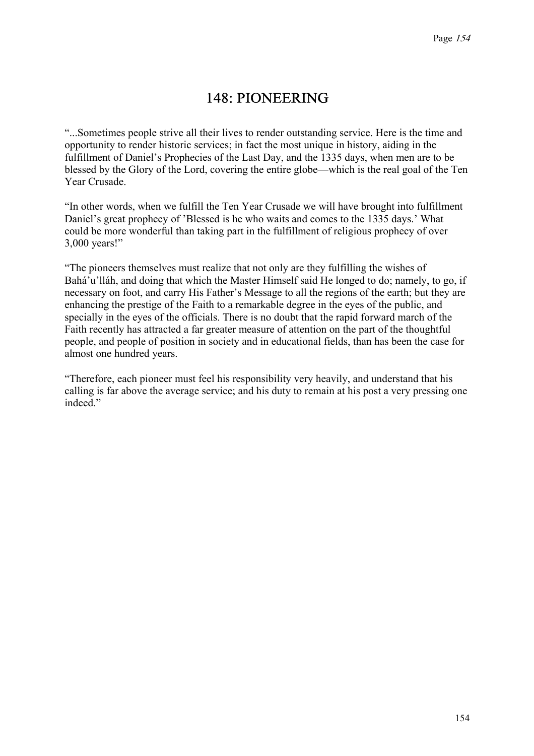### 148: PIONEERING

"...Sometimes people strive all their lives to render outstanding service. Here is the time and opportunity to render historic services; in fact the most unique in history, aiding in the fulfillment of Daniel's Prophecies of the Last Day, and the 1335 days, when men are to be blessed by the Glory of the Lord, covering the entire globe—which is the real goal of the Ten Year Crusade.

"In other words, when we fulfill the Ten Year Crusade we will have brought into fulfillment Daniel's great prophecy of 'Blessed is he who waits and comes to the 1335 days.' What could be more wonderful than taking part in the fulfillment of religious prophecy of over 3,000 years!"

"The pioneers themselves must realize that not only are they fulfilling the wishes of Bahá'u'lláh, and doing that which the Master Himself said He longed to do; namely, to go, if necessary on foot, and carry His Father's Message to all the regions of the earth; but they are enhancing the prestige of the Faith to a remarkable degree in the eyes of the public, and specially in the eyes of the officials. There is no doubt that the rapid forward march of the Faith recently has attracted a far greater measure of attention on the part of the thoughtful people, and people of position in society and in educational fields, than has been the case for almost one hundred years.

"Therefore, each pioneer must feel his responsibility very heavily, and understand that his calling is far above the average service; and his duty to remain at his post a very pressing one indeed."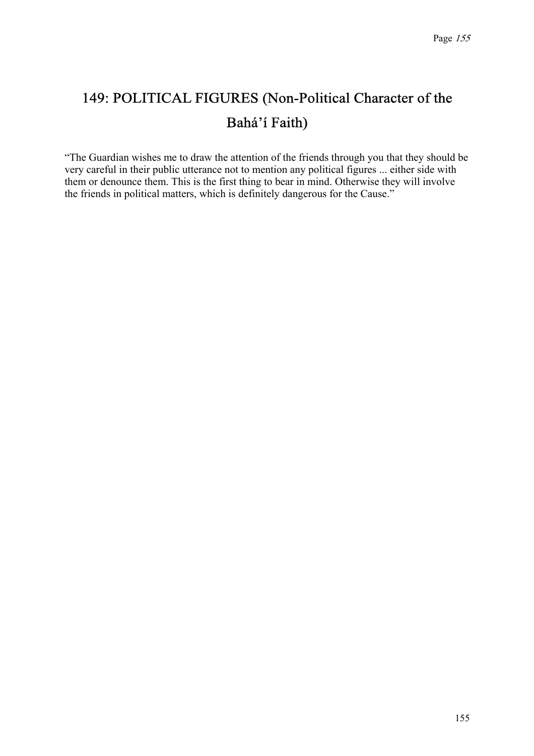# 149: POLITICAL FIGURES (Non-Political Character of the Bahá'í Faith)

"The Guardian wishes me to draw the attention of the friends through you that they should be very careful in their public utterance not to mention any political figures ... either side with them or denounce them. This is the first thing to bear in mind. Otherwise they will involve the friends in political matters, which is definitely dangerous for the Cause."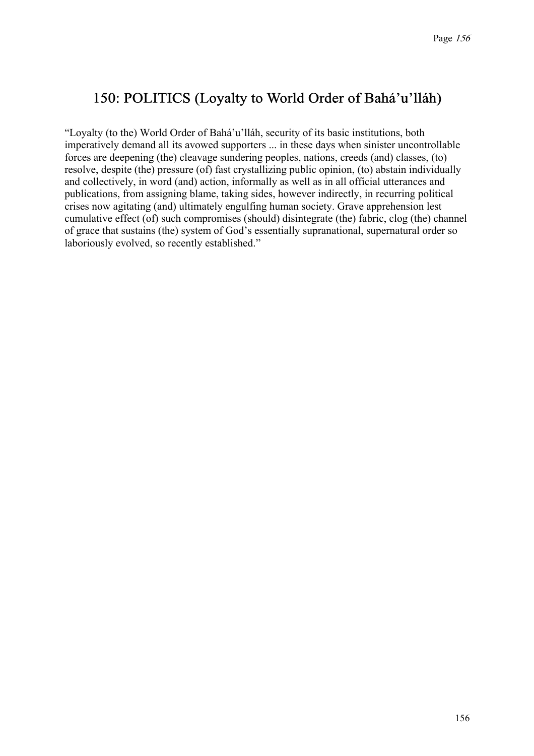### 150: POLITICS (Loyalty to World Order of Bahá'u'lláh)

"Loyalty (to the) World Order of Bahá'u'lláh, security of its basic institutions, both imperatively demand all its avowed supporters ... in these days when sinister uncontrollable forces are deepening (the) cleavage sundering peoples, nations, creeds (and) classes, (to) resolve, despite (the) pressure (of) fast crystallizing public opinion, (to) abstain individually and collectively, in word (and) action, informally as well as in all official utterances and publications, from assigning blame, taking sides, however indirectly, in recurring political crises now agitating (and) ultimately engulfing human society. Grave apprehension lest cumulative effect (of) such compromises (should) disintegrate (the) fabric, clog (the) channel of grace that sustains (the) system of God's essentially supranational, supernatural order so laboriously evolved, so recently established."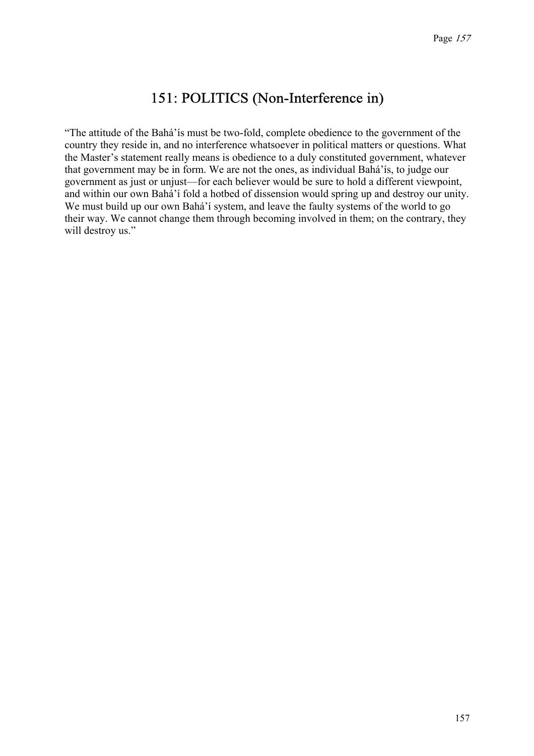### 151: POLITICS (Non-Interference in)

"The attitude of the Bahá'ís must be two-fold, complete obedience to the government of the country they reside in, and no interference whatsoever in political matters or questions. What the Master's statement really means is obedience to a duly constituted government, whatever that government may be in form. We are not the ones, as individual Bahá'ís, to judge our government as just or unjust—for each believer would be sure to hold a different viewpoint, and within our own Bahá'í fold a hotbed of dissension would spring up and destroy our unity. We must build up our own Bahá'í system, and leave the faulty systems of the world to go their way. We cannot change them through becoming involved in them; on the contrary, they will destroy us."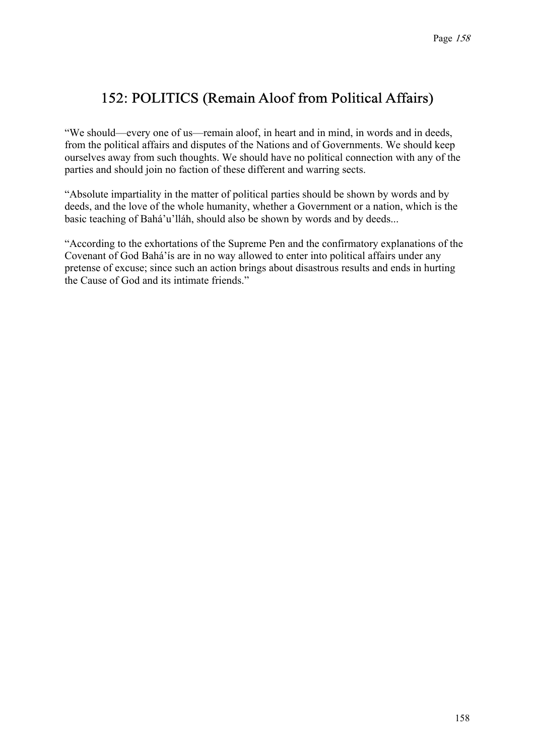### 152: POLITICS (Remain Aloof from Political Affairs)

"We should—every one of us—remain aloof, in heart and in mind, in words and in deeds, from the political affairs and disputes of the Nations and of Governments. We should keep ourselves away from such thoughts. We should have no political connection with any of the parties and should join no faction of these different and warring sects.

"Absolute impartiality in the matter of political parties should be shown by words and by deeds, and the love of the whole humanity, whether a Government or a nation, which is the basic teaching of Bahá'u'lláh, should also be shown by words and by deeds...

"According to the exhortations of the Supreme Pen and the confirmatory explanations of the Covenant of God Bahá'ís are in no way allowed to enter into political affairs under any pretense of excuse; since such an action brings about disastrous results and ends in hurting the Cause of God and its intimate friends."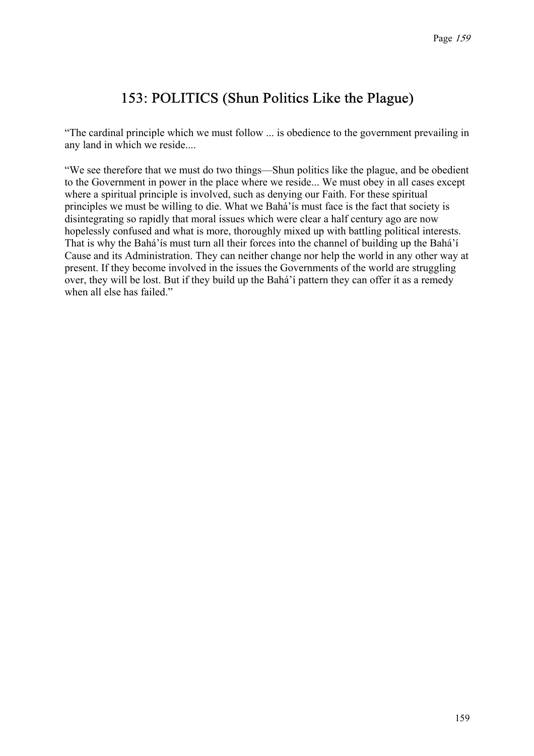### 153: POLITICS (Shun Politics Like the Plague)

"The cardinal principle which we must follow ... is obedience to the government prevailing in any land in which we reside....

"We see therefore that we must do two things—Shun politics like the plague, and be obedient to the Government in power in the place where we reside... We must obey in all cases except where a spiritual principle is involved, such as denying our Faith. For these spiritual principles we must be willing to die. What we Bahá'ís must face is the fact that society is disintegrating so rapidly that moral issues which were clear a half century ago are now hopelessly confused and what is more, thoroughly mixed up with battling political interests. That is why the Bahá'ís must turn all their forces into the channel of building up the Bahá'í Cause and its Administration. They can neither change nor help the world in any other way at present. If they become involved in the issues the Governments of the world are struggling over, they will be lost. But if they build up the Bahá'í pattern they can offer it as a remedy when all else has failed."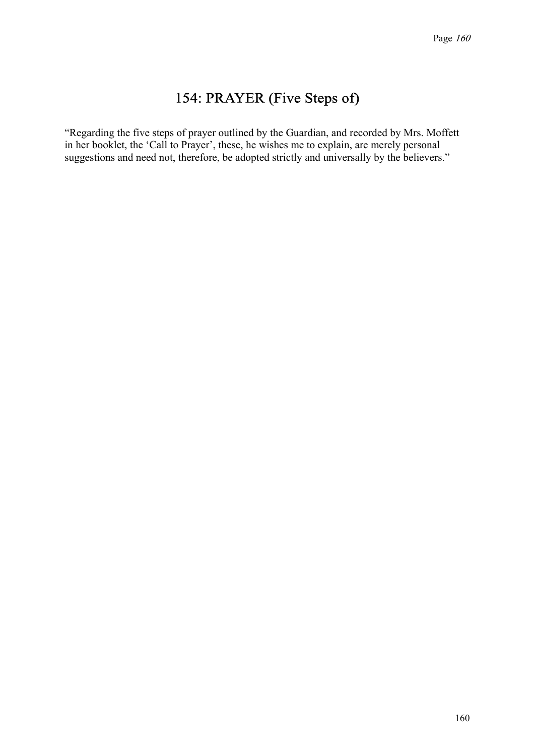# 154: PRAYER (Five Steps of)

"Regarding the five steps of prayer outlined by the Guardian, and recorded by Mrs. Moffett in her booklet, the 'Call to Prayer', these, he wishes me to explain, are merely personal suggestions and need not, therefore, be adopted strictly and universally by the believers."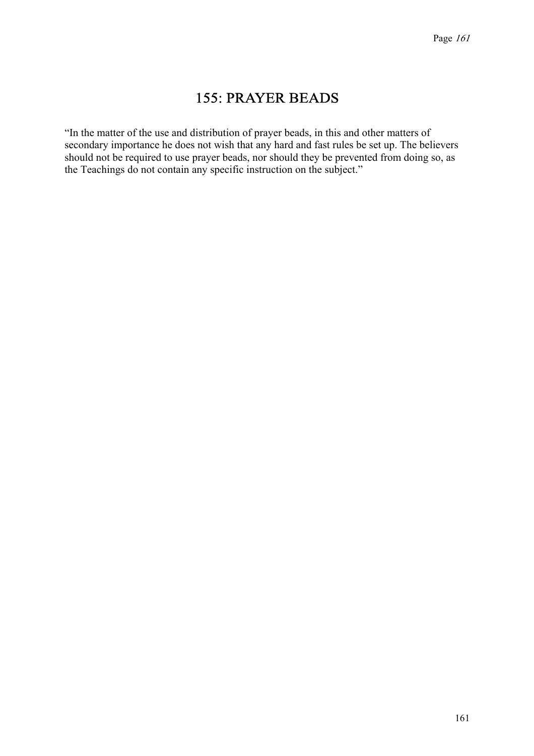### 155: PRAYER BEADS

"In the matter of the use and distribution of prayer beads, in this and other matters of secondary importance he does not wish that any hard and fast rules be set up. The believers should not be required to use prayer beads, nor should they be prevented from doing so, as the Teachings do not contain any specific instruction on the subject."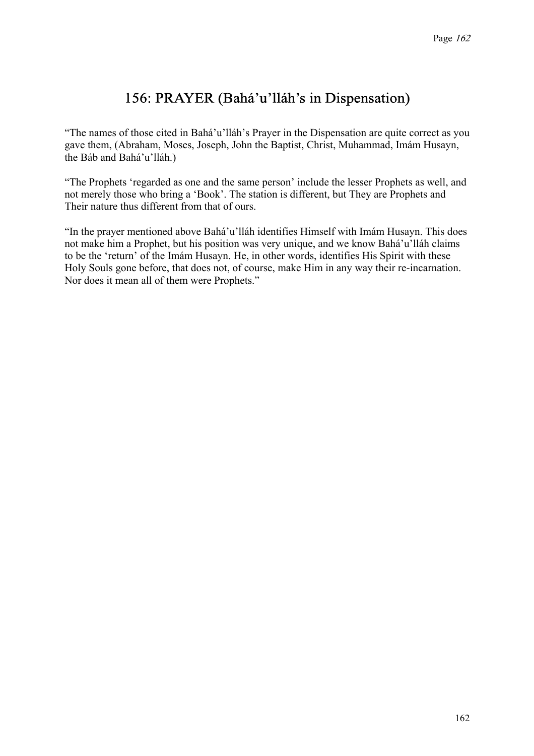### 156: PRAYER (Bahá'u'lláh's in Dispensation)

"The names of those cited in Bahá'u'lláh's Prayer in the Dispensation are quite correct as you gave them, (Abraham, Moses, Joseph, John the Baptist, Christ, Muhammad, Imám Husayn, the Báb and Bahá'u'lláh.)

"The Prophets 'regarded as one and the same person' include the lesser Prophets as well, and not merely those who bring a 'Book'. The station is different, but They are Prophets and Their nature thus different from that of ours.

"In the prayer mentioned above Bahá'u'lláh identifies Himself with Imám Husayn. This does not make him a Prophet, but his position was very unique, and we know Bahá'u'lláh claims to be the 'return' of the Imám Husayn. He, in other words, identifies His Spirit with these Holy Souls gone before, that does not, of course, make Him in any way their re-incarnation. Nor does it mean all of them were Prophets."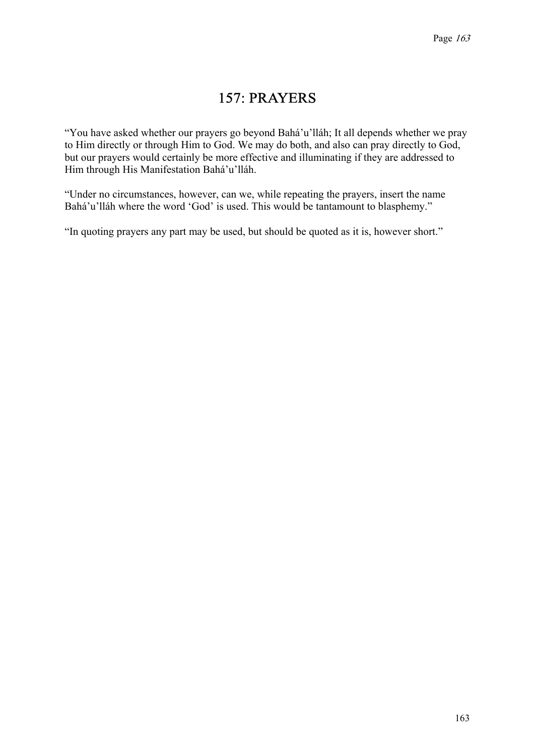### 157: PRAYERS

"You have asked whether our prayers go beyond Bahá'u'lláh; It all depends whether we pray to Him directly or through Him to God. We may do both, and also can pray directly to God, but our prayers would certainly be more effective and illuminating if they are addressed to Him through His Manifestation Bahá'u'lláh.

"Under no circumstances, however, can we, while repeating the prayers, insert the name Bahá'u'lláh where the word 'God' is used. This would be tantamount to blasphemy."

"In quoting prayers any part may be used, but should be quoted as it is, however short."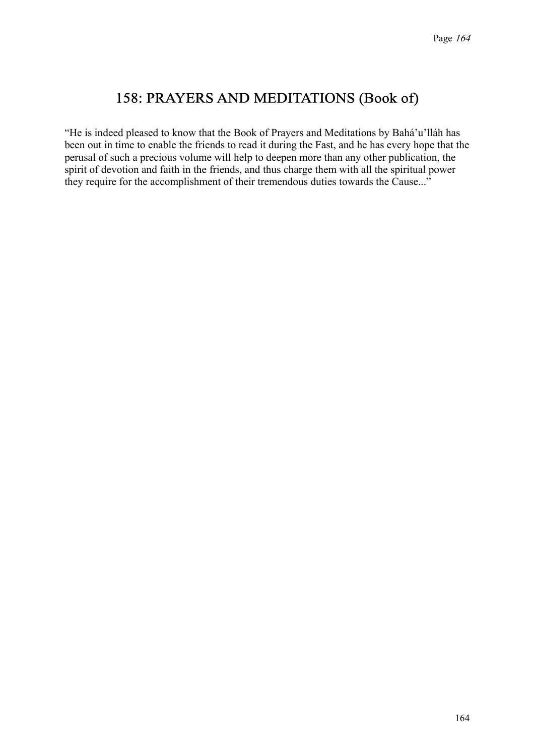# 158: PRAYERS AND MEDITATIONS (Book of)

"He is indeed pleased to know that the Book of Prayers and Meditations by Bahá'u'lláh has been out in time to enable the friends to read it during the Fast, and he has every hope that the perusal of such a precious volume will help to deepen more than any other publication, the spirit of devotion and faith in the friends, and thus charge them with all the spiritual power they require for the accomplishment of their tremendous duties towards the Cause..."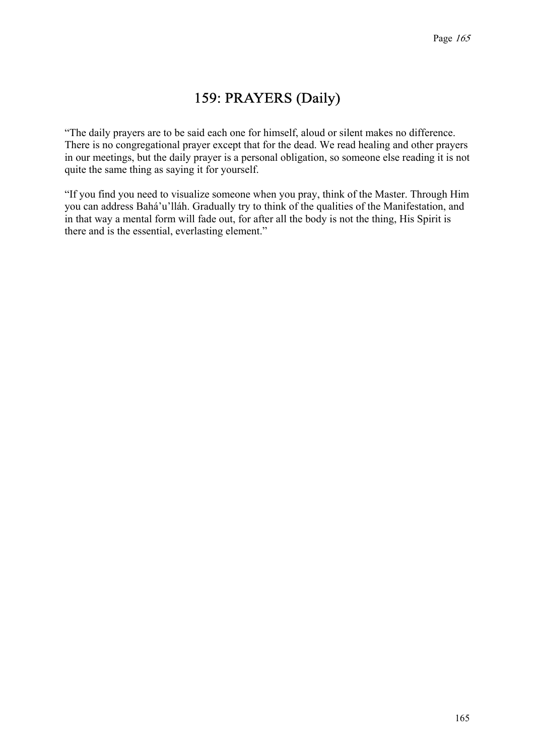### 159: PRAYERS (Daily)

"The daily prayers are to be said each one for himself, aloud or silent makes no difference. There is no congregational prayer except that for the dead. We read healing and other prayers in our meetings, but the daily prayer is a personal obligation, so someone else reading it is not quite the same thing as saying it for yourself.

"If you find you need to visualize someone when you pray, think of the Master. Through Him you can address Bahá'u'lláh. Gradually try to think of the qualities of the Manifestation, and in that way a mental form will fade out, for after all the body is not the thing, His Spirit is there and is the essential, everlasting element."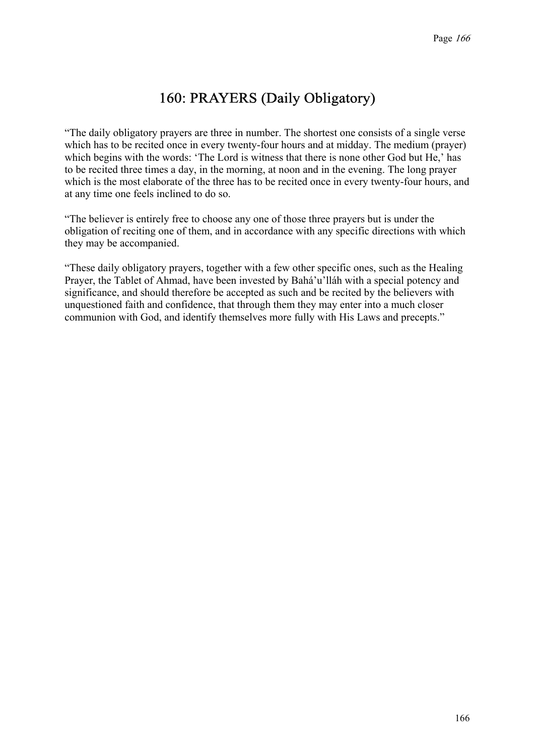# 160: PRAYERS (Daily Obligatory)

"The daily obligatory prayers are three in number. The shortest one consists of a single verse which has to be recited once in every twenty-four hours and at midday. The medium (prayer) which begins with the words: 'The Lord is witness that there is none other God but He,' has to be recited three times a day, in the morning, at noon and in the evening. The long prayer which is the most elaborate of the three has to be recited once in every twenty-four hours, and at any time one feels inclined to do so.

"The believer is entirely free to choose any one of those three prayers but is under the obligation of reciting one of them, and in accordance with any specific directions with which they may be accompanied.

"These daily obligatory prayers, together with a few other specific ones, such as the Healing Prayer, the Tablet of Ahmad, have been invested by Bahá'u'lláh with a special potency and significance, and should therefore be accepted as such and be recited by the believers with unquestioned faith and confidence, that through them they may enter into a much closer communion with God, and identify themselves more fully with His Laws and precepts."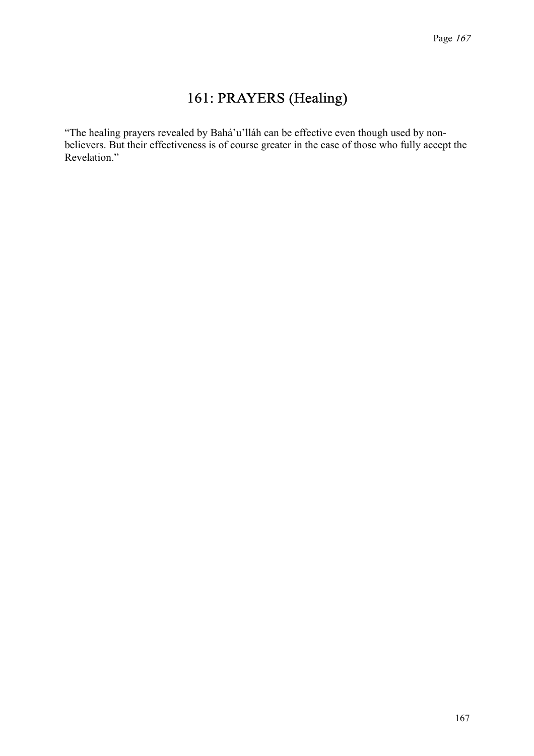# 161: PRAYERS (Healing)

"The healing prayers revealed by Bahá'u'lláh can be effective even though used by nonbelievers. But their effectiveness is of course greater in the case of those who fully accept the Revelation."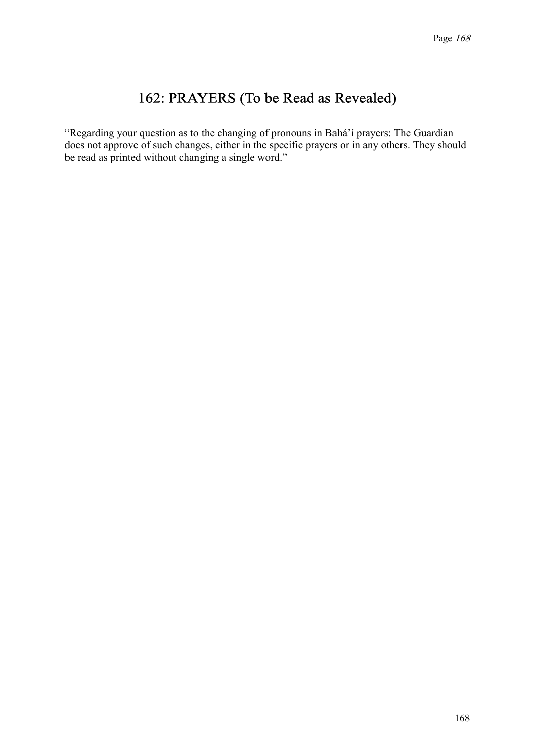# 162: PRAYERS (To be Read as Revealed)

"Regarding your question as to the changing of pronouns in Bahá'í prayers: The Guardian does not approve of such changes, either in the specific prayers or in any others. They should be read as printed without changing a single word."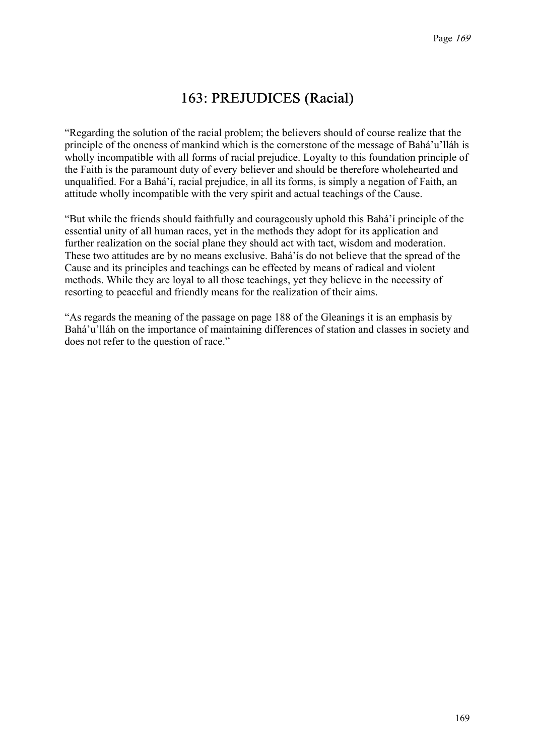#### 163: PREJUDICES (Racial)

"Regarding the solution of the racial problem; the believers should of course realize that the principle of the oneness of mankind which is the cornerstone of the message of Bahá'u'lláh is wholly incompatible with all forms of racial prejudice. Loyalty to this foundation principle of the Faith is the paramount duty of every believer and should be therefore wholehearted and unqualified. For a Bahá'í, racial prejudice, in all its forms, is simply a negation of Faith, an attitude wholly incompatible with the very spirit and actual teachings of the Cause.

"But while the friends should faithfully and courageously uphold this Bahá'í principle of the essential unity of all human races, yet in the methods they adopt for its application and further realization on the social plane they should act with tact, wisdom and moderation. These two attitudes are by no means exclusive. Bahá'ís do not believe that the spread of the Cause and its principles and teachings can be effected by means of radical and violent methods. While they are loyal to all those teachings, yet they believe in the necessity of resorting to peaceful and friendly means for the realization of their aims.

"As regards the meaning of the passage on page 188 of the Gleanings it is an emphasis by Bahá'u'lláh on the importance of maintaining differences of station and classes in society and does not refer to the question of race."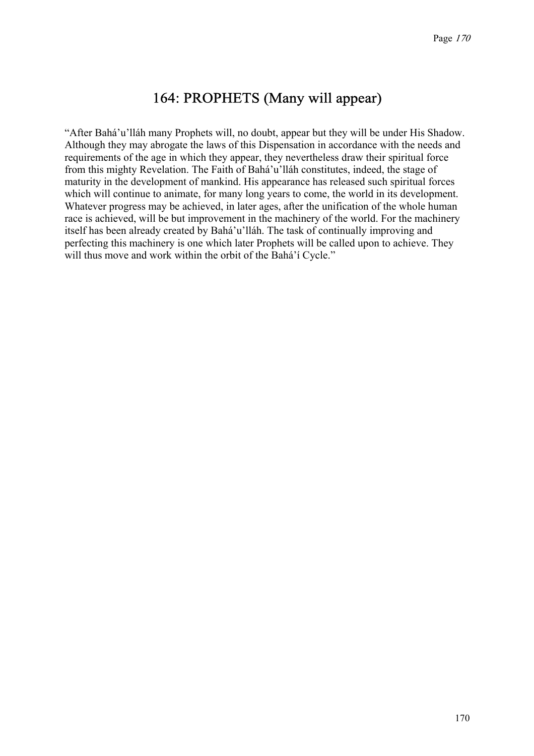### 164: PROPHETS (Many will appear)

"After Bahá'u'lláh many Prophets will, no doubt, appear but they will be under His Shadow. Although they may abrogate the laws of this Dispensation in accordance with the needs and requirements of the age in which they appear, they nevertheless draw their spiritual force from this mighty Revelation. The Faith of Bahá'u'lláh constitutes, indeed, the stage of maturity in the development of mankind. His appearance has released such spiritual forces which will continue to animate, for many long years to come, the world in its development. Whatever progress may be achieved, in later ages, after the unification of the whole human race is achieved, will be but improvement in the machinery of the world. For the machinery itself has been already created by Bahá'u'lláh. The task of continually improving and perfecting this machinery is one which later Prophets will be called upon to achieve. They will thus move and work within the orbit of the Bahá'í Cycle."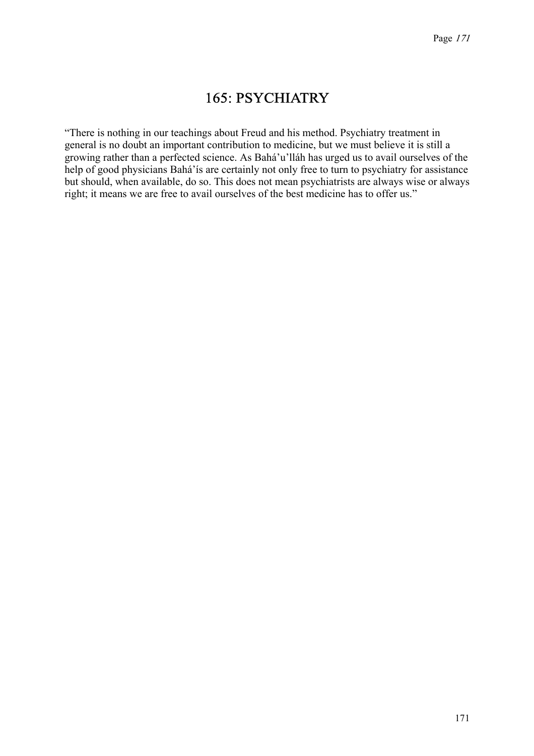### 165: PSYCHIATRY

"There is nothing in our teachings about Freud and his method. Psychiatry treatment in general is no doubt an important contribution to medicine, but we must believe it is still a growing rather than a perfected science. As Bahá'u'lláh has urged us to avail ourselves of the help of good physicians Bahá'ís are certainly not only free to turn to psychiatry for assistance but should, when available, do so. This does not mean psychiatrists are always wise or always right; it means we are free to avail ourselves of the best medicine has to offer us."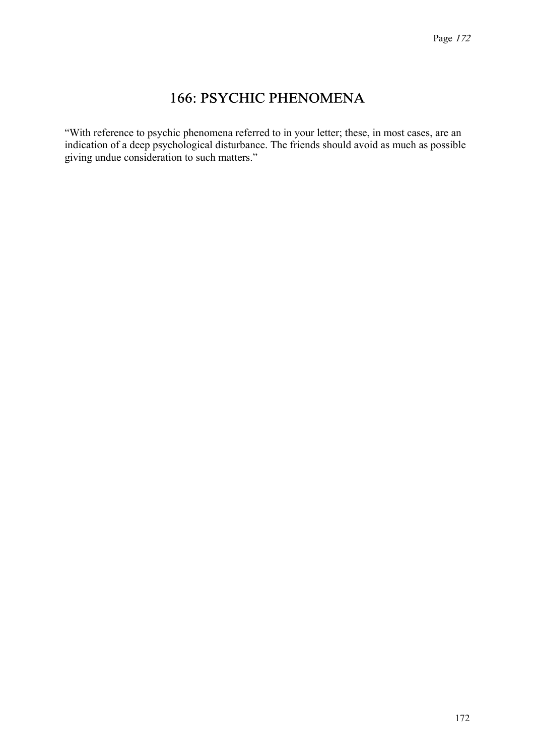# 166: PSYCHIC PHENOMENA

"With reference to psychic phenomena referred to in your letter; these, in most cases, are an indication of a deep psychological disturbance. The friends should avoid as much as possible giving undue consideration to such matters."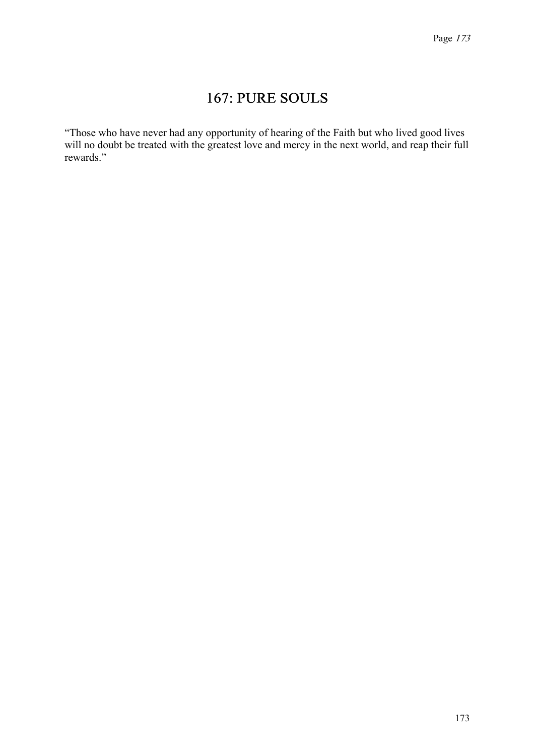# 167: PURE SOULS

"Those who have never had any opportunity of hearing of the Faith but who lived good lives will no doubt be treated with the greatest love and mercy in the next world, and reap their full rewards."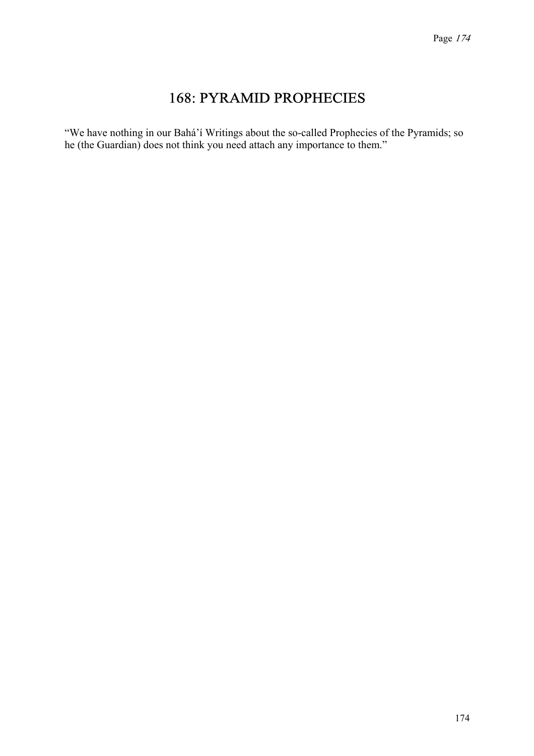# 168: PYRAMID PROPHECIES

"We have nothing in our Bahá'í Writings about the so-called Prophecies of the Pyramids; so he (the Guardian) does not think you need attach any importance to them."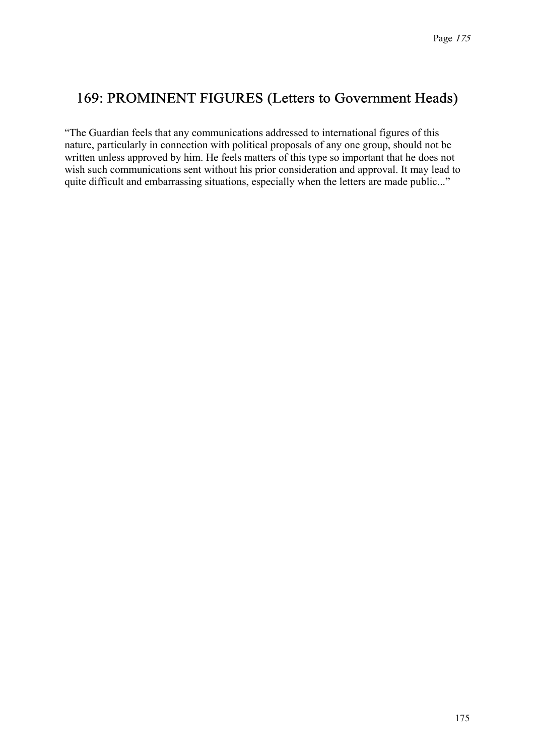### 169: PROMINENT FIGURES (Letters to Government Heads)

"The Guardian feels that any communications addressed to international figures of this nature, particularly in connection with political proposals of any one group, should not be written unless approved by him. He feels matters of this type so important that he does not wish such communications sent without his prior consideration and approval. It may lead to quite difficult and embarrassing situations, especially when the letters are made public..."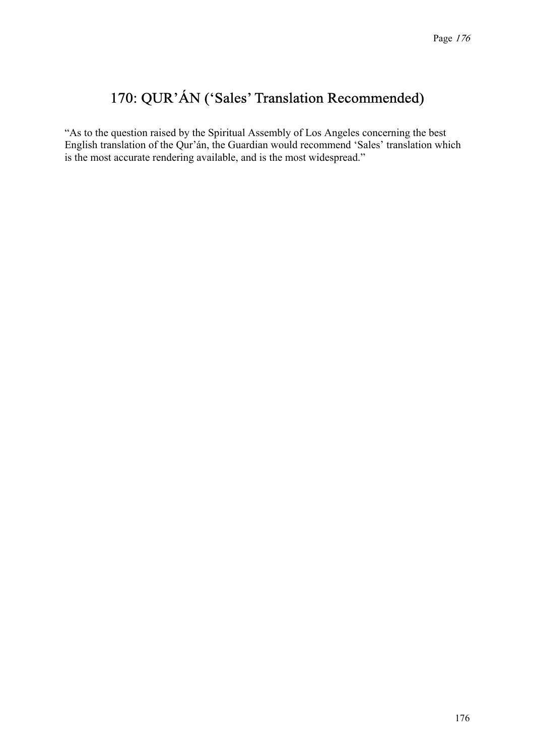# 170: QUR'ÁN ('Sales' Translation Recommended)

"As to the question raised by the Spiritual Assembly of Los Angeles concerning the best English translation of the Qur'án, the Guardian would recommend 'Sales' translation which is the most accurate rendering available, and is the most widespread."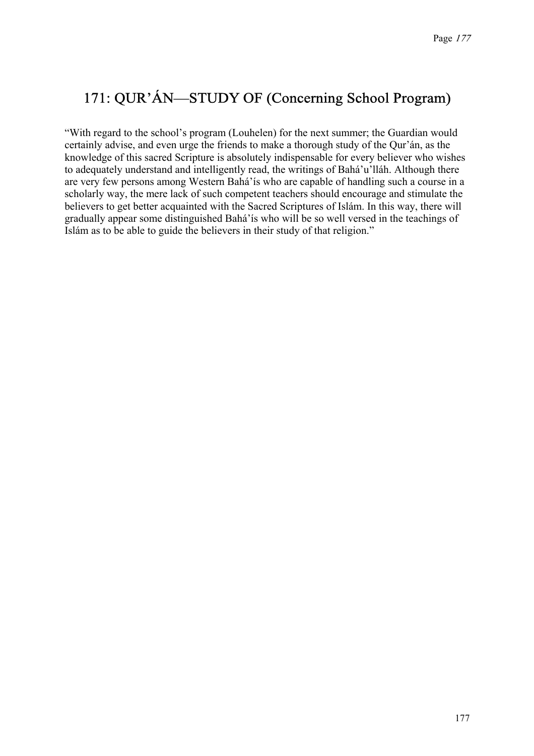# 171: QUR'ÁN—STUDY OF (Concerning School Program)

"With regard to the school's program (Louhelen) for the next summer; the Guardian would certainly advise, and even urge the friends to make a thorough study of the Qur'án, as the knowledge of this sacred Scripture is absolutely indispensable for every believer who wishes to adequately understand and intelligently read, the writings of Bahá'u'lláh. Although there are very few persons among Western Bahá'ís who are capable of handling such a course in a scholarly way, the mere lack of such competent teachers should encourage and stimulate the believers to get better acquainted with the Sacred Scriptures of Islám. In this way, there will gradually appear some distinguished Bahá'ís who will be so well versed in the teachings of Islám as to be able to guide the believers in their study of that religion."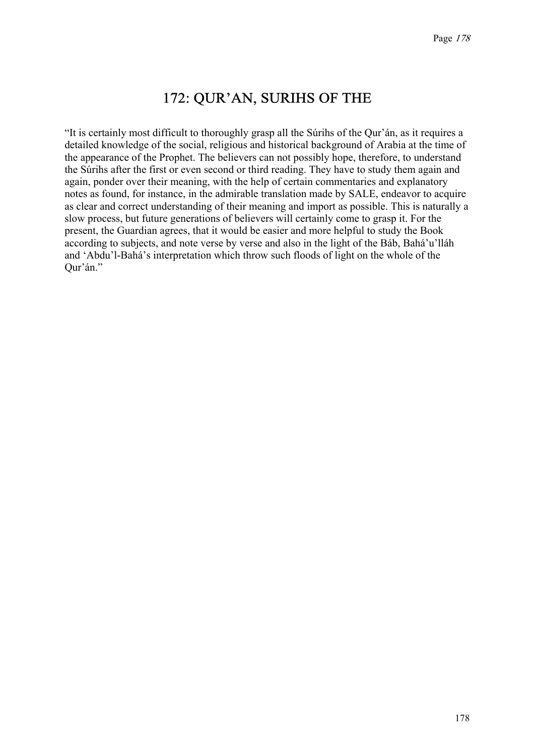### 172: QUR'AN, SURIHS OF THE

"It is certainly most difficult to thoroughly grasp all the Súrihs of the Qur'án, as it requires a detailed knowledge of the social, religious and historical background of Arabia at the time of the appearance of the Prophet. The believers can not possibly hope, therefore, to understand the Súrihs after the first or even second or third reading. They have to study them again and again, ponder over their meaning, with the help of certain commentaries and explanatory notes as found, for instance, in the admirable translation made by SALE, endeavor to acquire as clear and correct understanding of their meaning and import as possible. This is naturally a slow process, but future generations of believers will certainly come to grasp it. For the present, the Guardian agrees, that it would be easier and more helpful to study the Book according to subjects, and note verse by verse and also in the light of the Báb, Bahá'u'lláh and 'Abdu'l-Bahá's interpretation which throw such floods of light on the whole of the Qur'án."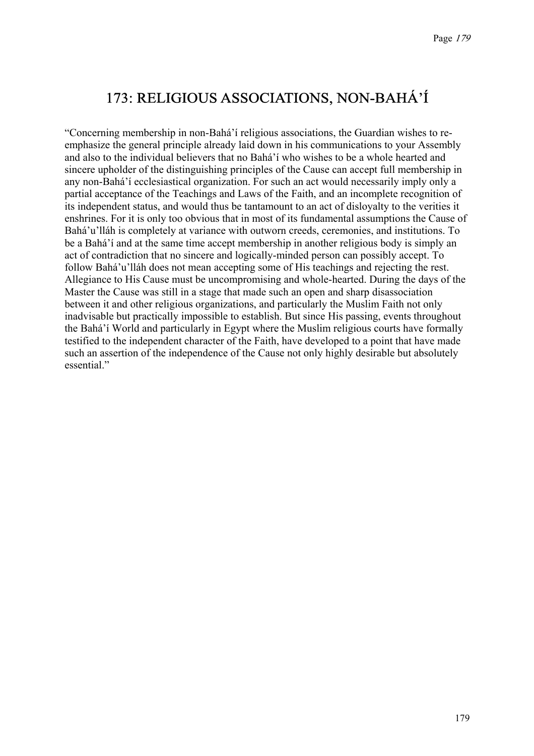### 173: RELIGIOUS ASSOCIATIONS, NON-BAHÁ'Í

"Concerning membership in non-Bahá'í religious associations, the Guardian wishes to reemphasize the general principle already laid down in his communications to your Assembly and also to the individual believers that no Bahá'í who wishes to be a whole hearted and sincere upholder of the distinguishing principles of the Cause can accept full membership in any non-Bahá'í ecclesiastical organization. For such an act would necessarily imply only a partial acceptance of the Teachings and Laws of the Faith, and an incomplete recognition of its independent status, and would thus be tantamount to an act of disloyalty to the verities it enshrines. For it is only too obvious that in most of its fundamental assumptions the Cause of Bahá'u'lláh is completely at variance with outworn creeds, ceremonies, and institutions. To be a Bahá'í and at the same time accept membership in another religious body is simply an act of contradiction that no sincere and logically-minded person can possibly accept. To follow Bahá'u'lláh does not mean accepting some of His teachings and rejecting the rest. Allegiance to His Cause must be uncompromising and whole-hearted. During the days of the Master the Cause was still in a stage that made such an open and sharp disassociation between it and other religious organizations, and particularly the Muslim Faith not only inadvisable but practically impossible to establish. But since His passing, events throughout the Bahá'í World and particularly in Egypt where the Muslim religious courts have formally testified to the independent character of the Faith, have developed to a point that have made such an assertion of the independence of the Cause not only highly desirable but absolutely essential."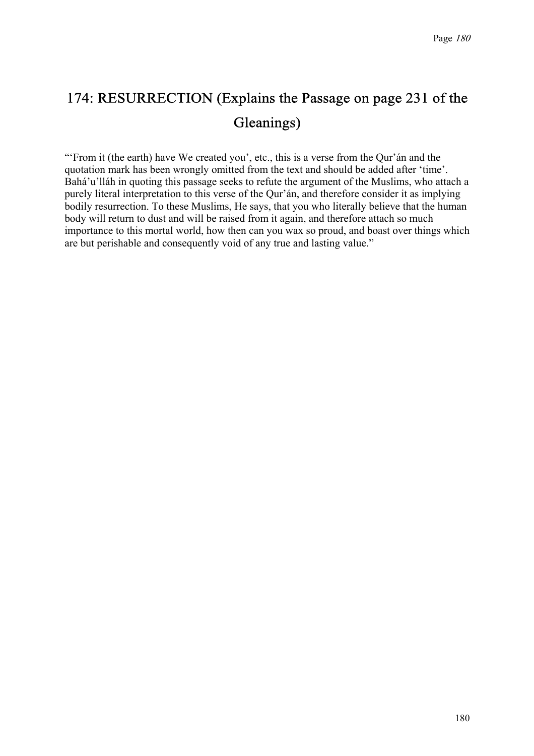# 174: RESURRECTION (Explains the Passage on page 231 of the Gleanings)

"'From it (the earth) have We created you', etc., this is a verse from the Qur'án and the quotation mark has been wrongly omitted from the text and should be added after 'time'. Bahá'u'lláh in quoting this passage seeks to refute the argument of the Muslims, who attach a purely literal interpretation to this verse of the Qur'án, and therefore consider it as implying bodily resurrection. To these Muslims, He says, that you who literally believe that the human body will return to dust and will be raised from it again, and therefore attach so much importance to this mortal world, how then can you wax so proud, and boast over things which are but perishable and consequently void of any true and lasting value."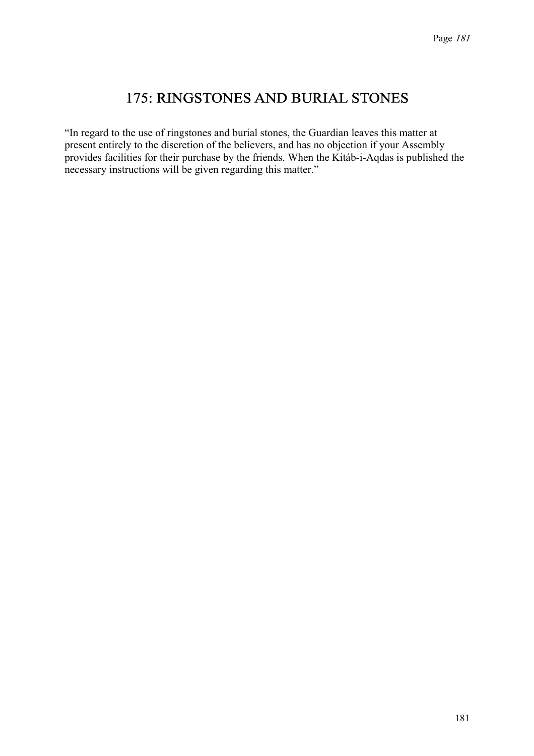### 175: RINGSTONES AND BURIAL STONES

"In regard to the use of ringstones and burial stones, the Guardian leaves this matter at present entirely to the discretion of the believers, and has no objection if your Assembly provides facilities for their purchase by the friends. When the Kitáb-i-Aqdas is published the necessary instructions will be given regarding this matter."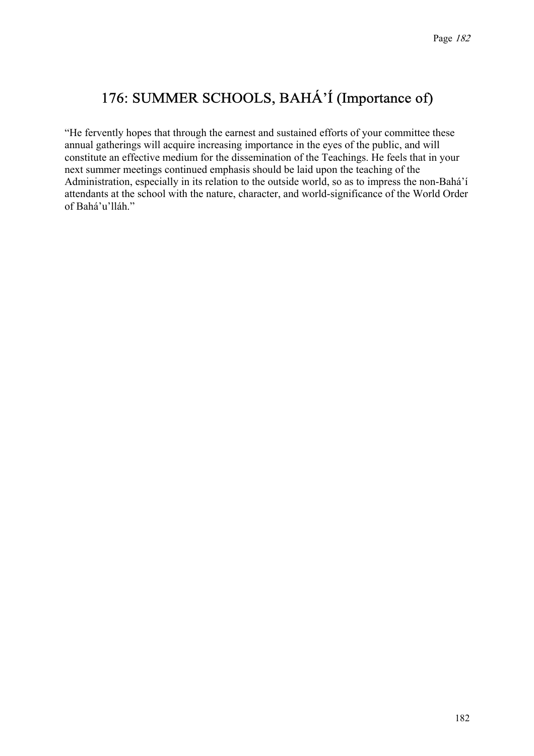# 176: SUMMER SCHOOLS, BAHÁ'Í (Importance of)

"He fervently hopes that through the earnest and sustained efforts of your committee these annual gatherings will acquire increasing importance in the eyes of the public, and will constitute an effective medium for the dissemination of the Teachings. He feels that in your next summer meetings continued emphasis should be laid upon the teaching of the Administration, especially in its relation to the outside world, so as to impress the non-Bahá'í attendants at the school with the nature, character, and world-significance of the World Order of Bahá'u'lláh."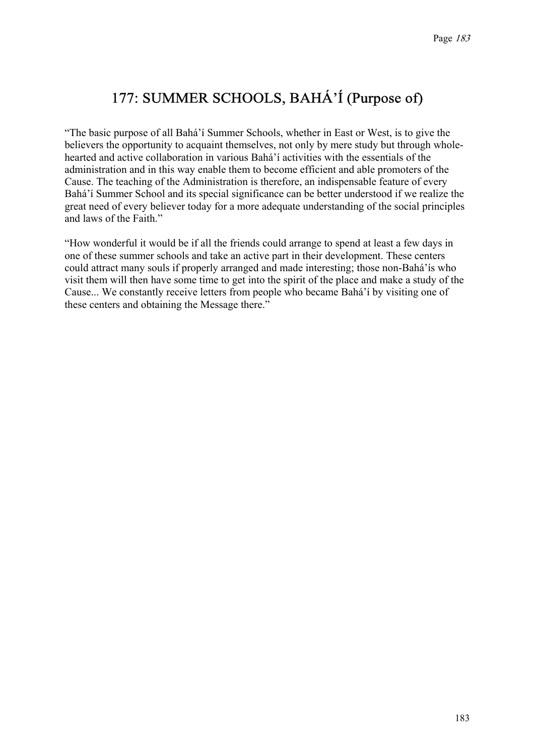## 177: SUMMER SCHOOLS, BAHÁ'Í (Purpose of)

"The basic purpose of all Bahá'í Summer Schools, whether in East or West, is to give the believers the opportunity to acquaint themselves, not only by mere study but through wholehearted and active collaboration in various Bahá'í activities with the essentials of the administration and in this way enable them to become efficient and able promoters of the Cause. The teaching of the Administration is therefore, an indispensable feature of every Bahá'í Summer School and its special significance can be better understood if we realize the great need of every believer today for a more adequate understanding of the social principles and laws of the Faith."

"How wonderful it would be if all the friends could arrange to spend at least a few days in one of these summer schools and take an active part in their development. These centers could attract many souls if properly arranged and made interesting; those non-Bahá'ís who visit them will then have some time to get into the spirit of the place and make a study of the Cause... We constantly receive letters from people who became Bahá'í by visiting one of these centers and obtaining the Message there."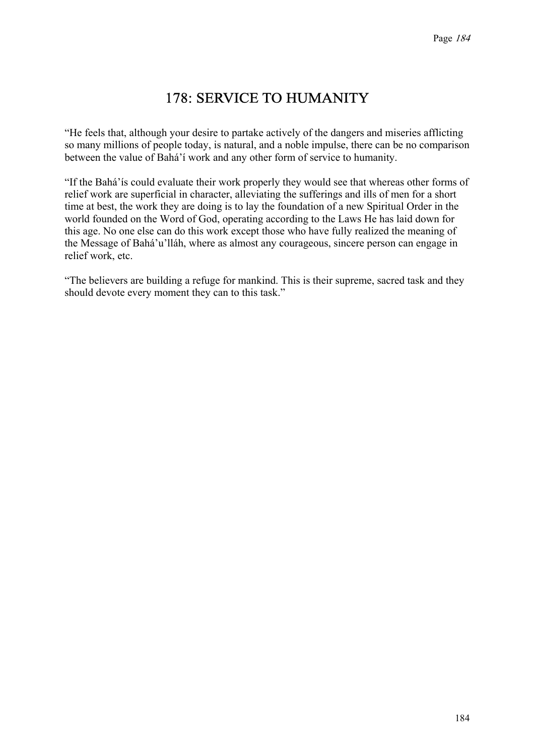### 178: SERVICE TO HUMANITY

"He feels that, although your desire to partake actively of the dangers and miseries afflicting so many millions of people today, is natural, and a noble impulse, there can be no comparison between the value of Bahá'í work and any other form of service to humanity.

"If the Bahá'ís could evaluate their work properly they would see that whereas other forms of relief work are superficial in character, alleviating the sufferings and ills of men for a short time at best, the work they are doing is to lay the foundation of a new Spiritual Order in the world founded on the Word of God, operating according to the Laws He has laid down for this age. No one else can do this work except those who have fully realized the meaning of the Message of Bahá'u'lláh, where as almost any courageous, sincere person can engage in relief work, etc.

"The believers are building a refuge for mankind. This is their supreme, sacred task and they should devote every moment they can to this task."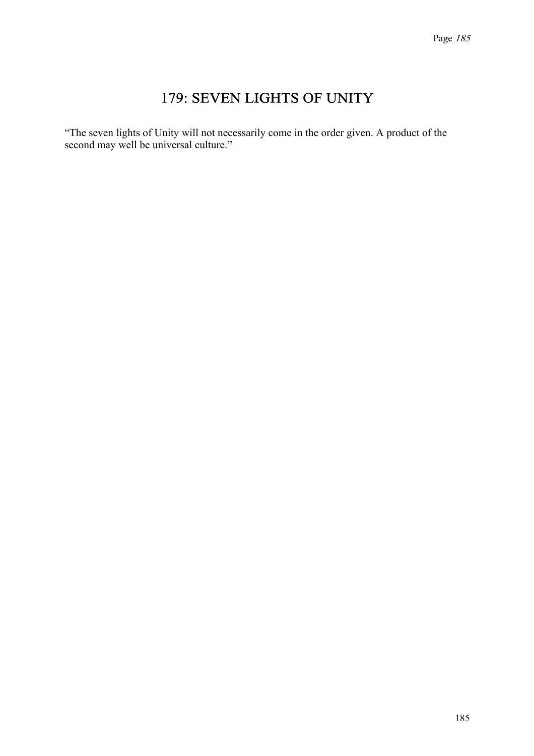### 179: SEVEN LIGHTS OF UNITY

"The seven lights of Unity will not necessarily come in the order given. A product of the second may well be universal culture."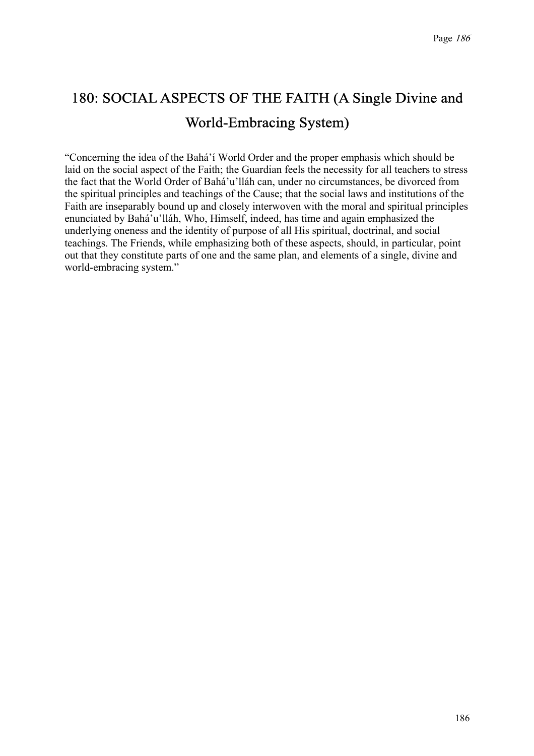# 180: SOCIAL ASPECTS OF THE FAITH (A Single Divine and World-Embracing System)

"Concerning the idea of the Bahá'í World Order and the proper emphasis which should be laid on the social aspect of the Faith; the Guardian feels the necessity for all teachers to stress the fact that the World Order of Bahá'u'lláh can, under no circumstances, be divorced from the spiritual principles and teachings of the Cause; that the social laws and institutions of the Faith are inseparably bound up and closely interwoven with the moral and spiritual principles enunciated by Bahá'u'lláh, Who, Himself, indeed, has time and again emphasized the underlying oneness and the identity of purpose of all His spiritual, doctrinal, and social teachings. The Friends, while emphasizing both of these aspects, should, in particular, point out that they constitute parts of one and the same plan, and elements of a single, divine and world-embracing system."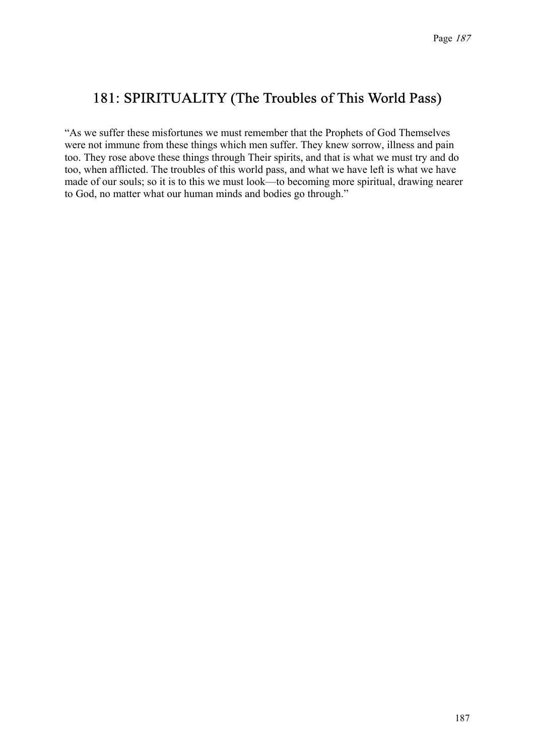### 181: SPIRITUALITY (The Troubles of This World Pass)

"As we suffer these misfortunes we must remember that the Prophets of God Themselves were not immune from these things which men suffer. They knew sorrow, illness and pain too. They rose above these things through Their spirits, and that is what we must try and do too, when afflicted. The troubles of this world pass, and what we have left is what we have made of our souls; so it is to this we must look—to becoming more spiritual, drawing nearer to God, no matter what our human minds and bodies go through."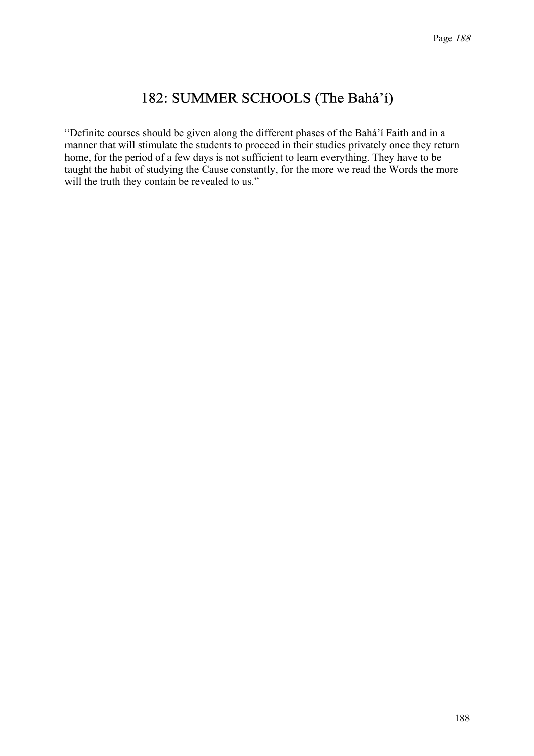### 182: SUMMER SCHOOLS (The Bahá'í)

"Definite courses should be given along the different phases of the Bahá'í Faith and in a manner that will stimulate the students to proceed in their studies privately once they return home, for the period of a few days is not sufficient to learn everything. They have to be taught the habit of studying the Cause constantly, for the more we read the Words the more will the truth they contain be revealed to us."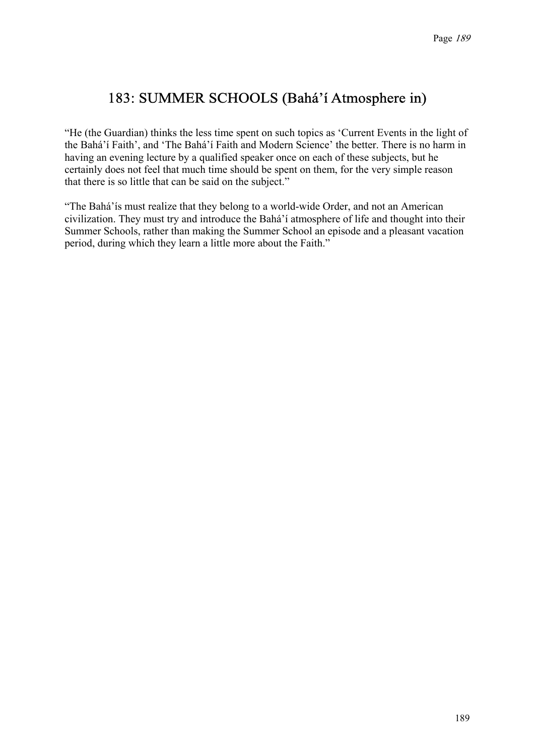### 183: SUMMER SCHOOLS (Bahá'í Atmosphere in)

"He (the Guardian) thinks the less time spent on such topics as 'Current Events in the light of the Bahá'í Faith', and 'The Bahá'í Faith and Modern Science' the better. There is no harm in having an evening lecture by a qualified speaker once on each of these subjects, but he certainly does not feel that much time should be spent on them, for the very simple reason that there is so little that can be said on the subject."

"The Bahá'ís must realize that they belong to a world-wide Order, and not an American civilization. They must try and introduce the Bahá'í atmosphere of life and thought into their Summer Schools, rather than making the Summer School an episode and a pleasant vacation period, during which they learn a little more about the Faith."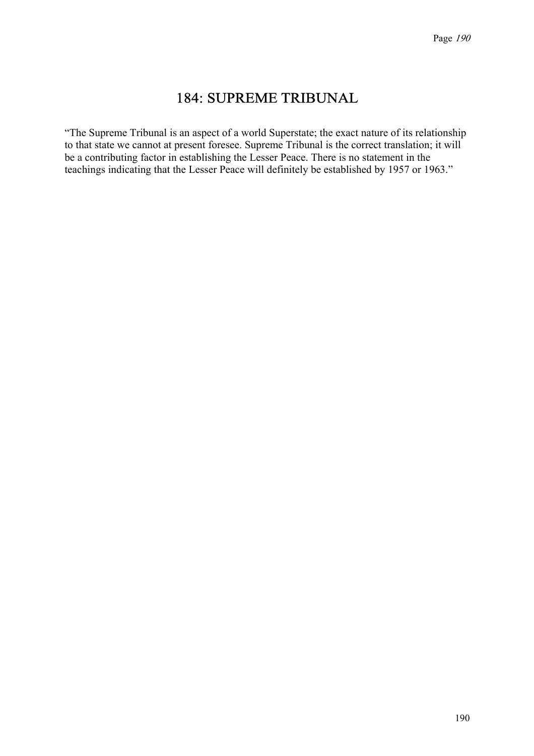#### 184: SUPREME TRIBUNAL

"The Supreme Tribunal is an aspect of a world Superstate; the exact nature of its relationship to that state we cannot at present foresee. Supreme Tribunal is the correct translation; it will be a contributing factor in establishing the Lesser Peace. There is no statement in the teachings indicating that the Lesser Peace will definitely be established by 1957 or 1963."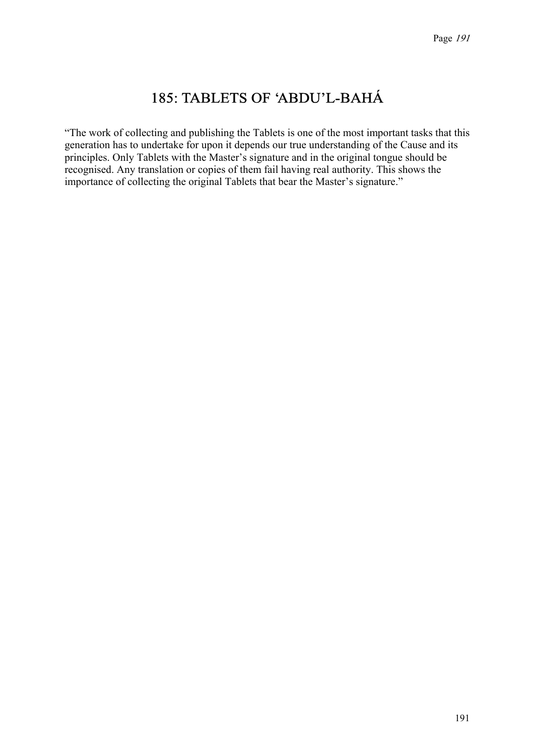### 185: TABLETS OF 'ABDU'L-BAHÁ

"The work of collecting and publishing the Tablets is one of the most important tasks that this generation has to undertake for upon it depends our true understanding of the Cause and its principles. Only Tablets with the Master's signature and in the original tongue should be recognised. Any translation or copies of them fail having real authority. This shows the importance of collecting the original Tablets that bear the Master's signature."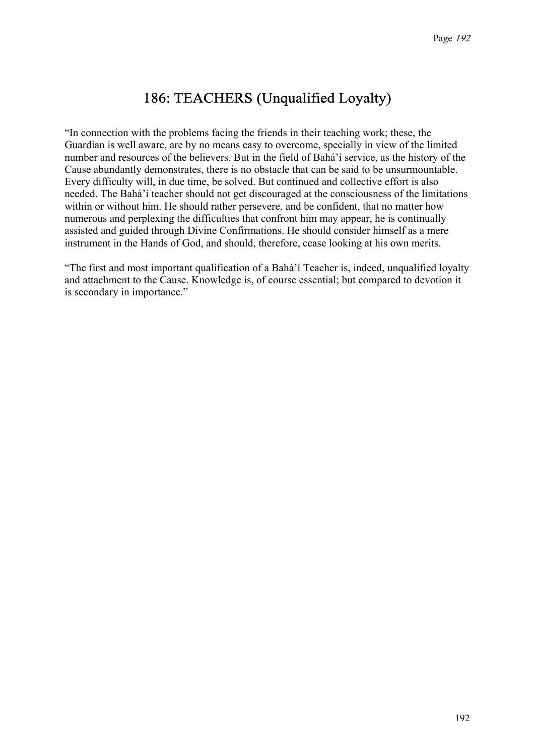## 186: TEACHERS (Unqualified Loyalty)

"In connection with the problems facing the friends in their teaching work; these, the Guardian is well aware, are by no means easy to overcome, specially in view of the limited number and resources of the believers. But in the field of Bahá'í service, as the history of the Cause abundantly demonstrates, there is no obstacle that can be said to be unsurmountable. Every difficulty will, in due time, be solved. But continued and collective effort is also needed. The Bahá'í teacher should not get discouraged at the consciousness of the limitations within or without him. He should rather persevere, and be confident, that no matter how numerous and perplexing the difficulties that confront him may appear, he is continually assisted and guided through Divine Confirmations. He should consider himself as a mere instrument in the Hands of God, and should, therefore, cease looking at his own merits.

"The first and most important qualification of a Bahá'í Teacher is, indeed, unqualified loyalty and attachment to the Cause. Knowledge is, of course essential; but compared to devotion it is secondary in importance."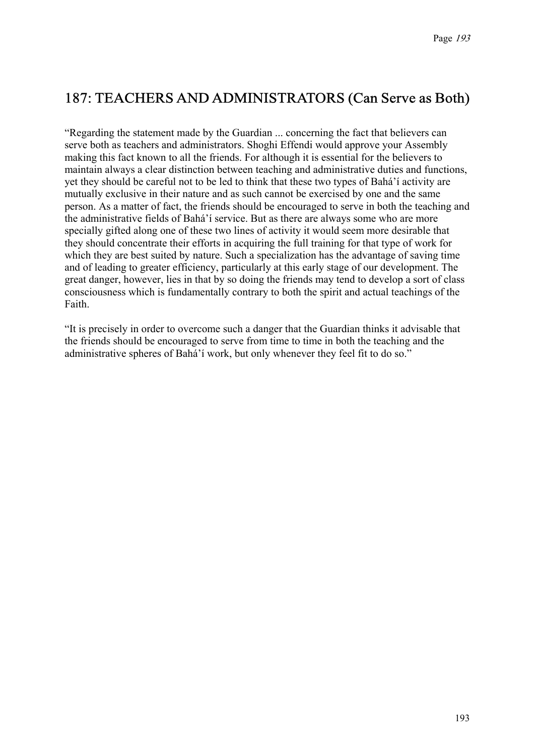### 187: TEACHERS AND ADMINISTRATORS (Can Serve as Both)

"Regarding the statement made by the Guardian ... concerning the fact that believers can serve both as teachers and administrators. Shoghi Effendi would approve your Assembly making this fact known to all the friends. For although it is essential for the believers to maintain always a clear distinction between teaching and administrative duties and functions, yet they should be careful not to be led to think that these two types of Bahá'í activity are mutually exclusive in their nature and as such cannot be exercised by one and the same person. As a matter of fact, the friends should be encouraged to serve in both the teaching and the administrative fields of Bahá'í service. But as there are always some who are more specially gifted along one of these two lines of activity it would seem more desirable that they should concentrate their efforts in acquiring the full training for that type of work for which they are best suited by nature. Such a specialization has the advantage of saving time and of leading to greater efficiency, particularly at this early stage of our development. The great danger, however, lies in that by so doing the friends may tend to develop a sort of class consciousness which is fundamentally contrary to both the spirit and actual teachings of the Faith.

"It is precisely in order to overcome such a danger that the Guardian thinks it advisable that the friends should be encouraged to serve from time to time in both the teaching and the administrative spheres of Bahá'í work, but only whenever they feel fit to do so."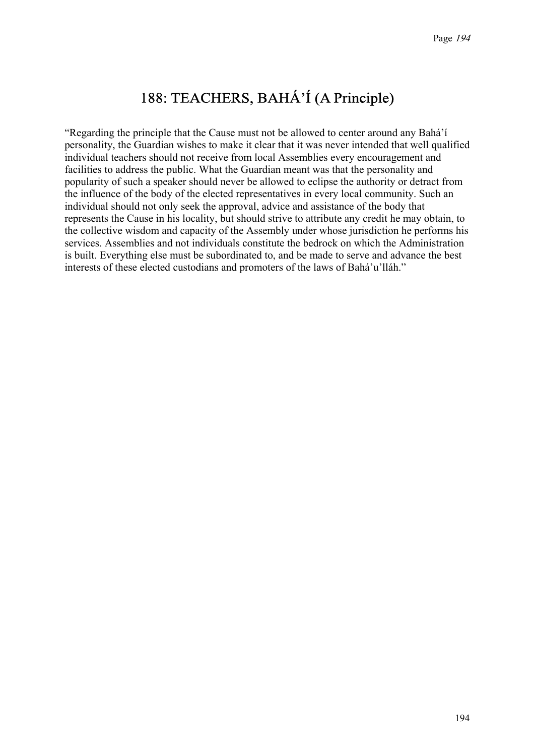# 188: TEACHERS, BAHÁ'Í (A Principle)

"Regarding the principle that the Cause must not be allowed to center around any Bahá'í personality, the Guardian wishes to make it clear that it was never intended that well qualified individual teachers should not receive from local Assemblies every encouragement and facilities to address the public. What the Guardian meant was that the personality and popularity of such a speaker should never be allowed to eclipse the authority or detract from the influence of the body of the elected representatives in every local community. Such an individual should not only seek the approval, advice and assistance of the body that represents the Cause in his locality, but should strive to attribute any credit he may obtain, to the collective wisdom and capacity of the Assembly under whose jurisdiction he performs his services. Assemblies and not individuals constitute the bedrock on which the Administration is built. Everything else must be subordinated to, and be made to serve and advance the best interests of these elected custodians and promoters of the laws of Bahá'u'lláh."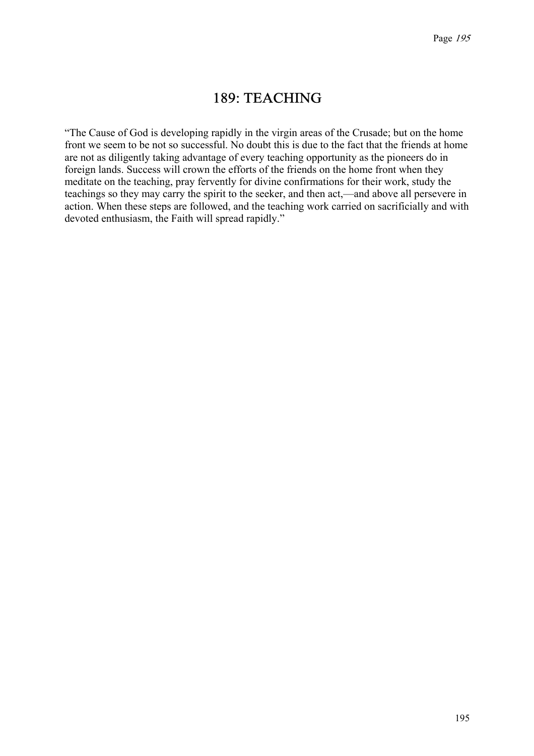#### 189: TEACHING

"The Cause of God is developing rapidly in the virgin areas of the Crusade; but on the home front we seem to be not so successful. No doubt this is due to the fact that the friends at home are not as diligently taking advantage of every teaching opportunity as the pioneers do in foreign lands. Success will crown the efforts of the friends on the home front when they meditate on the teaching, pray fervently for divine confirmations for their work, study the teachings so they may carry the spirit to the seeker, and then act,—and above all persevere in action. When these steps are followed, and the teaching work carried on sacrificially and with devoted enthusiasm, the Faith will spread rapidly."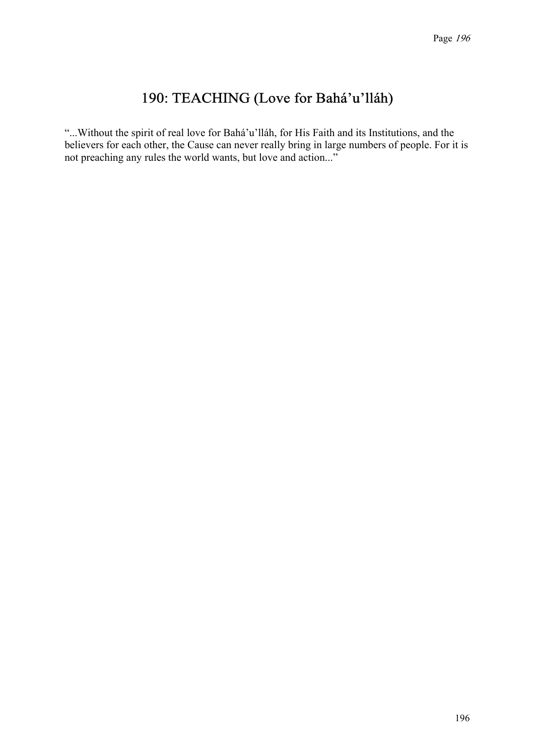### 190: TEACHING (Love for Bahá'u'lláh)

"...Without the spirit of real love for Bahá'u'lláh, for His Faith and its Institutions, and the believers for each other, the Cause can never really bring in large numbers of people. For it is not preaching any rules the world wants, but love and action..."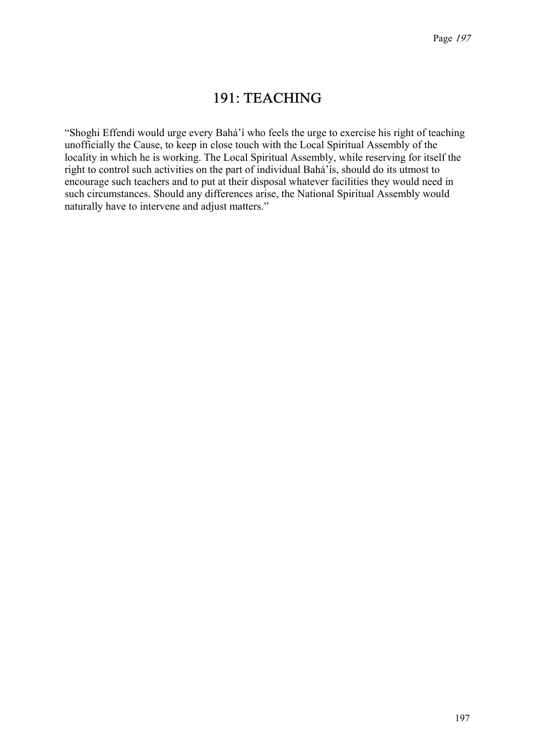#### 191: TEACHING

"Shoghi Effendi would urge every Bahá'í who feels the urge to exercise his right of teaching unofficially the Cause, to keep in close touch with the Local Spiritual Assembly of the locality in which he is working. The Local Spiritual Assembly, while reserving for itself the right to control such activities on the part of individual Bahá'ís, should do its utmost to encourage such teachers and to put at their disposal whatever facilities they would need in such circumstances. Should any differences arise, the National Spiritual Assembly would naturally have to intervene and adjust matters."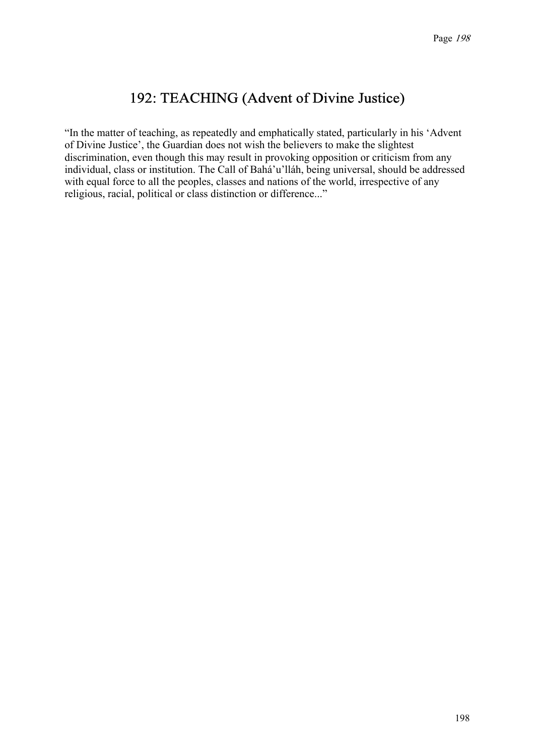### 192: TEACHING (Advent of Divine Justice)

"In the matter of teaching, as repeatedly and emphatically stated, particularly in his 'Advent of Divine Justice', the Guardian does not wish the believers to make the slightest discrimination, even though this may result in provoking opposition or criticism from any individual, class or institution. The Call of Bahá'u'lláh, being universal, should be addressed with equal force to all the peoples, classes and nations of the world, irrespective of any religious, racial, political or class distinction or difference..."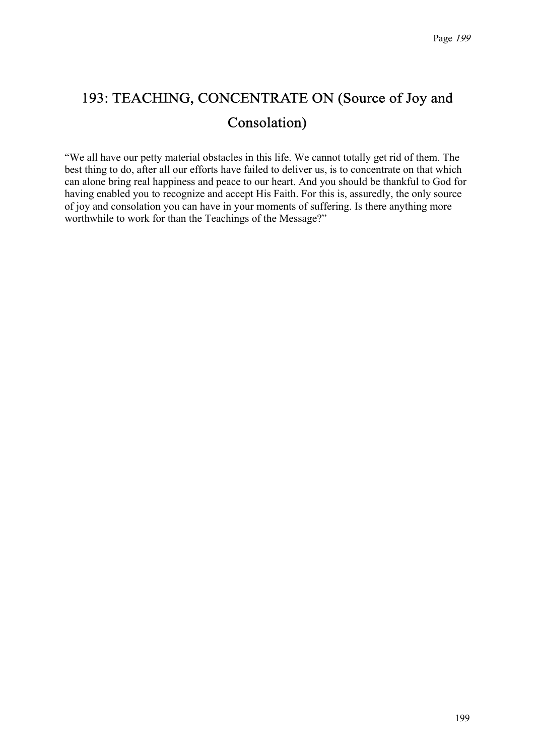# 193: TEACHING, CONCENTRATE ON (Source of Joy and Consolation)

"We all have our petty material obstacles in this life. We cannot totally get rid of them. The best thing to do, after all our efforts have failed to deliver us, is to concentrate on that which can alone bring real happiness and peace to our heart. And you should be thankful to God for having enabled you to recognize and accept His Faith. For this is, assuredly, the only source of joy and consolation you can have in your moments of suffering. Is there anything more worthwhile to work for than the Teachings of the Message?"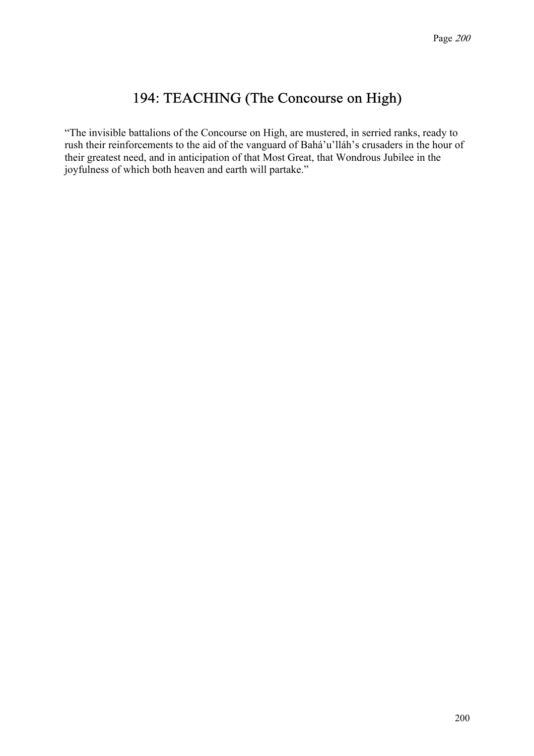### 194: TEACHING (The Concourse on High)

"The invisible battalions of the Concourse on High, are mustered, in serried ranks, ready to rush their reinforcements to the aid of the vanguard of Bahá'u'lláh's crusaders in the hour of their greatest need, and in anticipation of that Most Great, that Wondrous Jubilee in the joyfulness of which both heaven and earth will partake."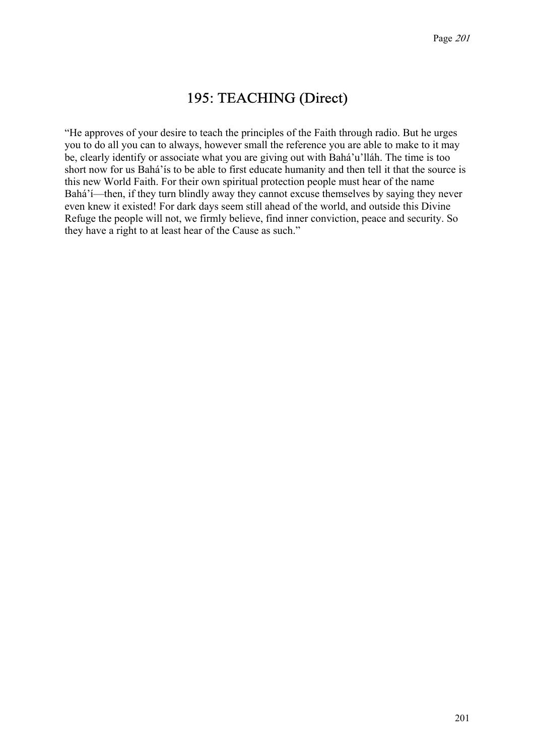#### 195: TEACHING (Direct)

"He approves of your desire to teach the principles of the Faith through radio. But he urges you to do all you can to always, however small the reference you are able to make to it may be, clearly identify or associate what you are giving out with Bahá'u'lláh. The time is too short now for us Bahá'ís to be able to first educate humanity and then tell it that the source is this new World Faith. For their own spiritual protection people must hear of the name Bahá'í—then, if they turn blindly away they cannot excuse themselves by saying they never even knew it existed! For dark days seem still ahead of the world, and outside this Divine Refuge the people will not, we firmly believe, find inner conviction, peace and security. So they have a right to at least hear of the Cause as such."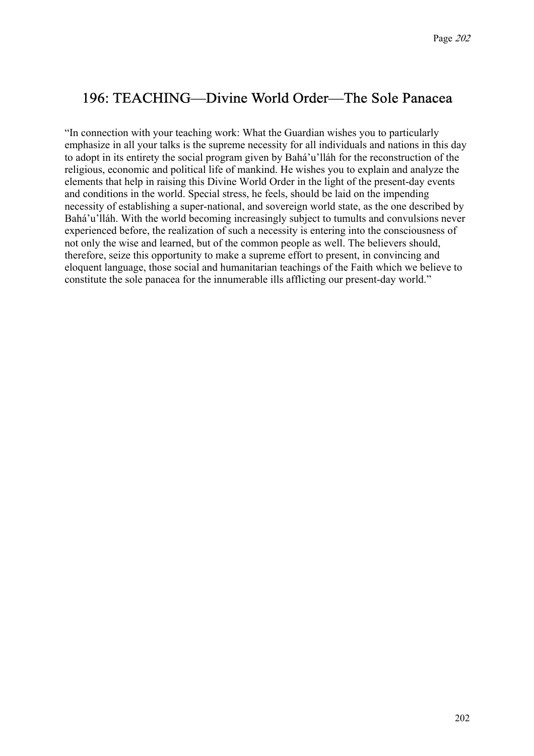#### 196: TEACHING—Divine World Order—The Sole Panacea

"In connection with your teaching work: What the Guardian wishes you to particularly emphasize in all your talks is the supreme necessity for all individuals and nations in this day to adopt in its entirety the social program given by Bahá'u'lláh for the reconstruction of the religious, economic and political life of mankind. He wishes you to explain and analyze the elements that help in raising this Divine World Order in the light of the present-day events and conditions in the world. Special stress, he feels, should be laid on the impending necessity of establishing a super-national, and sovereign world state, as the one described by Bahá'u'lláh. With the world becoming increasingly subject to tumults and convulsions never experienced before, the realization of such a necessity is entering into the consciousness of not only the wise and learned, but of the common people as well. The believers should, therefore, seize this opportunity to make a supreme effort to present, in convincing and eloquent language, those social and humanitarian teachings of the Faith which we believe to constitute the sole panacea for the innumerable ills afflicting our present-day world."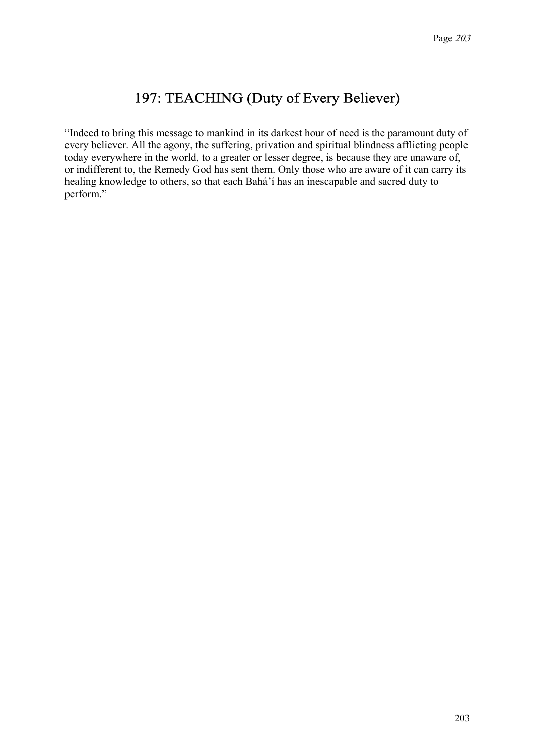### 197: TEACHING (Duty of Every Believer)

"Indeed to bring this message to mankind in its darkest hour of need is the paramount duty of every believer. All the agony, the suffering, privation and spiritual blindness afflicting people today everywhere in the world, to a greater or lesser degree, is because they are unaware of, or indifferent to, the Remedy God has sent them. Only those who are aware of it can carry its healing knowledge to others, so that each Bahá'í has an inescapable and sacred duty to perform."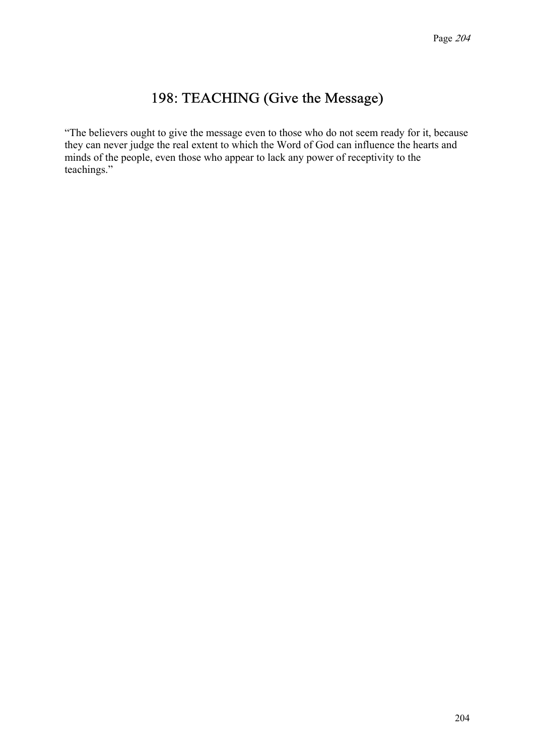### 198: TEACHING (Give the Message)

"The believers ought to give the message even to those who do not seem ready for it, because they can never judge the real extent to which the Word of God can influence the hearts and minds of the people, even those who appear to lack any power of receptivity to the teachings."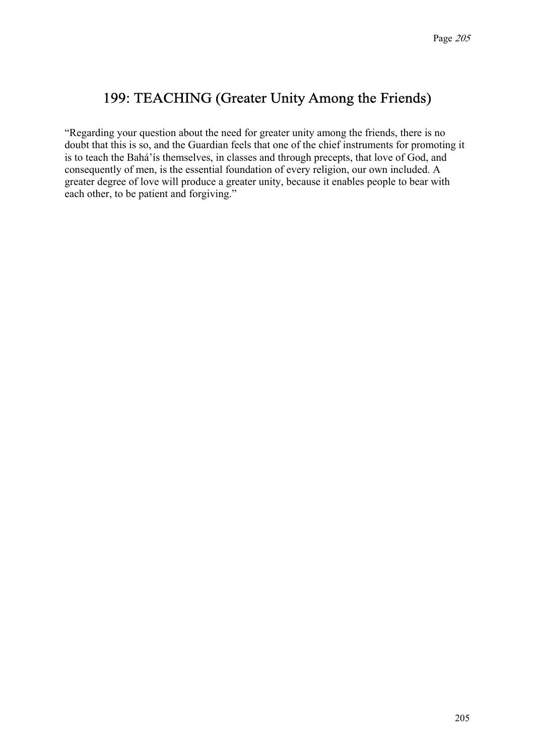### 199: TEACHING (Greater Unity Among the Friends)

"Regarding your question about the need for greater unity among the friends, there is no doubt that this is so, and the Guardian feels that one of the chief instruments for promoting it is to teach the Bahá'ís themselves, in classes and through precepts, that love of God, and consequently of men, is the essential foundation of every religion, our own included. A greater degree of love will produce a greater unity, because it enables people to bear with each other, to be patient and forgiving."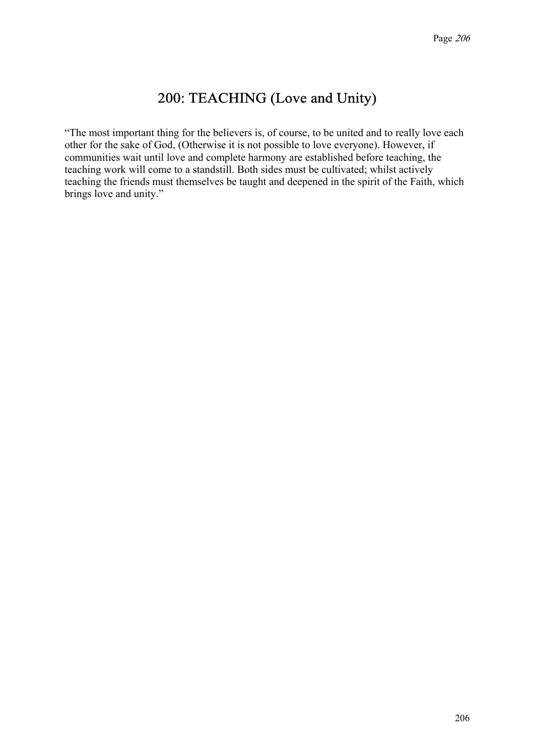### 200: TEACHING (Love and Unity)

"The most important thing for the believers is, of course, to be united and to really love each other for the sake of God, (Otherwise it is not possible to love everyone). However, if communities wait until love and complete harmony are established before teaching, the teaching work will come to a standstill. Both sides must be cultivated; whilst actively teaching the friends must themselves be taught and deepened in the spirit of the Faith, which brings love and unity."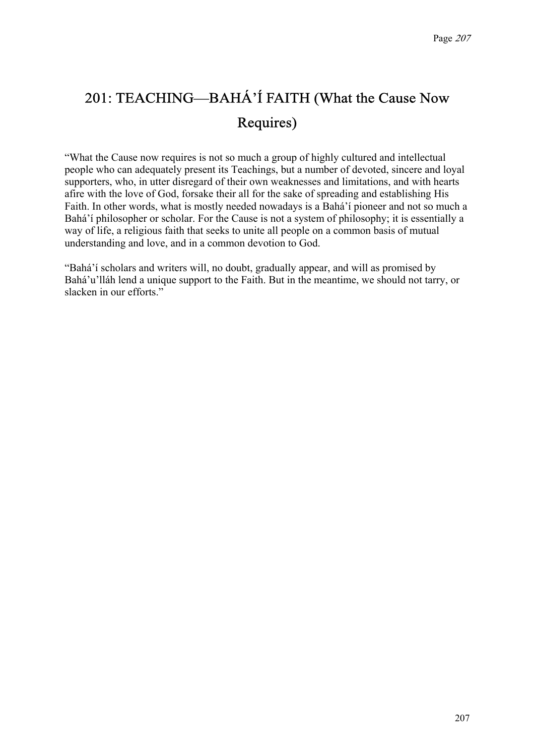# 201: TEACHING—BAHÁ'Í FAITH (What the Cause Now Requires)

"What the Cause now requires is not so much a group of highly cultured and intellectual people who can adequately present its Teachings, but a number of devoted, sincere and loyal supporters, who, in utter disregard of their own weaknesses and limitations, and with hearts afire with the love of God, forsake their all for the sake of spreading and establishing His Faith. In other words, what is mostly needed nowadays is a Bahá'í pioneer and not so much a Bahá'í philosopher or scholar. For the Cause is not a system of philosophy; it is essentially a way of life, a religious faith that seeks to unite all people on a common basis of mutual understanding and love, and in a common devotion to God.

"Bahá'í scholars and writers will, no doubt, gradually appear, and will as promised by Bahá'u'lláh lend a unique support to the Faith. But in the meantime, we should not tarry, or slacken in our efforts"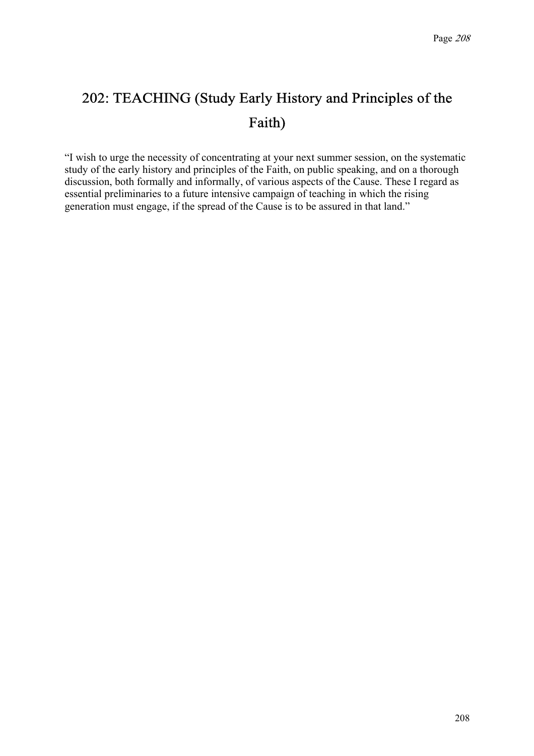# 202: TEACHING (Study Early History and Principles of the Faith)

"I wish to urge the necessity of concentrating at your next summer session, on the systematic study of the early history and principles of the Faith, on public speaking, and on a thorough discussion, both formally and informally, of various aspects of the Cause. These I regard as essential preliminaries to a future intensive campaign of teaching in which the rising generation must engage, if the spread of the Cause is to be assured in that land."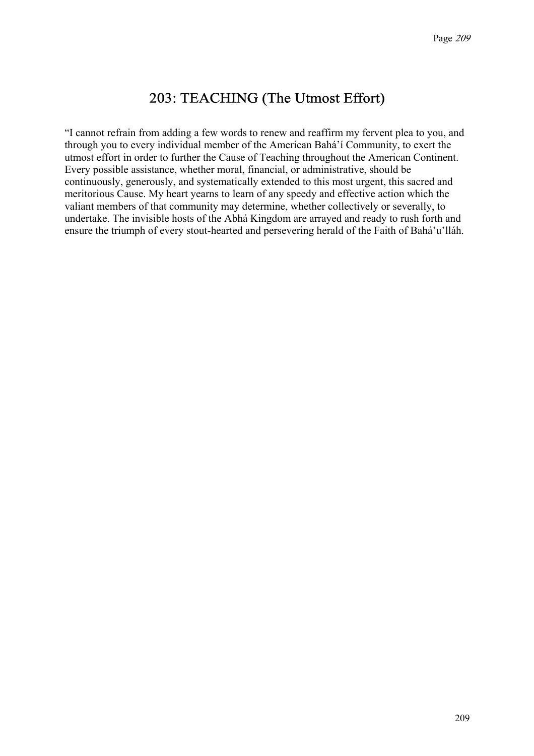### 203: TEACHING (The Utmost Effort)

"I cannot refrain from adding a few words to renew and reaffirm my fervent plea to you, and through you to every individual member of the American Bahá'í Community, to exert the utmost effort in order to further the Cause of Teaching throughout the American Continent. Every possible assistance, whether moral, financial, or administrative, should be continuously, generously, and systematically extended to this most urgent, this sacred and meritorious Cause. My heart yearns to learn of any speedy and effective action which the valiant members of that community may determine, whether collectively or severally, to undertake. The invisible hosts of the Abhá Kingdom are arrayed and ready to rush forth and ensure the triumph of every stout-hearted and persevering herald of the Faith of Bahá'u'lláh.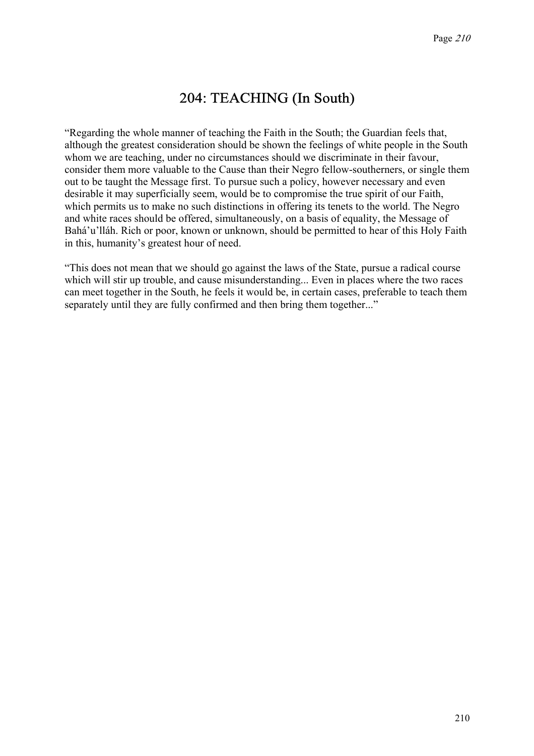### 204: TEACHING (In South)

"Regarding the whole manner of teaching the Faith in the South; the Guardian feels that, although the greatest consideration should be shown the feelings of white people in the South whom we are teaching, under no circumstances should we discriminate in their favour, consider them more valuable to the Cause than their Negro fellow-southerners, or single them out to be taught the Message first. To pursue such a policy, however necessary and even desirable it may superficially seem, would be to compromise the true spirit of our Faith, which permits us to make no such distinctions in offering its tenets to the world. The Negro and white races should be offered, simultaneously, on a basis of equality, the Message of Bahá'u'lláh. Rich or poor, known or unknown, should be permitted to hear of this Holy Faith in this, humanity's greatest hour of need.

"This does not mean that we should go against the laws of the State, pursue a radical course which will stir up trouble, and cause misunderstanding... Even in places where the two races can meet together in the South, he feels it would be, in certain cases, preferable to teach them separately until they are fully confirmed and then bring them together..."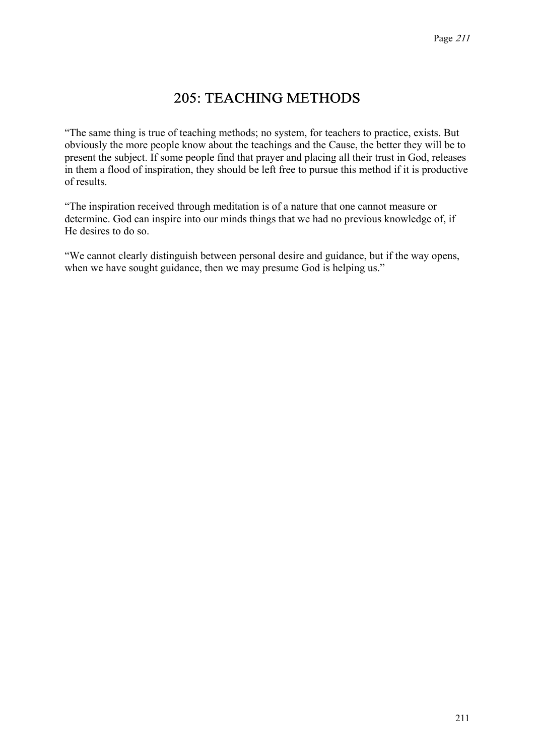### 205: TEACHING METHODS

"The same thing is true of teaching methods; no system, for teachers to practice, exists. But obviously the more people know about the teachings and the Cause, the better they will be to present the subject. If some people find that prayer and placing all their trust in God, releases in them a flood of inspiration, they should be left free to pursue this method if it is productive of results.

"The inspiration received through meditation is of a nature that one cannot measure or determine. God can inspire into our minds things that we had no previous knowledge of, if He desires to do so.

"We cannot clearly distinguish between personal desire and guidance, but if the way opens, when we have sought guidance, then we may presume God is helping us."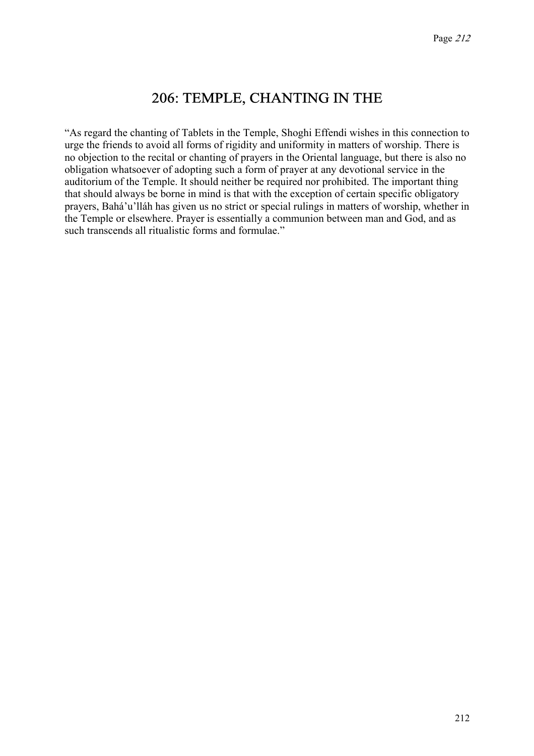#### 206: TEMPLE, CHANTING IN THE

"As regard the chanting of Tablets in the Temple, Shoghi Effendi wishes in this connection to urge the friends to avoid all forms of rigidity and uniformity in matters of worship. There is no objection to the recital or chanting of prayers in the Oriental language, but there is also no obligation whatsoever of adopting such a form of prayer at any devotional service in the auditorium of the Temple. It should neither be required nor prohibited. The important thing that should always be borne in mind is that with the exception of certain specific obligatory prayers, Bahá'u'lláh has given us no strict or special rulings in matters of worship, whether in the Temple or elsewhere. Prayer is essentially a communion between man and God, and as such transcends all ritualistic forms and formulae."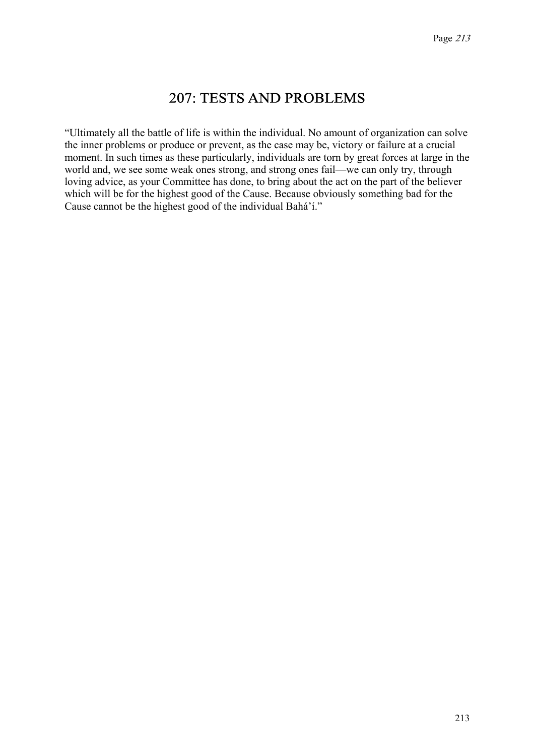### 207: TESTS AND PROBLEMS

"Ultimately all the battle of life is within the individual. No amount of organization can solve the inner problems or produce or prevent, as the case may be, victory or failure at a crucial moment. In such times as these particularly, individuals are torn by great forces at large in the world and, we see some weak ones strong, and strong ones fail—we can only try, through loving advice, as your Committee has done, to bring about the act on the part of the believer which will be for the highest good of the Cause. Because obviously something bad for the Cause cannot be the highest good of the individual Bahá'í."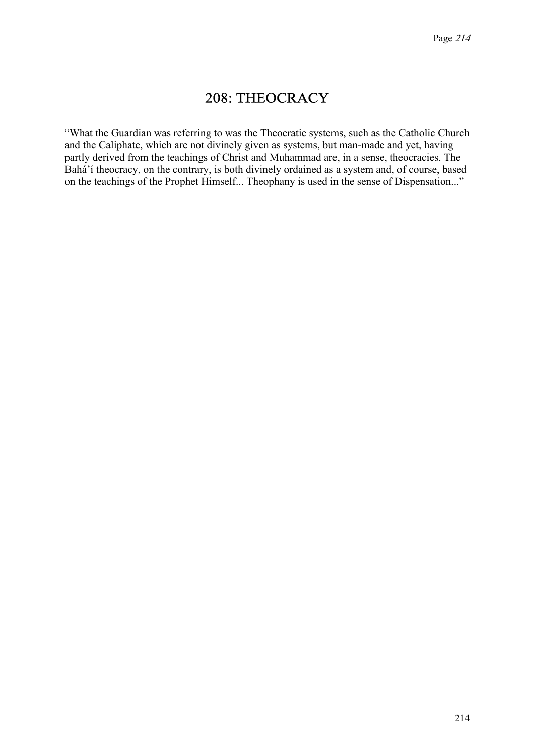#### 208: THEOCRACY

"What the Guardian was referring to was the Theocratic systems, such as the Catholic Church and the Caliphate, which are not divinely given as systems, but man-made and yet, having partly derived from the teachings of Christ and Muhammad are, in a sense, theocracies. The Bahá'í theocracy, on the contrary, is both divinely ordained as a system and, of course, based on the teachings of the Prophet Himself... Theophany is used in the sense of Dispensation..."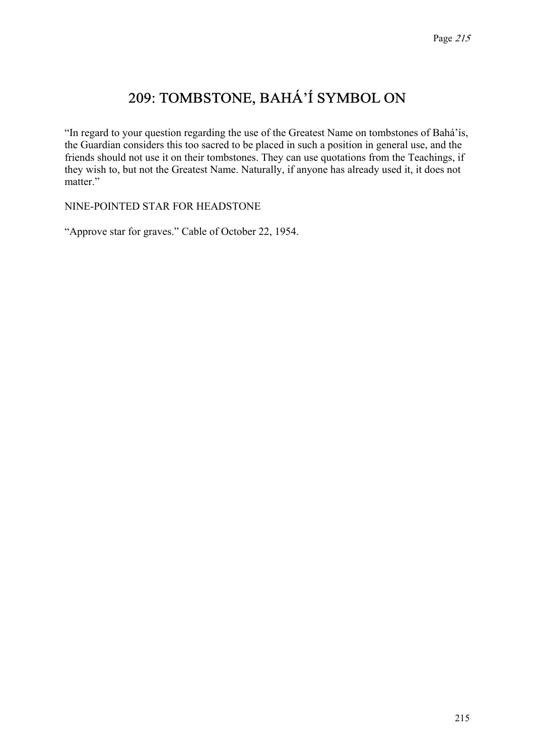# 209: TOMBSTONE, BAHÁ'Í SYMBOL ON

"In regard to your question regarding the use of the Greatest Name on tombstones of Bahá'ís, the Guardian considers this too sacred to be placed in such a position in general use, and the friends should not use it on their tombstones. They can use quotations from the Teachings, if they wish to, but not the Greatest Name. Naturally, if anyone has already used it, it does not matter."

NINE-POINTED STAR FOR HEADSTONE

"Approve star for graves." Cable of October 22, 1954.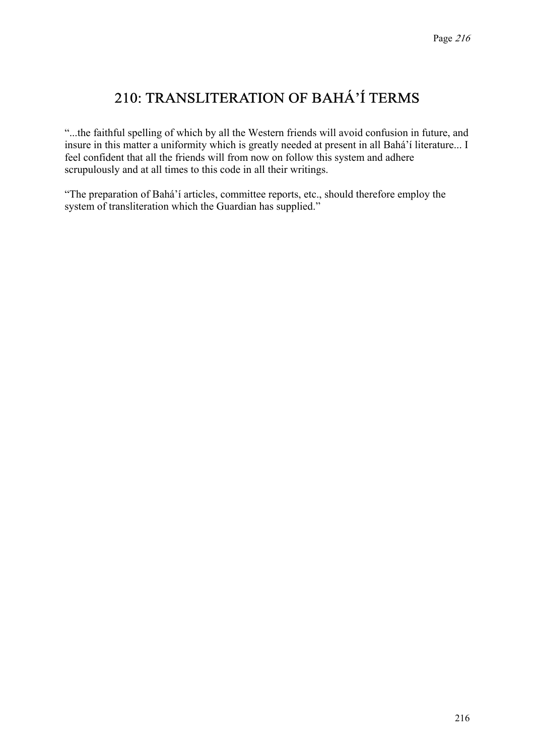# 210: TRANSLITERATION OF BAHÁ'Í TERMS

"...the faithful spelling of which by all the Western friends will avoid confusion in future, and insure in this matter a uniformity which is greatly needed at present in all Bahá'í literature... I feel confident that all the friends will from now on follow this system and adhere scrupulously and at all times to this code in all their writings.

"The preparation of Bahá'í articles, committee reports, etc., should therefore employ the system of transliteration which the Guardian has supplied."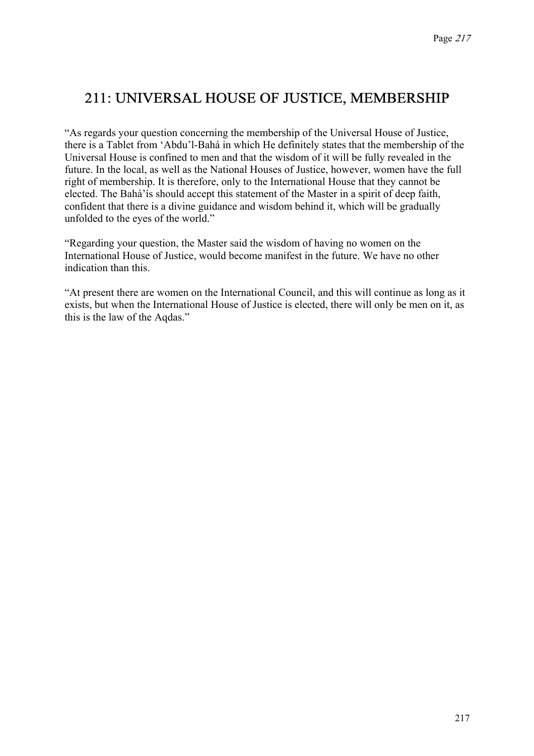### 211: UNIVERSAL HOUSE OF JUSTICE, MEMBERSHIP

"As regards your question concerning the membership of the Universal House of Justice, there is a Tablet from 'Abdu'l-Bahá in which He definitely states that the membership of the Universal House is confined to men and that the wisdom of it will be fully revealed in the future. In the local, as well as the National Houses of Justice, however, women have the full right of membership. It is therefore, only to the International House that they cannot be elected. The Bahá'ís should accept this statement of the Master in a spirit of deep faith, confident that there is a divine guidance and wisdom behind it, which will be gradually unfolded to the eyes of the world."

"Regarding your question, the Master said the wisdom of having no women on the International House of Justice, would become manifest in the future. We have no other indication than this.

"At present there are women on the International Council, and this will continue as long as it exists, but when the International House of Justice is elected, there will only be men on it, as this is the law of the Aqdas."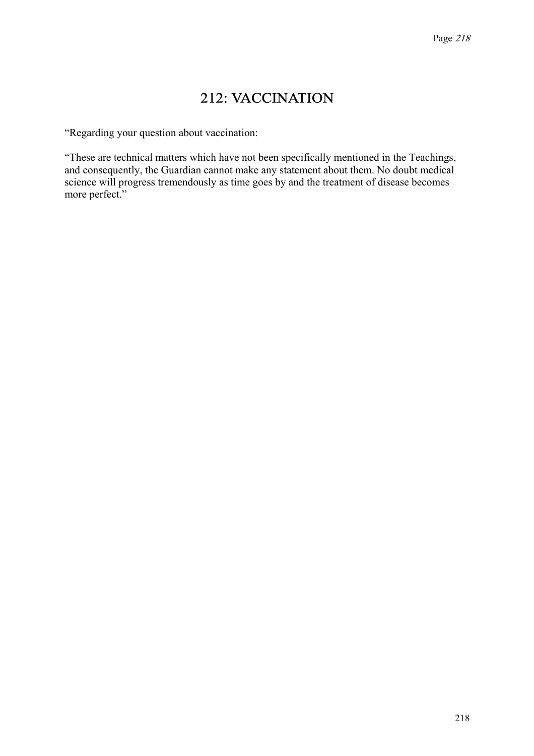### 212: VACCINATION

"Regarding your question about vaccination:

"These are technical matters which have not been specifically mentioned in the Teachings, and consequently, the Guardian cannot make any statement about them. No doubt medical science will progress tremendously as time goes by and the treatment of disease becomes more perfect."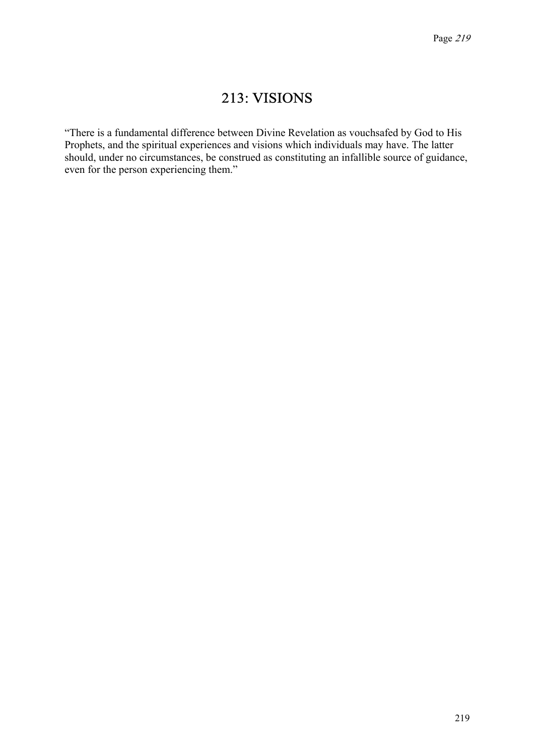### 213: VISIONS

"There is a fundamental difference between Divine Revelation as vouchsafed by God to His Prophets, and the spiritual experiences and visions which individuals may have. The latter should, under no circumstances, be construed as constituting an infallible source of guidance, even for the person experiencing them."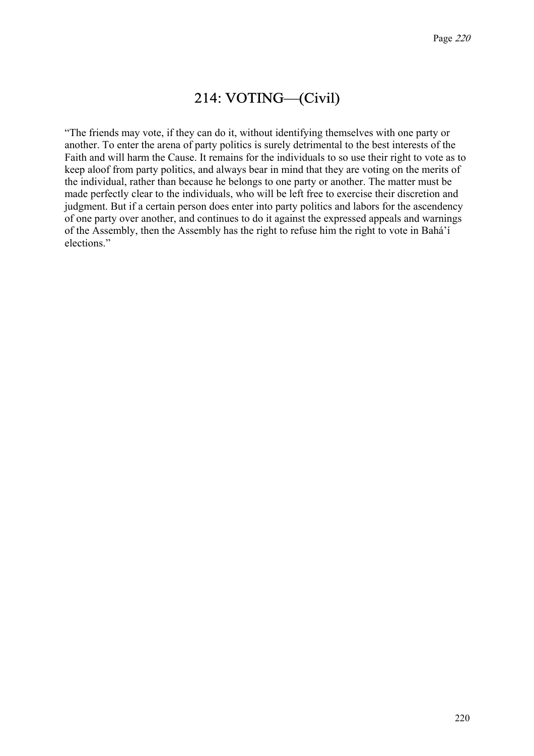#### 214: VOTING—(Civil)

"The friends may vote, if they can do it, without identifying themselves with one party or another. To enter the arena of party politics is surely detrimental to the best interests of the Faith and will harm the Cause. It remains for the individuals to so use their right to vote as to keep aloof from party politics, and always bear in mind that they are voting on the merits of the individual, rather than because he belongs to one party or another. The matter must be made perfectly clear to the individuals, who will be left free to exercise their discretion and judgment. But if a certain person does enter into party politics and labors for the ascendency of one party over another, and continues to do it against the expressed appeals and warnings of the Assembly, then the Assembly has the right to refuse him the right to vote in Bahá'í elections."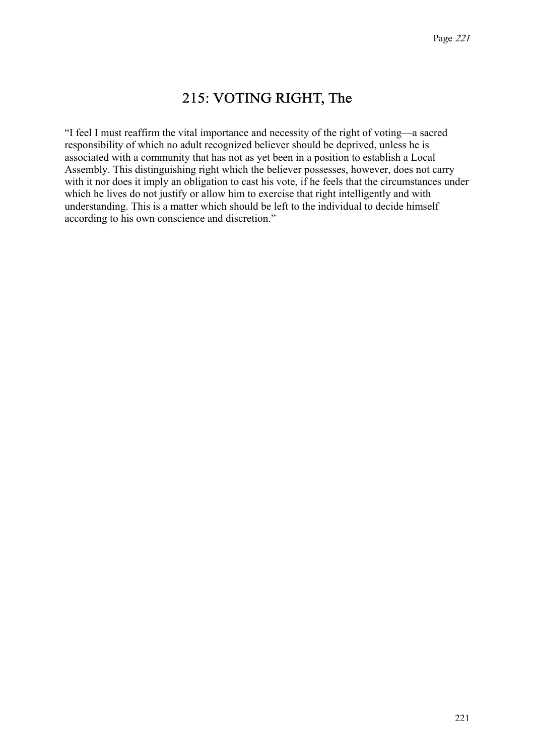### 215: VOTING RIGHT, The

"I feel I must reaffirm the vital importance and necessity of the right of voting—a sacred responsibility of which no adult recognized believer should be deprived, unless he is associated with a community that has not as yet been in a position to establish a Local Assembly. This distinguishing right which the believer possesses, however, does not carry with it nor does it imply an obligation to cast his vote, if he feels that the circumstances under which he lives do not justify or allow him to exercise that right intelligently and with understanding. This is a matter which should be left to the individual to decide himself according to his own conscience and discretion."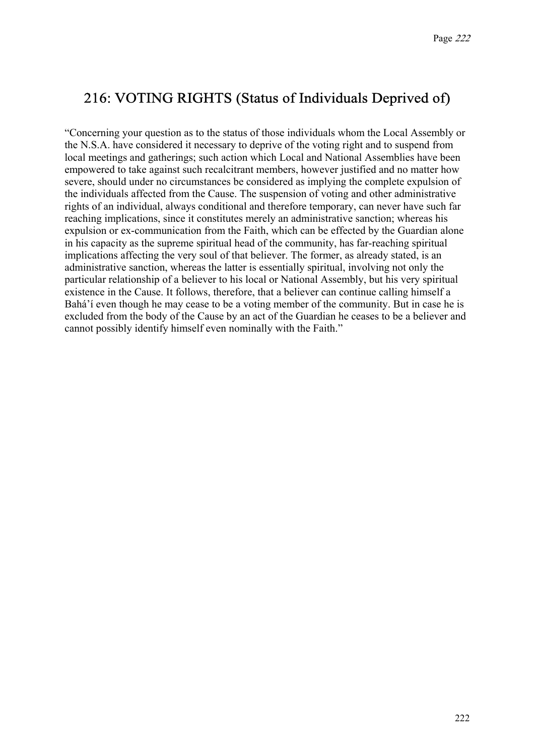### 216: VOTING RIGHTS (Status of Individuals Deprived of)

"Concerning your question as to the status of those individuals whom the Local Assembly or the N.S.A. have considered it necessary to deprive of the voting right and to suspend from local meetings and gatherings; such action which Local and National Assemblies have been empowered to take against such recalcitrant members, however justified and no matter how severe, should under no circumstances be considered as implying the complete expulsion of the individuals affected from the Cause. The suspension of voting and other administrative rights of an individual, always conditional and therefore temporary, can never have such far reaching implications, since it constitutes merely an administrative sanction; whereas his expulsion or ex-communication from the Faith, which can be effected by the Guardian alone in his capacity as the supreme spiritual head of the community, has far-reaching spiritual implications affecting the very soul of that believer. The former, as already stated, is an administrative sanction, whereas the latter is essentially spiritual, involving not only the particular relationship of a believer to his local or National Assembly, but his very spiritual existence in the Cause. It follows, therefore, that a believer can continue calling himself a Bahá'í even though he may cease to be a voting member of the community. But in case he is excluded from the body of the Cause by an act of the Guardian he ceases to be a believer and cannot possibly identify himself even nominally with the Faith."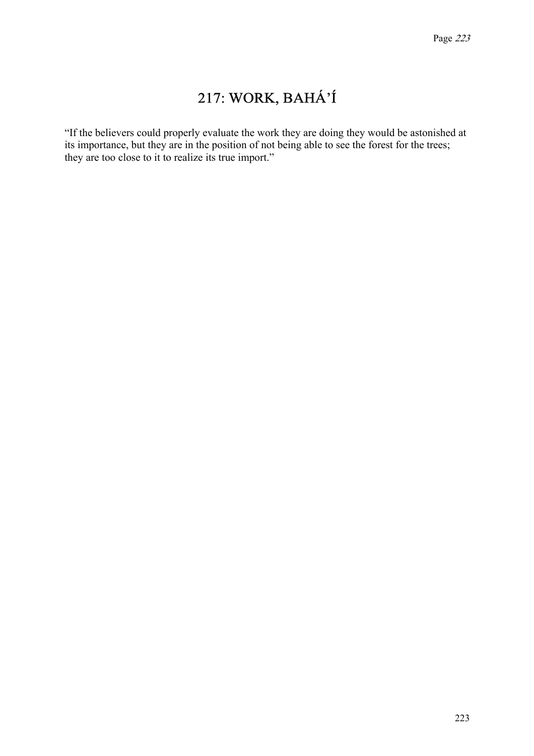## 217: WORK, BAHÁ'Í

"If the believers could properly evaluate the work they are doing they would be astonished at its importance, but they are in the position of not being able to see the forest for the trees; they are too close to it to realize its true import."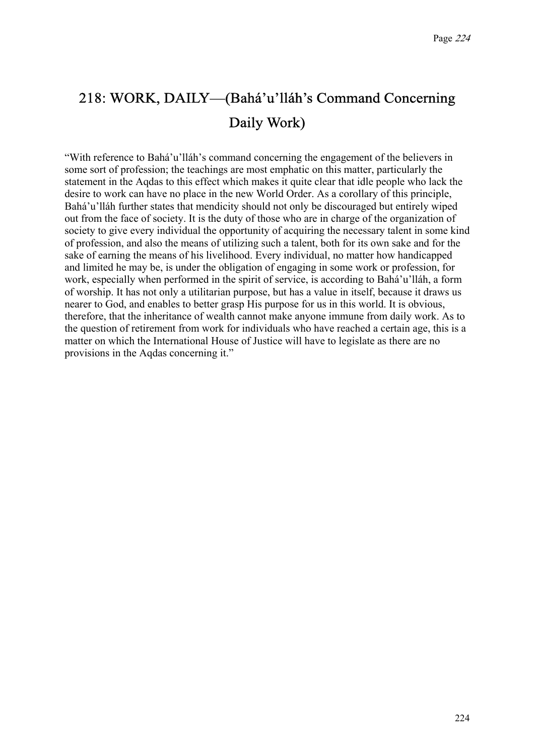# 218: WORK, DAILY—(Bahá'u'lláh's Command Concerning Daily Work)

"With reference to Bahá'u'lláh's command concerning the engagement of the believers in some sort of profession; the teachings are most emphatic on this matter, particularly the statement in the Aqdas to this effect which makes it quite clear that idle people who lack the desire to work can have no place in the new World Order. As a corollary of this principle, Bahá'u'lláh further states that mendicity should not only be discouraged but entirely wiped out from the face of society. It is the duty of those who are in charge of the organization of society to give every individual the opportunity of acquiring the necessary talent in some kind of profession, and also the means of utilizing such a talent, both for its own sake and for the sake of earning the means of his livelihood. Every individual, no matter how handicapped and limited he may be, is under the obligation of engaging in some work or profession, for work, especially when performed in the spirit of service, is according to Bahá'u'lláh, a form of worship. It has not only a utilitarian purpose, but has a value in itself, because it draws us nearer to God, and enables to better grasp His purpose for us in this world. It is obvious, therefore, that the inheritance of wealth cannot make anyone immune from daily work. As to the question of retirement from work for individuals who have reached a certain age, this is a matter on which the International House of Justice will have to legislate as there are no provisions in the Aqdas concerning it."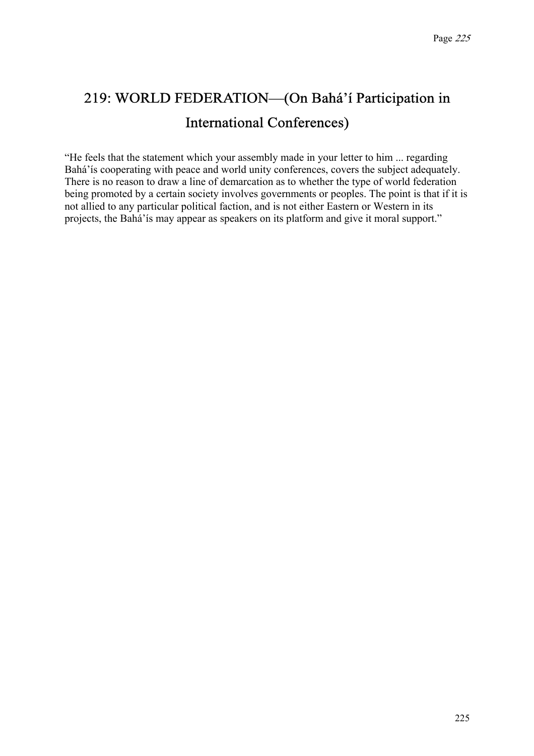# 219: WORLD FEDERATION—(On Bahá'í Participation in International Conferences)

"He feels that the statement which your assembly made in your letter to him ... regarding Bahá'ís cooperating with peace and world unity conferences, covers the subject adequately. There is no reason to draw a line of demarcation as to whether the type of world federation being promoted by a certain society involves governments or peoples. The point is that if it is not allied to any particular political faction, and is not either Eastern or Western in its projects, the Bahá'ís may appear as speakers on its platform and give it moral support."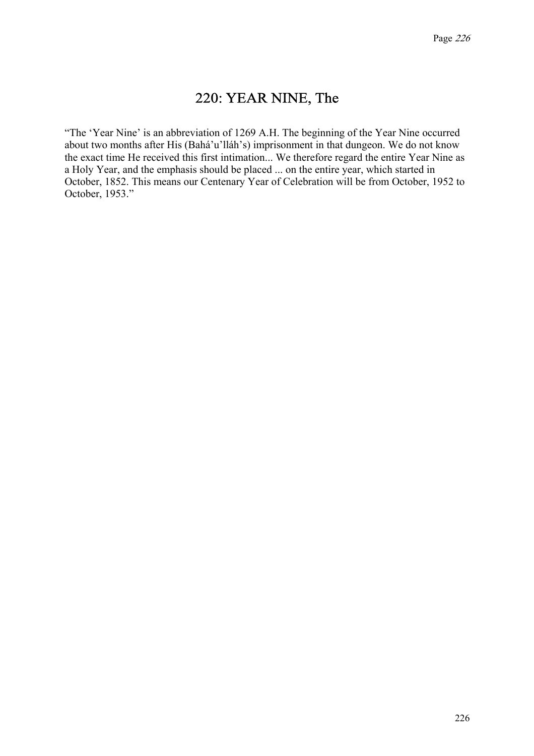### 220: YEAR NINE, The

"The 'Year Nine' is an abbreviation of 1269 A.H. The beginning of the Year Nine occurred about two months after His (Bahá'u'lláh's) imprisonment in that dungeon. We do not know the exact time He received this first intimation... We therefore regard the entire Year Nine as a Holy Year, and the emphasis should be placed ... on the entire year, which started in October, 1852. This means our Centenary Year of Celebration will be from October, 1952 to October, 1953."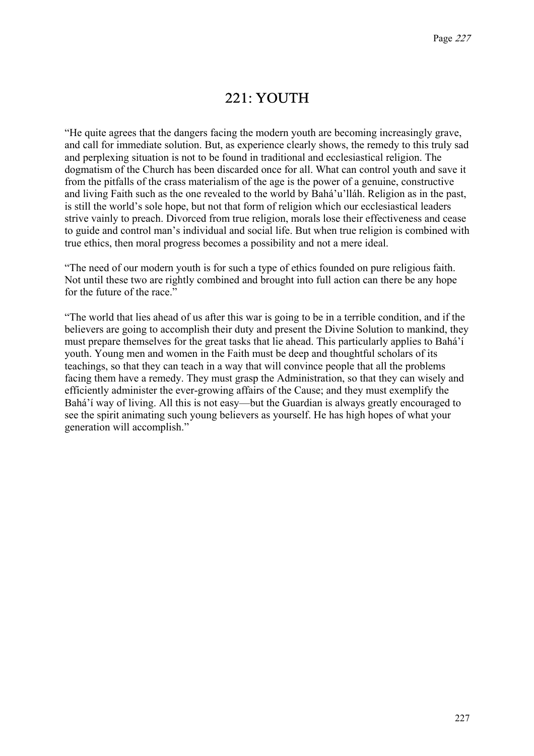### 221: YOUTH

"He quite agrees that the dangers facing the modern youth are becoming increasingly grave, and call for immediate solution. But, as experience clearly shows, the remedy to this truly sad and perplexing situation is not to be found in traditional and ecclesiastical religion. The dogmatism of the Church has been discarded once for all. What can control youth and save it from the pitfalls of the crass materialism of the age is the power of a genuine, constructive and living Faith such as the one revealed to the world by Bahá'u'lláh. Religion as in the past, is still the world's sole hope, but not that form of religion which our ecclesiastical leaders strive vainly to preach. Divorced from true religion, morals lose their effectiveness and cease to guide and control man's individual and social life. But when true religion is combined with true ethics, then moral progress becomes a possibility and not a mere ideal.

"The need of our modern youth is for such a type of ethics founded on pure religious faith. Not until these two are rightly combined and brought into full action can there be any hope for the future of the race."

"The world that lies ahead of us after this war is going to be in a terrible condition, and if the believers are going to accomplish their duty and present the Divine Solution to mankind, they must prepare themselves for the great tasks that lie ahead. This particularly applies to Bahá'í youth. Young men and women in the Faith must be deep and thoughtful scholars of its teachings, so that they can teach in a way that will convince people that all the problems facing them have a remedy. They must grasp the Administration, so that they can wisely and efficiently administer the ever-growing affairs of the Cause; and they must exemplify the Bahá'í way of living. All this is not easy—but the Guardian is always greatly encouraged to see the spirit animating such young believers as yourself. He has high hopes of what your generation will accomplish."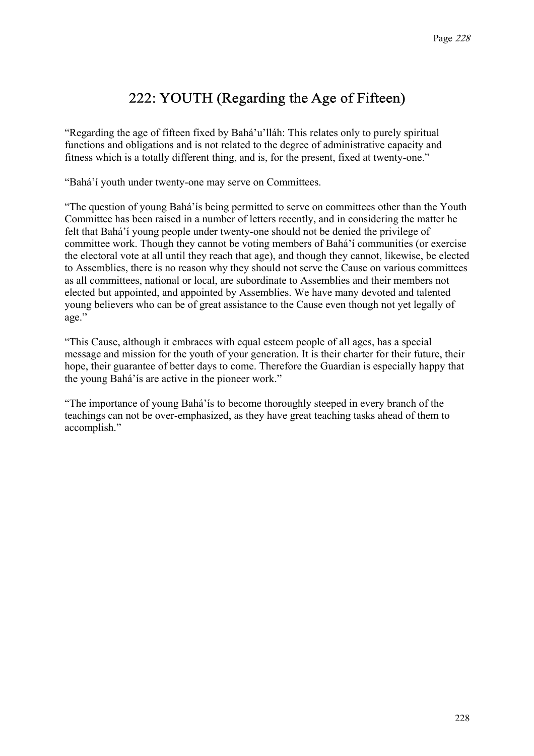### 222: YOUTH (Regarding the Age of Fifteen)

"Regarding the age of fifteen fixed by Bahá'u'lláh: This relates only to purely spiritual functions and obligations and is not related to the degree of administrative capacity and fitness which is a totally different thing, and is, for the present, fixed at twenty-one."

"Bahá'í youth under twenty-one may serve on Committees.

"The question of young Bahá'ís being permitted to serve on committees other than the Youth Committee has been raised in a number of letters recently, and in considering the matter he felt that Bahá'í young people under twenty-one should not be denied the privilege of committee work. Though they cannot be voting members of Bahá'í communities (or exercise the electoral vote at all until they reach that age), and though they cannot, likewise, be elected to Assemblies, there is no reason why they should not serve the Cause on various committees as all committees, national or local, are subordinate to Assemblies and their members not elected but appointed, and appointed by Assemblies. We have many devoted and talented young believers who can be of great assistance to the Cause even though not yet legally of age."

"This Cause, although it embraces with equal esteem people of all ages, has a special message and mission for the youth of your generation. It is their charter for their future, their hope, their guarantee of better days to come. Therefore the Guardian is especially happy that the young Bahá'ís are active in the pioneer work."

"The importance of young Bahá'ís to become thoroughly steeped in every branch of the teachings can not be over-emphasized, as they have great teaching tasks ahead of them to accomplish."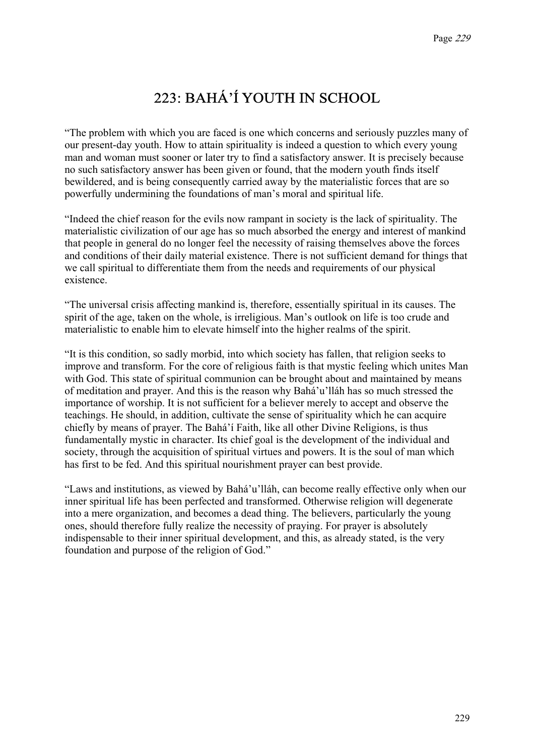### 223: BAHÁ'Í YOUTH IN SCHOOL

"The problem with which you are faced is one which concerns and seriously puzzles many of our present-day youth. How to attain spirituality is indeed a question to which every young man and woman must sooner or later try to find a satisfactory answer. It is precisely because no such satisfactory answer has been given or found, that the modern youth finds itself bewildered, and is being consequently carried away by the materialistic forces that are so powerfully undermining the foundations of man's moral and spiritual life.

"Indeed the chief reason for the evils now rampant in society is the lack of spirituality. The materialistic civilization of our age has so much absorbed the energy and interest of mankind that people in general do no longer feel the necessity of raising themselves above the forces and conditions of their daily material existence. There is not sufficient demand for things that we call spiritual to differentiate them from the needs and requirements of our physical existence.

"The universal crisis affecting mankind is, therefore, essentially spiritual in its causes. The spirit of the age, taken on the whole, is irreligious. Man's outlook on life is too crude and materialistic to enable him to elevate himself into the higher realms of the spirit.

"It is this condition, so sadly morbid, into which society has fallen, that religion seeks to improve and transform. For the core of religious faith is that mystic feeling which unites Man with God. This state of spiritual communion can be brought about and maintained by means of meditation and prayer. And this is the reason why Bahá'u'lláh has so much stressed the importance of worship. It is not sufficient for a believer merely to accept and observe the teachings. He should, in addition, cultivate the sense of spirituality which he can acquire chiefly by means of prayer. The Bahá'í Faith, like all other Divine Religions, is thus fundamentally mystic in character. Its chief goal is the development of the individual and society, through the acquisition of spiritual virtues and powers. It is the soul of man which has first to be fed. And this spiritual nourishment prayer can best provide.

"Laws and institutions, as viewed by Bahá'u'lláh, can become really effective only when our inner spiritual life has been perfected and transformed. Otherwise religion will degenerate into a mere organization, and becomes a dead thing. The believers, particularly the young ones, should therefore fully realize the necessity of praying. For prayer is absolutely indispensable to their inner spiritual development, and this, as already stated, is the very foundation and purpose of the religion of God."